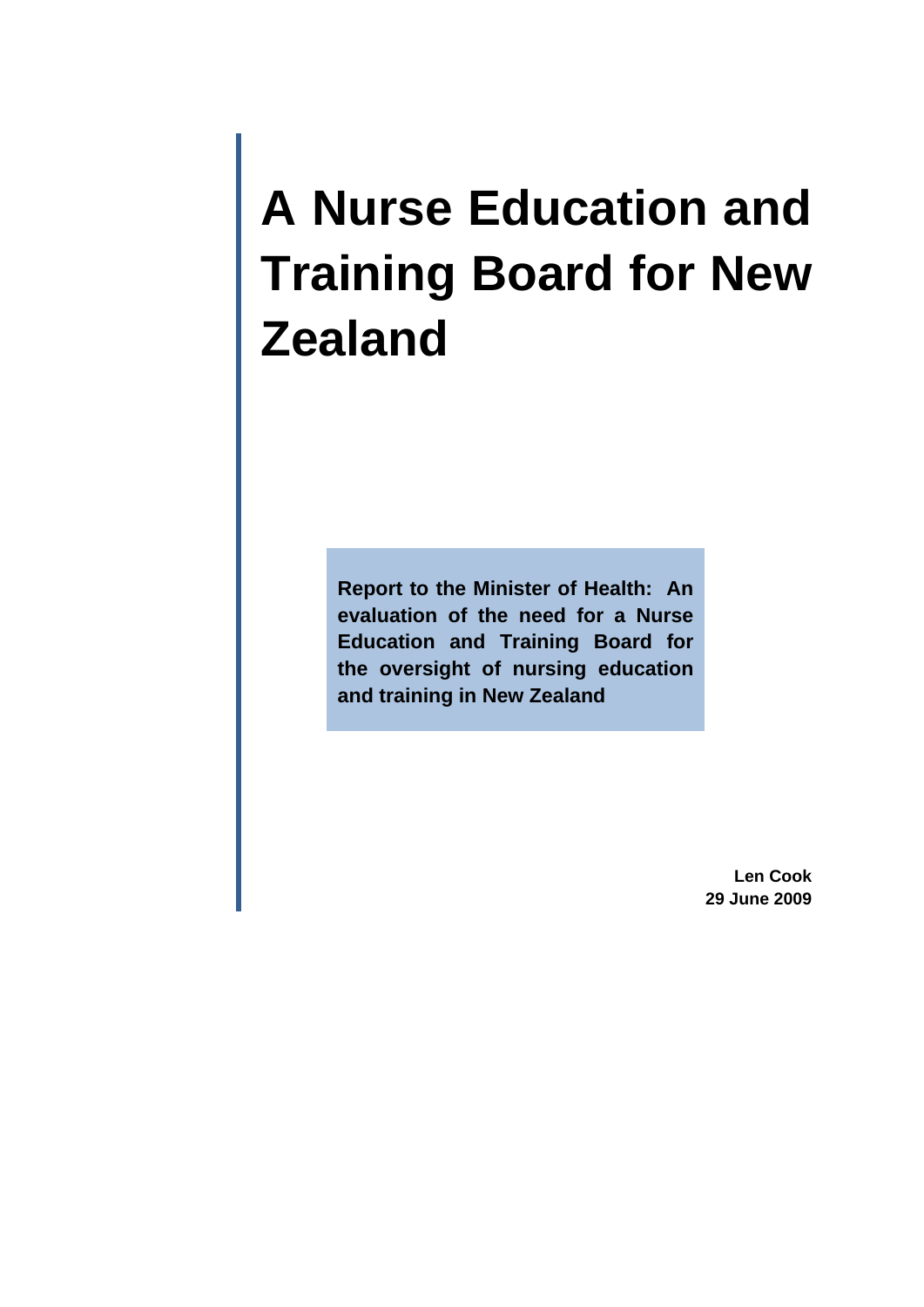# **A Nurse Education and Training Board for New Zealand**

**Report to the Minister of Health: An evaluation of the need for a Nurse Education and Training Board for the oversight of nursing education and training in New Zealand** 

> **Len Cook 29 June 2009**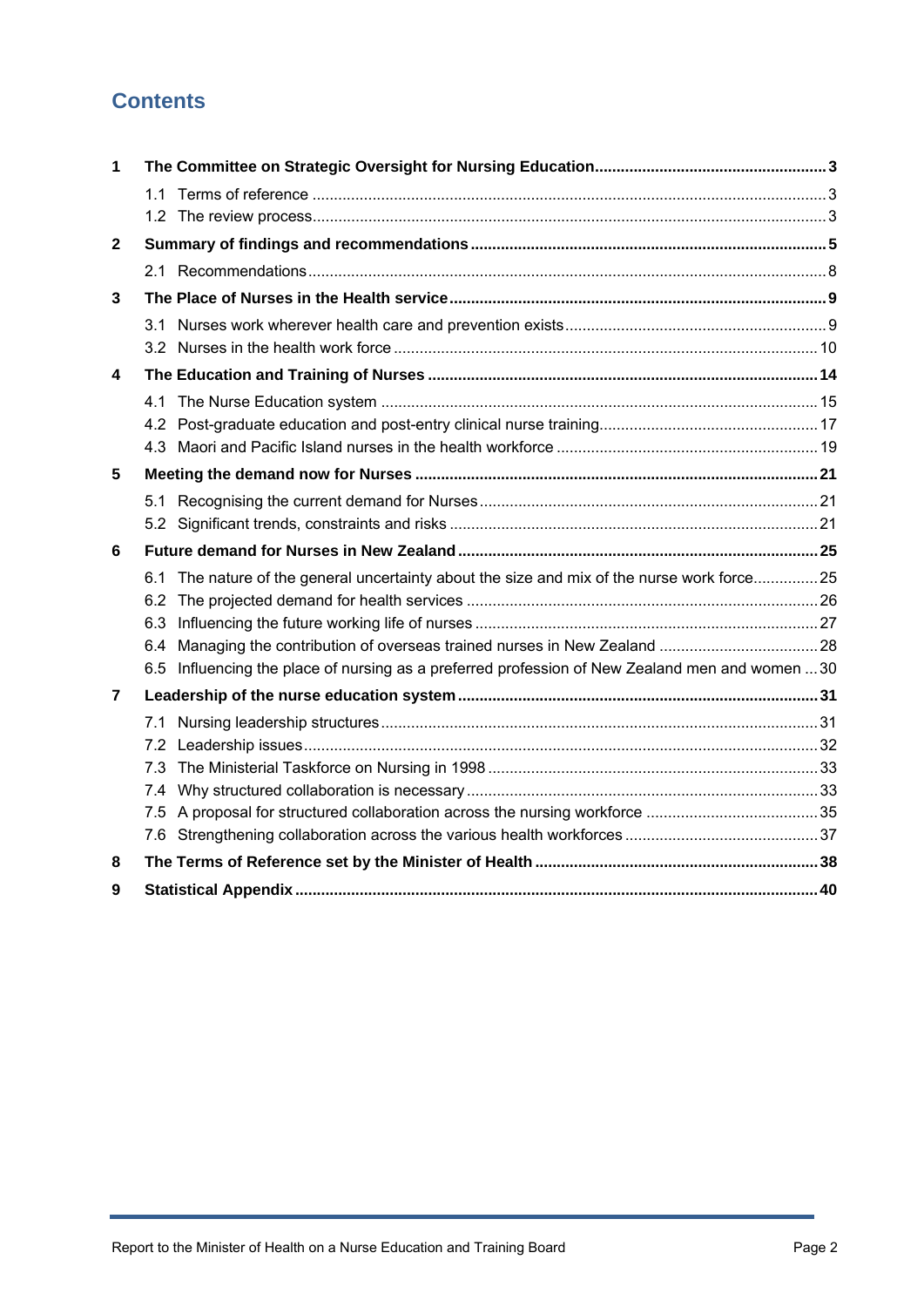# **Contents**

| 1            |                                                                                                 |  |
|--------------|-------------------------------------------------------------------------------------------------|--|
|              |                                                                                                 |  |
|              |                                                                                                 |  |
| $\mathbf{2}$ |                                                                                                 |  |
|              |                                                                                                 |  |
| 3            |                                                                                                 |  |
|              |                                                                                                 |  |
| 4            |                                                                                                 |  |
|              |                                                                                                 |  |
|              |                                                                                                 |  |
|              |                                                                                                 |  |
| 5            |                                                                                                 |  |
|              |                                                                                                 |  |
|              |                                                                                                 |  |
| 6            |                                                                                                 |  |
|              | 6.1 The nature of the general uncertainty about the size and mix of the nurse work force 25     |  |
|              |                                                                                                 |  |
|              |                                                                                                 |  |
|              | 6.5 Influencing the place of nursing as a preferred profession of New Zealand men and women  30 |  |
|              |                                                                                                 |  |
| 7            |                                                                                                 |  |
|              |                                                                                                 |  |
|              | 7.3                                                                                             |  |
|              |                                                                                                 |  |
|              |                                                                                                 |  |
|              |                                                                                                 |  |
| 8            |                                                                                                 |  |
| 9            |                                                                                                 |  |
|              |                                                                                                 |  |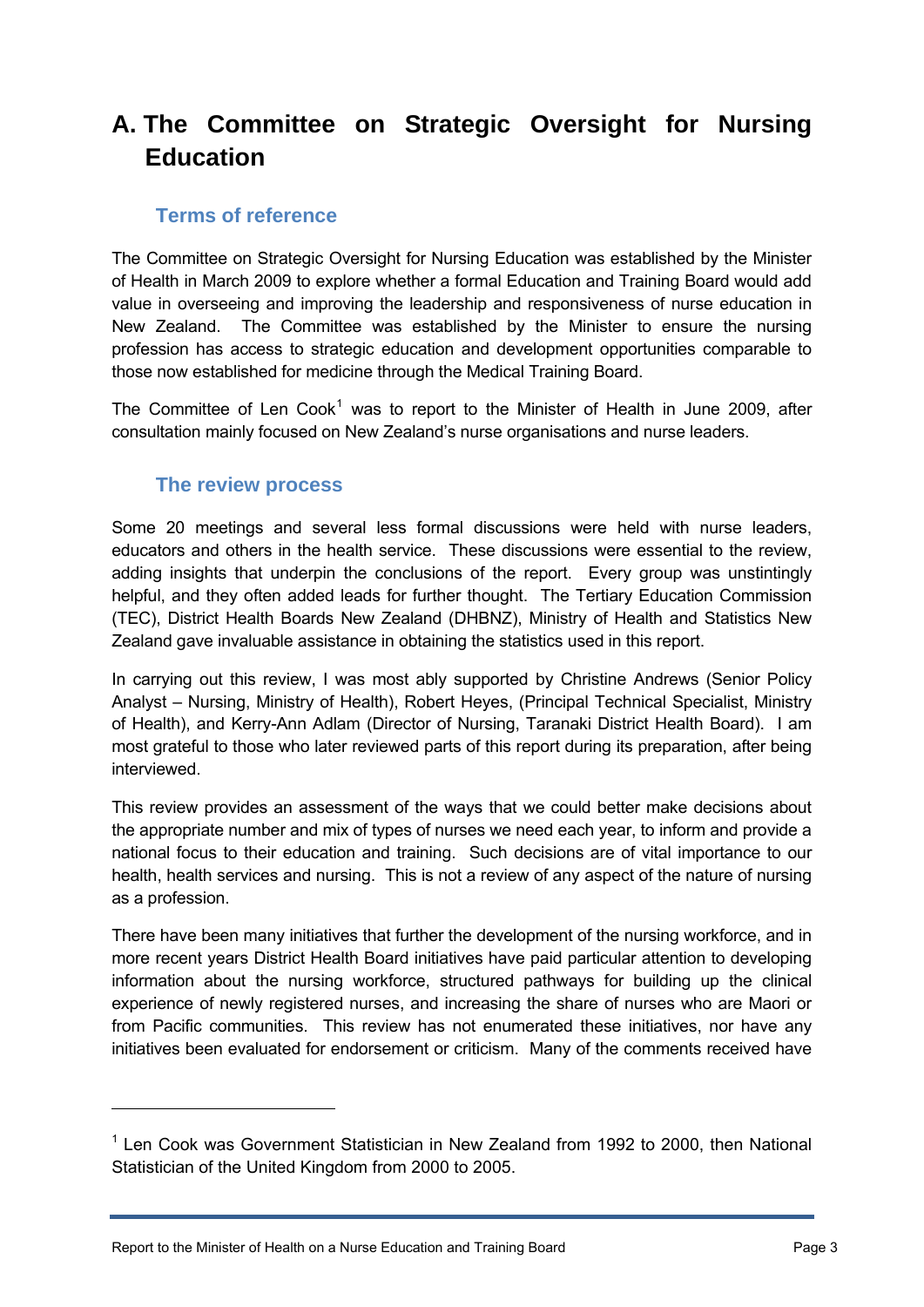# <span id="page-2-0"></span>**A. The Committee on Strategic Oversight for Nursing Education**

#### **Terms of reference**

<span id="page-2-1"></span>The Committee on Strategic Oversight for Nursing Education was established by the Minister of Health in March 2009 to explore whether a formal Education and Training Board would add value in overseeing and improving the leadership and responsiveness of nurse education in New Zealand. The Committee was established by the Minister to ensure the nursing profession has access to strategic education and development opportunities comparable to those now established for medicine through the Medical Training Board.

The Committee of Len Cook<sup>[1](#page-2-3)</sup> was to report to the Minister of Health in June 2009, after consultation mainly focused on New Zealand's nurse organisations and nurse leaders.

## **The review process**

<span id="page-2-2"></span>Some 20 meetings and several less formal discussions were held with nurse leaders, educators and others in the health service. These discussions were essential to the review, adding insights that underpin the conclusions of the report. Every group was unstintingly helpful, and they often added leads for further thought. The Tertiary Education Commission (TEC), District Health Boards New Zealand (DHBNZ), Ministry of Health and Statistics New Zealand gave invaluable assistance in obtaining the statistics used in this report.

In carrying out this review, I was most ably supported by Christine Andrews (Senior Policy Analyst – Nursing, Ministry of Health), Robert Heyes, (Principal Technical Specialist, Ministry of Health), and Kerry-Ann Adlam (Director of Nursing, Taranaki District Health Board). I am most grateful to those who later reviewed parts of this report during its preparation, after being interviewed.

This review provides an assessment of the ways that we could better make decisions about the appropriate number and mix of types of nurses we need each year, to inform and provide a national focus to their education and training. Such decisions are of vital importance to our health, health services and nursing. This is not a review of any aspect of the nature of nursing as a profession.

There have been many initiatives that further the development of the nursing workforce, and in more recent years District Health Board initiatives have paid particular attention to developing information about the nursing workforce, structured pathways for building up the clinical experience of newly registered nurses, and increasing the share of nurses who are Maori or from Pacific communities. This review has not enumerated these initiatives, nor have any initiatives been evaluated for endorsement or criticism. Many of the comments received have

 $\overline{a}$ 

<span id="page-2-3"></span><sup>&</sup>lt;sup>1</sup> Len Cook was Government Statistician in New Zealand from 1992 to 2000, then National Statistician of the United Kingdom from 2000 to 2005.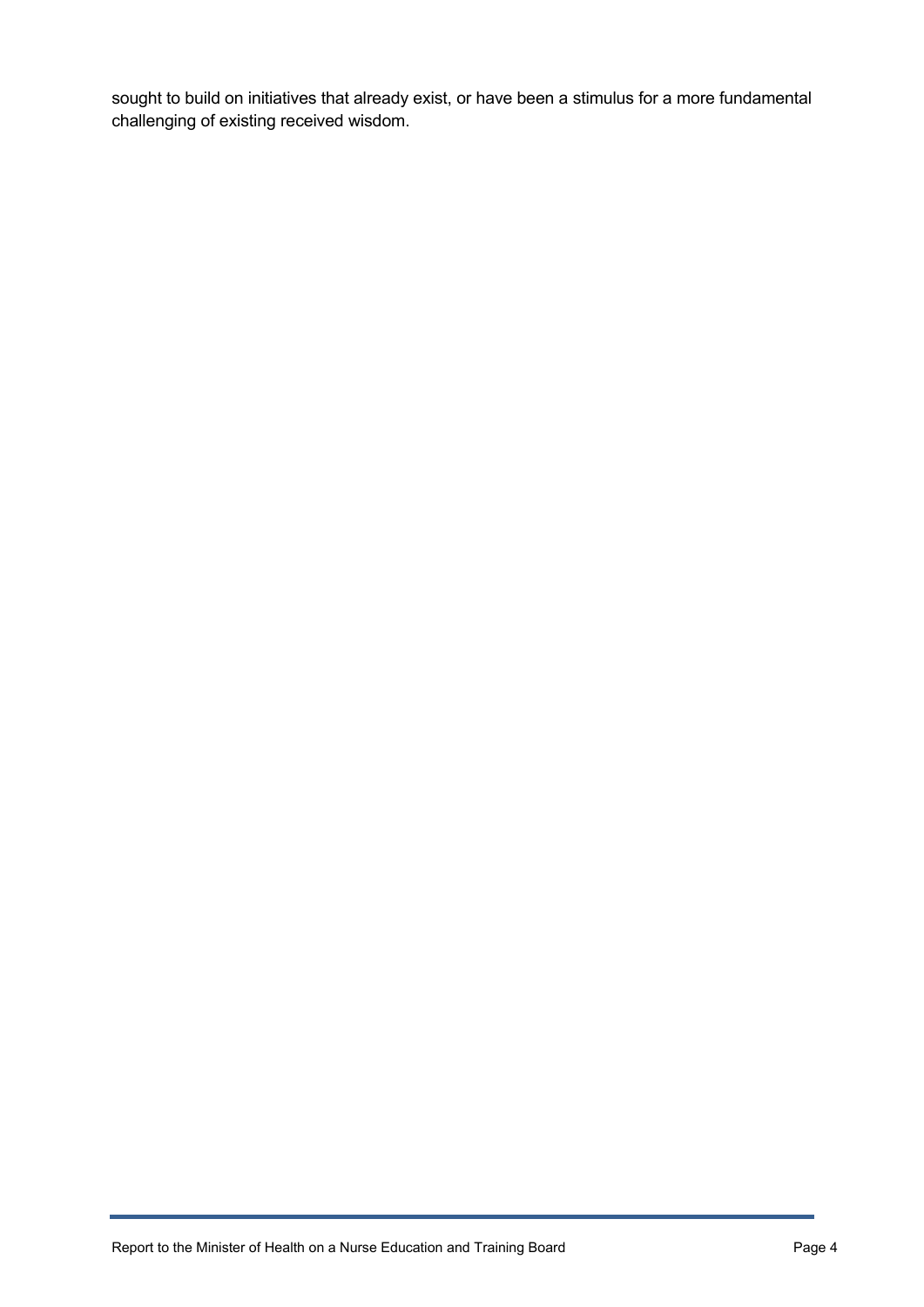sought to build on initiatives that already exist, or have been a stimulus for a more fundamental challenging of existing received wisdom.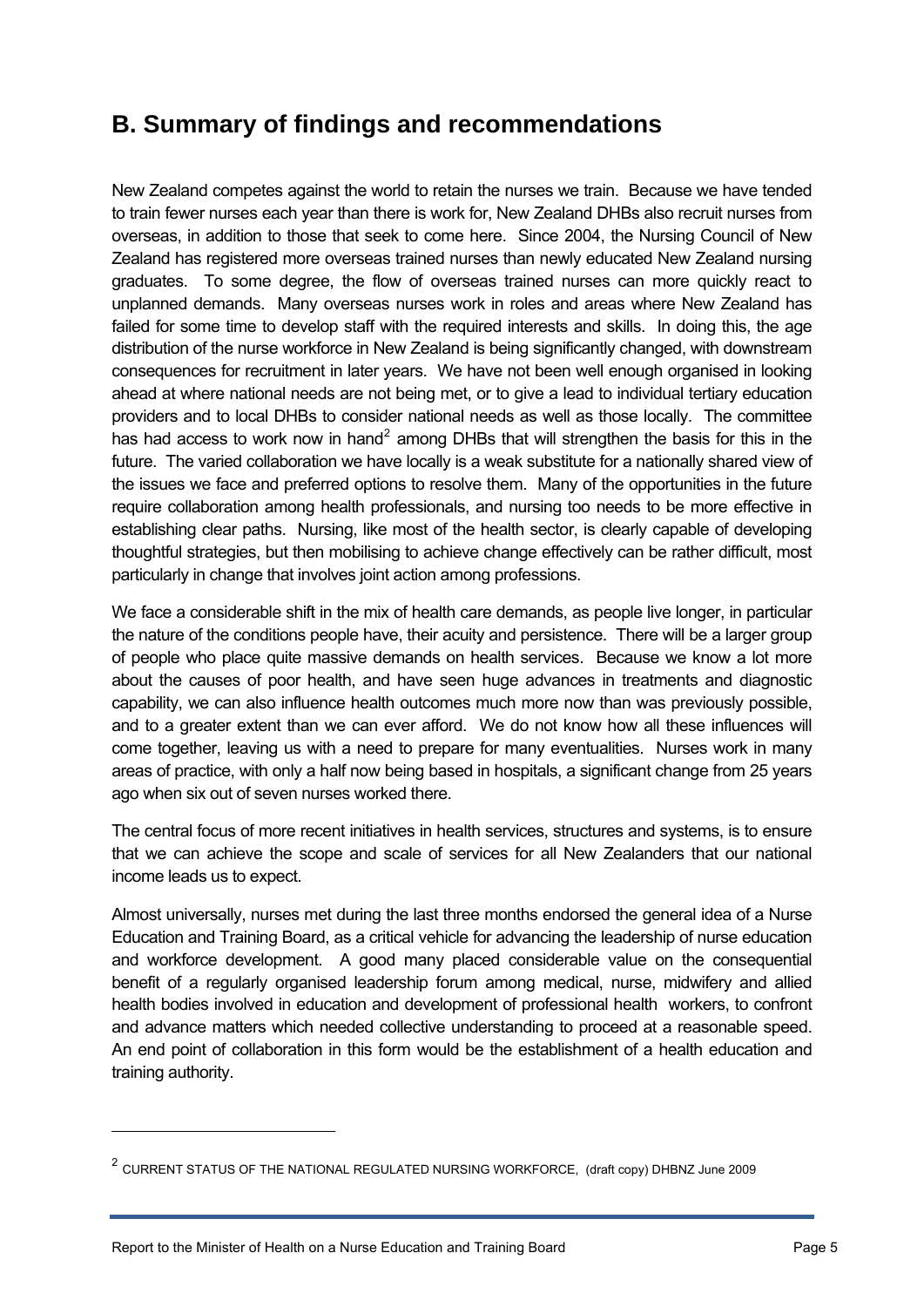# <span id="page-4-0"></span>**B. Summary of findings and recommendations**

New Zealand competes against the world to retain the nurses we train. Because we have tended to train fewer nurses each year than there is work for, New Zealand DHBs also recruit nurses from overseas, in addition to those that seek to come here. Since 2004, the Nursing Council of New Zealand has registered more overseas trained nurses than newly educated New Zealand nursing graduates. To some degree, the flow of overseas trained nurses can more quickly react to unplanned demands. Many overseas nurses work in roles and areas where New Zealand has failed for some time to develop staff with the required interests and skills. In doing this, the age distribution of the nurse workforce in New Zealand is being significantly changed, with downstream consequences for recruitment in later years. We have not been well enough organised in looking ahead at where national needs are not being met, or to give a lead to individual tertiary education providers and to local DHBs to consider national needs as well as those locally. The committee has had access to work now in hand<sup>[2](#page-4-1)</sup> among DHBs that will strengthen the basis for this in the future. The varied collaboration we have locally is a weak substitute for a nationally shared view of the issues we face and preferred options to resolve them. Many of the opportunities in the future require collaboration among health professionals, and nursing too needs to be more effective in establishing clear paths. Nursing, like most of the health sector, is clearly capable of developing thoughtful strategies, but then mobilising to achieve change effectively can be rather difficult, most particularly in change that involves joint action among professions.

We face a considerable shift in the mix of health care demands, as people live longer, in particular the nature of the conditions people have, their acuity and persistence. There will be a larger group of people who place quite massive demands on health services. Because we know a lot more about the causes of poor health, and have seen huge advances in treatments and diagnostic capability, we can also influence health outcomes much more now than was previously possible, and to a greater extent than we can ever afford. We do not know how all these influences will come together, leaving us with a need to prepare for many eventualities. Nurses work in many areas of practice, with only a half now being based in hospitals, a significant change from 25 years ago when six out of seven nurses worked there.

The central focus of more recent initiatives in health services, structures and systems, is to ensure that we can achieve the scope and scale of services for all New Zealanders that our national income leads us to expect.

Almost universally, nurses met during the last three months endorsed the general idea of a Nurse Education and Training Board, as a critical vehicle for advancing the leadership of nurse education and workforce development. A good many placed considerable value on the consequential benefit of a regularly organised leadership forum among medical, nurse, midwifery and allied health bodies involved in education and development of professional health workers, to confront and advance matters which needed collective understanding to proceed at a reasonable speed. An end point of collaboration in this form would be the establishment of a health education and training authority.

-

<span id="page-4-1"></span><sup>2</sup> CURRENT STATUS OF THE NATIONAL REGULATED NURSING WORKFORCE, (draft copy) DHBNZ June 2009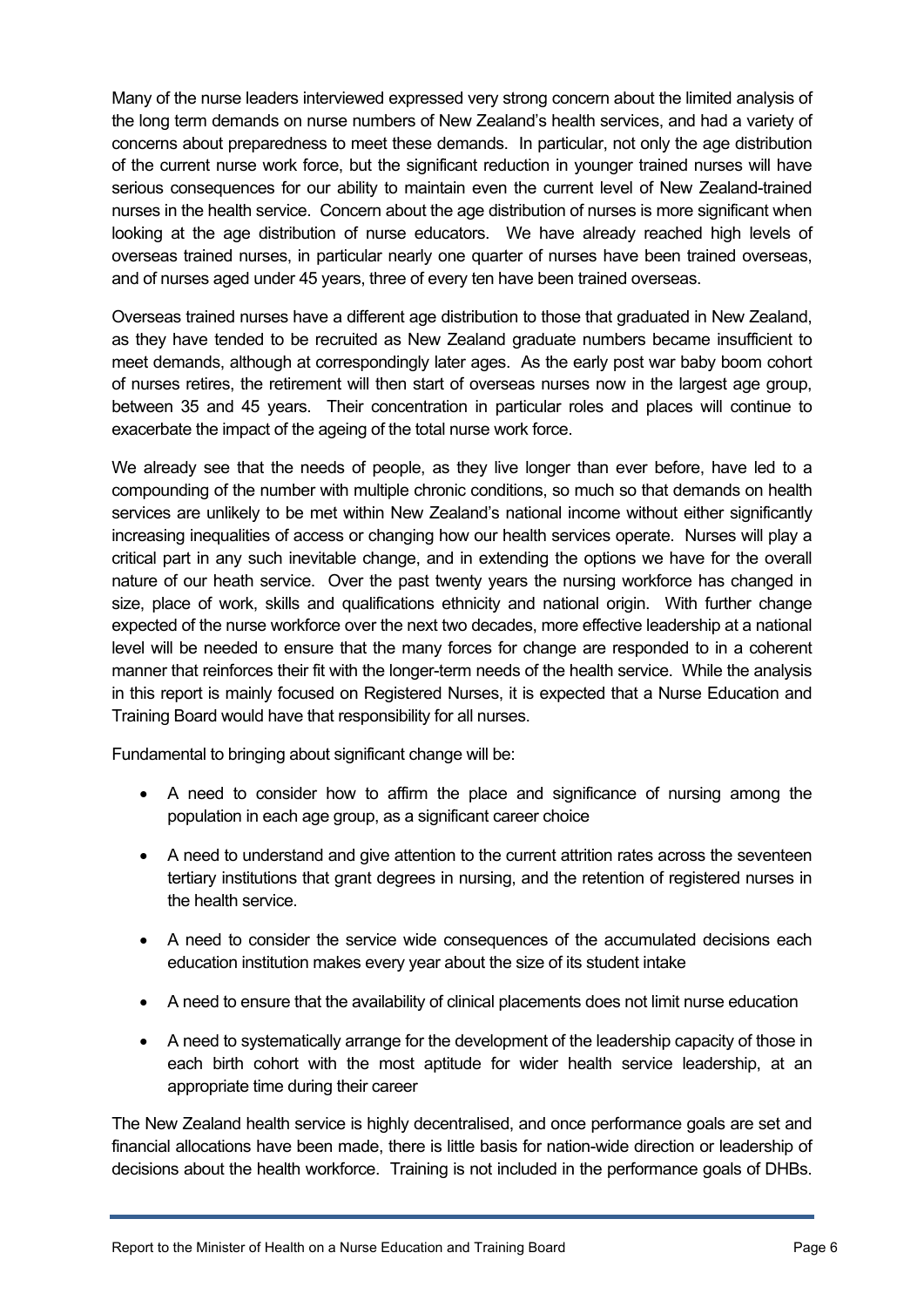Many of the nurse leaders interviewed expressed very strong concern about the limited analysis of the long term demands on nurse numbers of New Zealand's health services, and had a variety of concerns about preparedness to meet these demands. In particular, not only the age distribution of the current nurse work force, but the significant reduction in younger trained nurses will have serious consequences for our ability to maintain even the current level of New Zealand-trained nurses in the health service. Concern about the age distribution of nurses is more significant when looking at the age distribution of nurse educators. We have already reached high levels of overseas trained nurses, in particular nearly one quarter of nurses have been trained overseas, and of nurses aged under 45 years, three of every ten have been trained overseas.

Overseas trained nurses have a different age distribution to those that graduated in New Zealand, as they have tended to be recruited as New Zealand graduate numbers became insufficient to meet demands, although at correspondingly later ages. As the early post war baby boom cohort of nurses retires, the retirement will then start of overseas nurses now in the largest age group, between 35 and 45 years. Their concentration in particular roles and places will continue to exacerbate the impact of the ageing of the total nurse work force.

We already see that the needs of people, as they live longer than ever before, have led to a compounding of the number with multiple chronic conditions, so much so that demands on health services are unlikely to be met within New Zealand's national income without either significantly increasing inequalities of access or changing how our health services operate. Nurses will play a critical part in any such inevitable change, and in extending the options we have for the overall nature of our heath service. Over the past twenty years the nursing workforce has changed in size, place of work, skills and qualifications ethnicity and national origin. With further change expected of the nurse workforce over the next two decades, more effective leadership at a national level will be needed to ensure that the many forces for change are responded to in a coherent manner that reinforces their fit with the longer-term needs of the health service. While the analysis in this report is mainly focused on Registered Nurses, it is expected that a Nurse Education and Training Board would have that responsibility for all nurses.

Fundamental to bringing about significant change will be:

- A need to consider how to affirm the place and significance of nursing among the population in each age group, as a significant career choice
- A need to understand and give attention to the current attrition rates across the seventeen tertiary institutions that grant degrees in nursing, and the retention of registered nurses in the health service.
- A need to consider the service wide consequences of the accumulated decisions each education institution makes every year about the size of its student intake
- A need to ensure that the availability of clinical placements does not limit nurse education
- A need to systematically arrange for the development of the leadership capacity of those in each birth cohort with the most aptitude for wider health service leadership, at an appropriate time during their career

The New Zealand health service is highly decentralised, and once performance goals are set and financial allocations have been made, there is little basis for nation-wide direction or leadership of decisions about the health workforce. Training is not included in the performance goals of DHBs.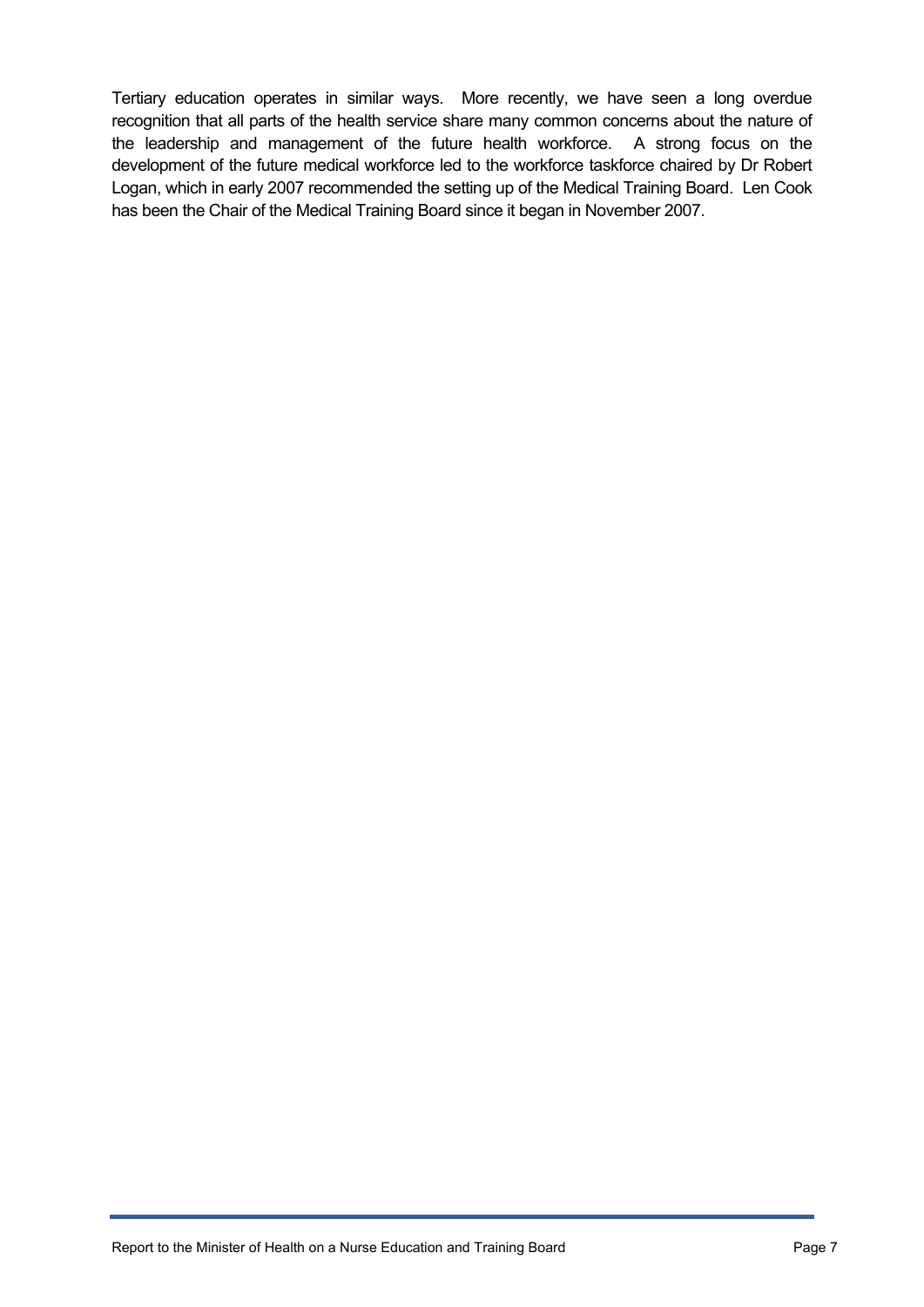Tertiary education operates in similar ways. More recently, we have seen a long overdue recognition that all parts of the health service share many common concerns about the nature of the leadership and management of the future health workforce. A strong focus on the development of the future medical workforce led to the workforce taskforce chaired by Dr Robert Logan, which in early 2007 recommended the setting up of the Medical Training Board. Len Cook has been the Chair of the Medical Training Board since it began in November 2007.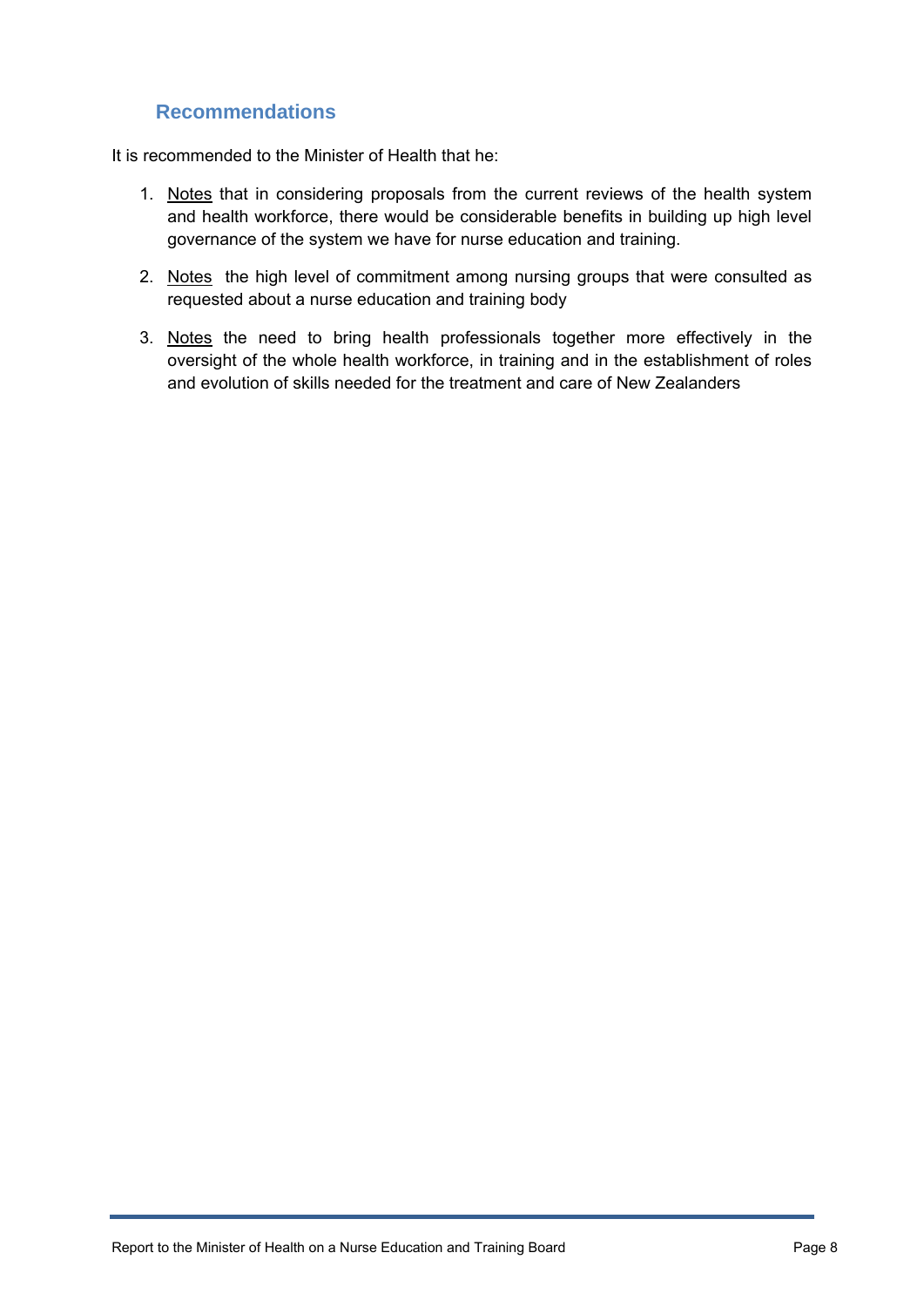## **Recommendations**

<span id="page-7-0"></span>It is recommended to the Minister of Health that he:

- 1. Notes that in considering proposals from the current reviews of the health system and health workforce, there would be considerable benefits in building up high level governance of the system we have for nurse education and training.
- 2. Notes the high level of commitment among nursing groups that were consulted as requested about a nurse education and training body
- 3. Notes the need to bring health professionals together more effectively in the oversight of the whole health workforce, in training and in the establishment of roles and evolution of skills needed for the treatment and care of New Zealanders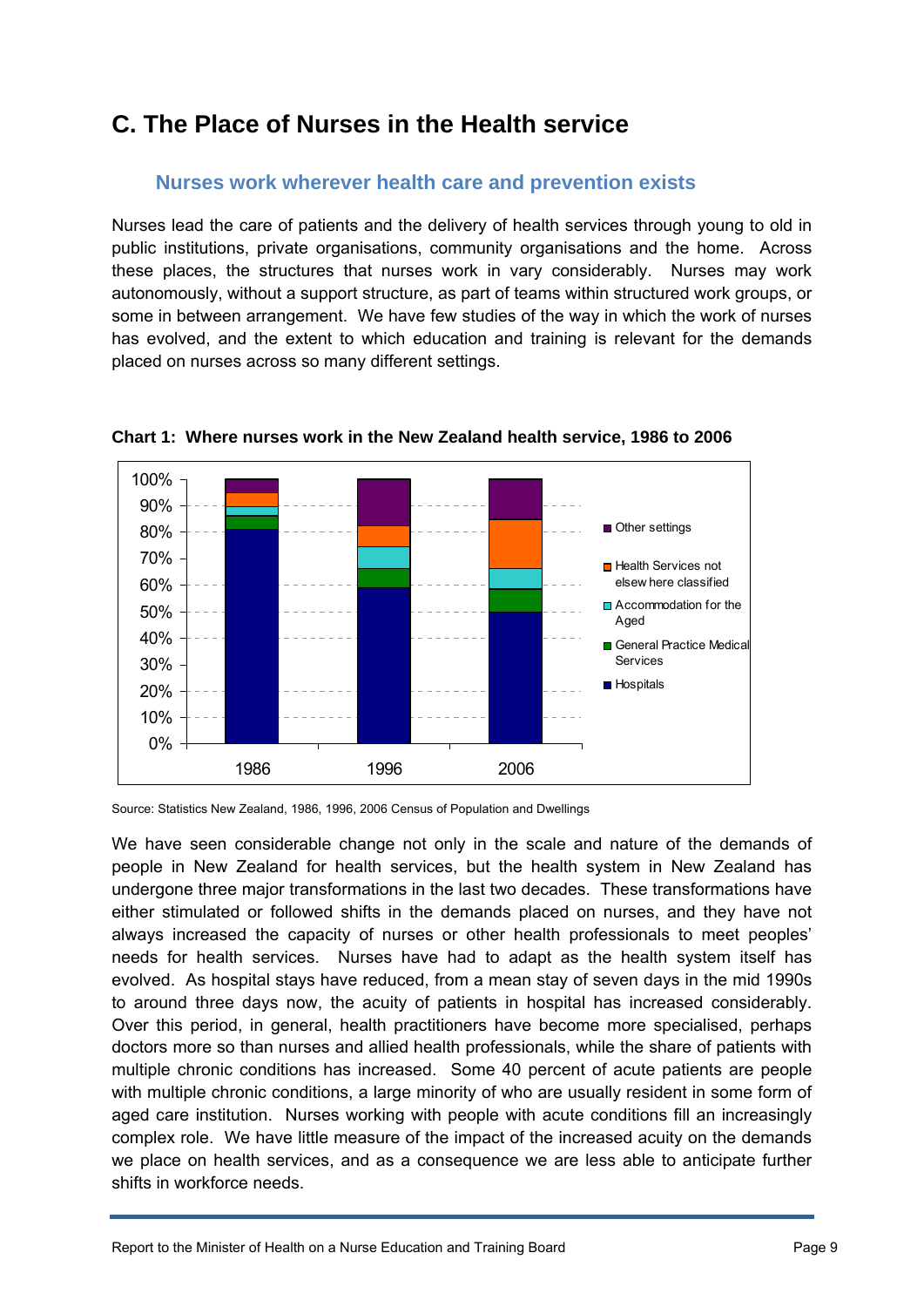# <span id="page-8-0"></span>**C. The Place of Nurses in the Health service**

#### **Nurses work wherever health care and prevention exists**

<span id="page-8-1"></span>Nurses lead the care of patients and the delivery of health services through young to old in public institutions, private organisations, community organisations and the home. Across these places, the structures that nurses work in vary considerably. Nurses may work autonomously, without a support structure, as part of teams within structured work groups, or some in between arrangement. We have few studies of the way in which the work of nurses has evolved, and the extent to which education and training is relevant for the demands placed on nurses across so many different settings.



**Chart 1: Where nurses work in the New Zealand health service, 1986 to 2006** 

Source: Statistics New Zealand, 1986, 1996, 2006 Census of Population and Dwellings

We have seen considerable change not only in the scale and nature of the demands of people in New Zealand for health services, but the health system in New Zealand has undergone three major transformations in the last two decades. These transformations have either stimulated or followed shifts in the demands placed on nurses, and they have not always increased the capacity of nurses or other health professionals to meet peoples' needs for health services. Nurses have had to adapt as the health system itself has evolved. As hospital stays have reduced, from a mean stay of seven days in the mid 1990s to around three days now, the acuity of patients in hospital has increased considerably. Over this period, in general, health practitioners have become more specialised, perhaps doctors more so than nurses and allied health professionals, while the share of patients with multiple chronic conditions has increased. Some 40 percent of acute patients are people with multiple chronic conditions, a large minority of who are usually resident in some form of aged care institution. Nurses working with people with acute conditions fill an increasingly complex role. We have little measure of the impact of the increased acuity on the demands we place on health services, and as a consequence we are less able to anticipate further shifts in workforce needs.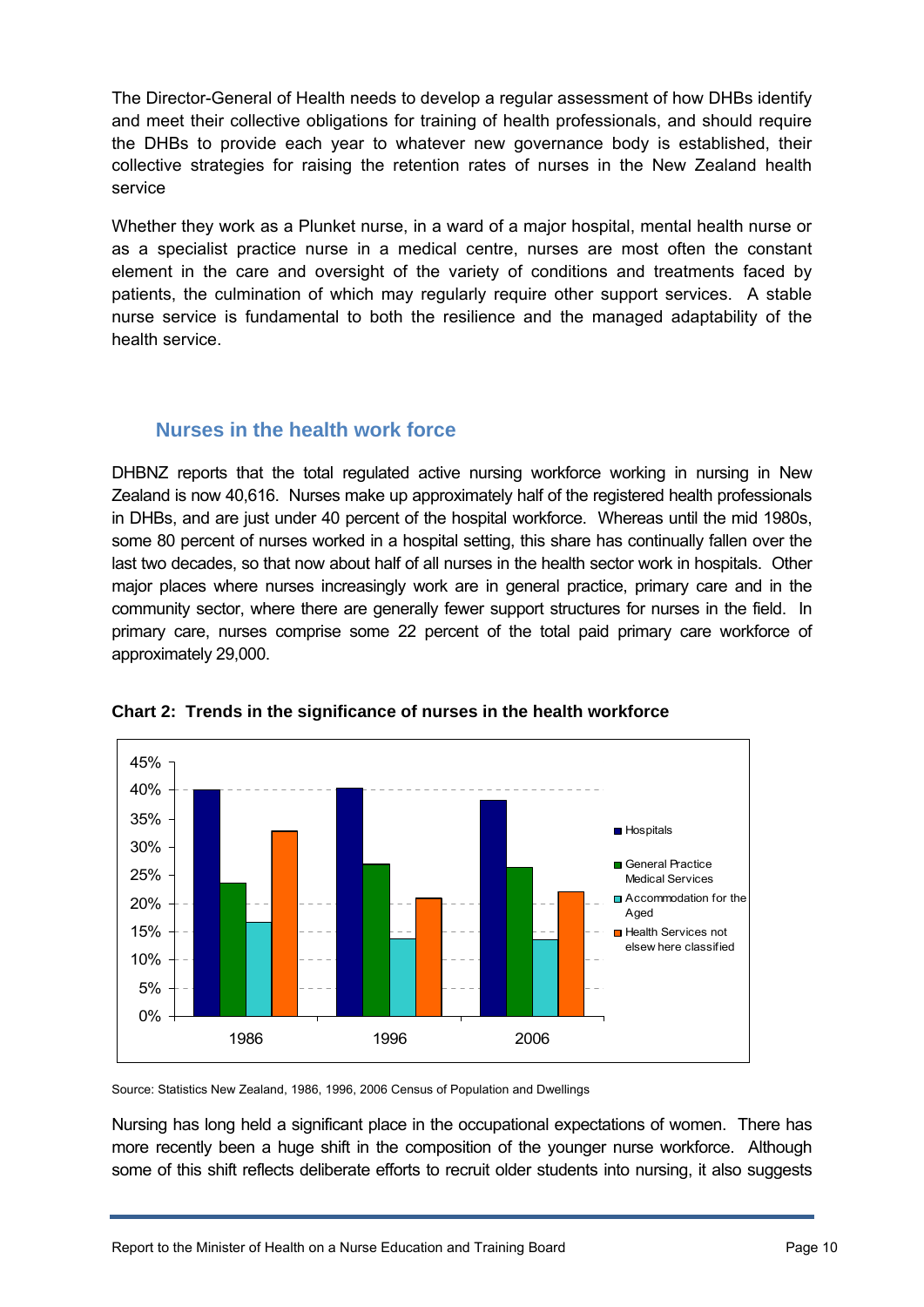The Director-General of Health needs to develop a regular assessment of how DHBs identify and meet their collective obligations for training of health professionals, and should require the DHBs to provide each year to whatever new governance body is established, their collective strategies for raising the retention rates of nurses in the New Zealand health service

Whether they work as a Plunket nurse, in a ward of a major hospital, mental health nurse or as a specialist practice nurse in a medical centre, nurses are most often the constant element in the care and oversight of the variety of conditions and treatments faced by patients, the culmination of which may regularly require other support services. A stable nurse service is fundamental to both the resilience and the managed adaptability of the health service.

## **Nurses in the health work force**

<span id="page-9-0"></span>DHBNZ reports that the total regulated active nursing workforce working in nursing in New Zealand is now 40,616. Nurses make up approximately half of the registered health professionals in DHBs, and are just under 40 percent of the hospital workforce. Whereas until the mid 1980s, some 80 percent of nurses worked in a hospital setting, this share has continually fallen over the last two decades, so that now about half of all nurses in the health sector work in hospitals. Other major places where nurses increasingly work are in general practice, primary care and in the community sector, where there are generally fewer support structures for nurses in the field. In primary care, nurses comprise some 22 percent of the total paid primary care workforce of approximately 29,000.



**Chart 2: Trends in the significance of nurses in the health workforce** 

Source: Statistics New Zealand, 1986, 1996, 2006 Census of Population and Dwellings

Nursing has long held a significant place in the occupational expectations of women. There has more recently been a huge shift in the composition of the younger nurse workforce. Although some of this shift reflects deliberate efforts to recruit older students into nursing, it also suggests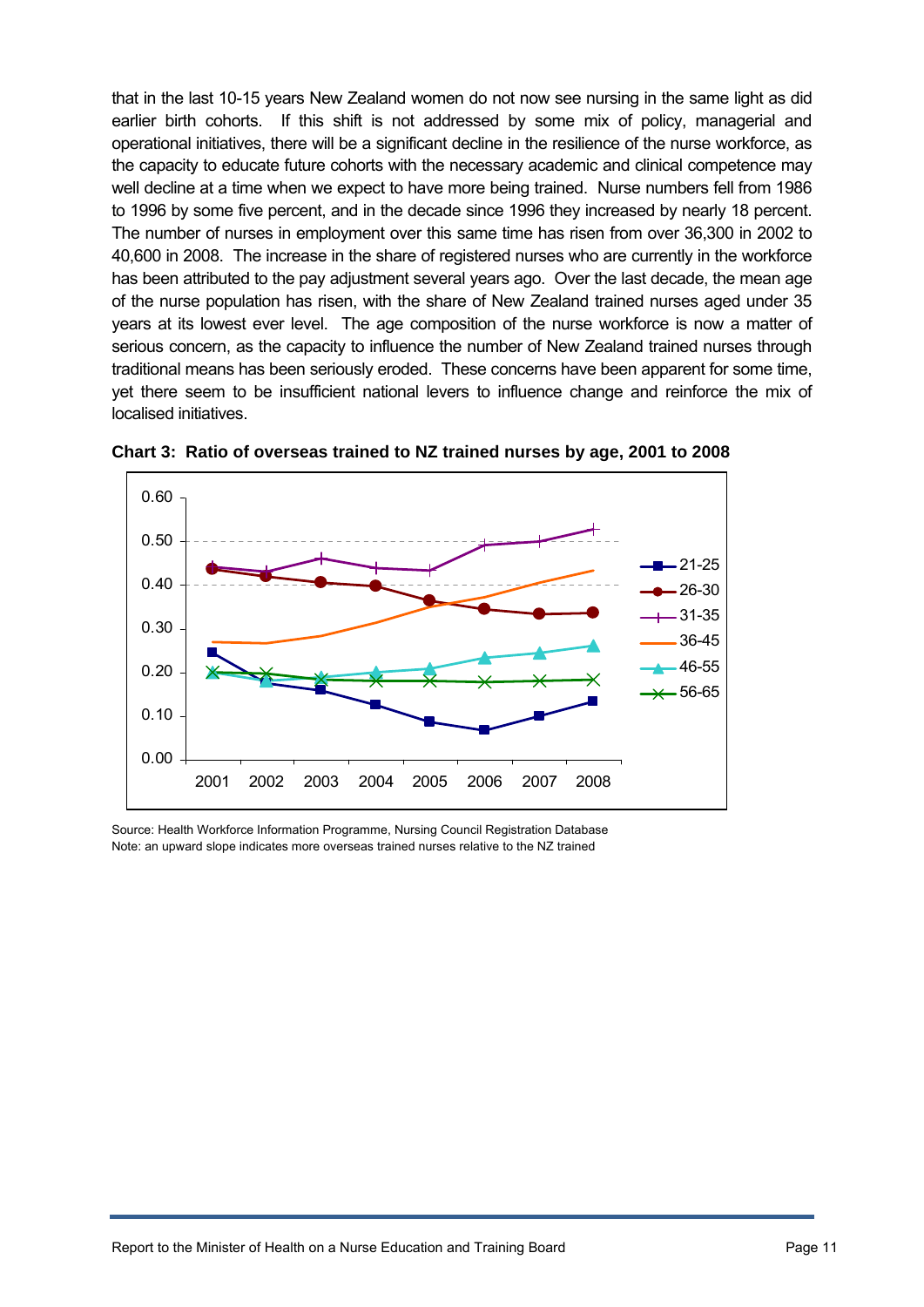that in the last 10-15 years New Zealand women do not now see nursing in the same light as did earlier birth cohorts. If this shift is not addressed by some mix of policy, managerial and operational initiatives, there will be a significant decline in the resilience of the nurse workforce, as the capacity to educate future cohorts with the necessary academic and clinical competence may well decline at a time when we expect to have more being trained. Nurse numbers fell from 1986 to 1996 by some five percent, and in the decade since 1996 they increased by nearly 18 percent. The number of nurses in employment over this same time has risen from over 36,300 in 2002 to 40,600 in 2008. The increase in the share of registered nurses who are currently in the workforce has been attributed to the pay adjustment several years ago. Over the last decade, the mean age of the nurse population has risen, with the share of New Zealand trained nurses aged under 35 years at its lowest ever level. The age composition of the nurse workforce is now a matter of serious concern, as the capacity to influence the number of New Zealand trained nurses through traditional means has been seriously eroded. These concerns have been apparent for some time, yet there seem to be insufficient national levers to influence change and reinforce the mix of localised initiatives.



**Chart 3: Ratio of overseas trained to NZ trained nurses by age, 2001 to 2008** 

Source: Health Workforce Information Programme, Nursing Council Registration Database Note: an upward slope indicates more overseas trained nurses relative to the NZ trained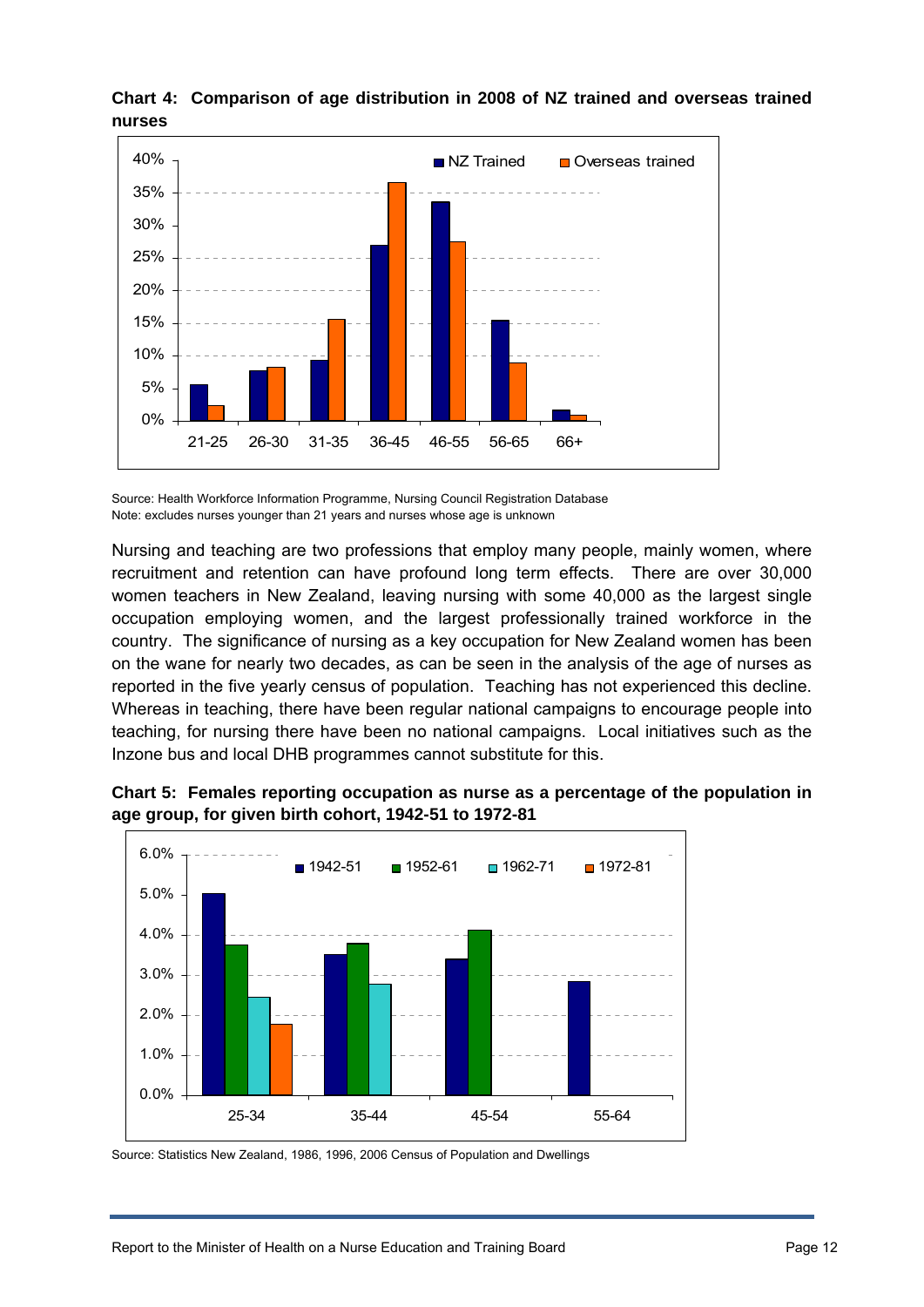

#### **Chart 4: Comparison of age distribution in 2008 of NZ trained and overseas trained nurses**

Source: Health Workforce Information Programme, Nursing Council Registration Database Note: excludes nurses younger than 21 years and nurses whose age is unknown

Nursing and teaching are two professions that employ many people, mainly women, where recruitment and retention can have profound long term effects. There are over 30,000 women teachers in New Zealand, leaving nursing with some 40,000 as the largest single occupation employing women, and the largest professionally trained workforce in the country. The significance of nursing as a key occupation for New Zealand women has been on the wane for nearly two decades, as can be seen in the analysis of the age of nurses as reported in the five yearly census of population. Teaching has not experienced this decline. Whereas in teaching, there have been regular national campaigns to encourage people into teaching, for nursing there have been no national campaigns. Local initiatives such as the Inzone bus and local DHB programmes cannot substitute for this.



**Chart 5: Females reporting occupation as nurse as a percentage of the population in age group, for given birth cohort, 1942-51 to 1972-81** 

Source: Statistics New Zealand, 1986, 1996, 2006 Census of Population and Dwellings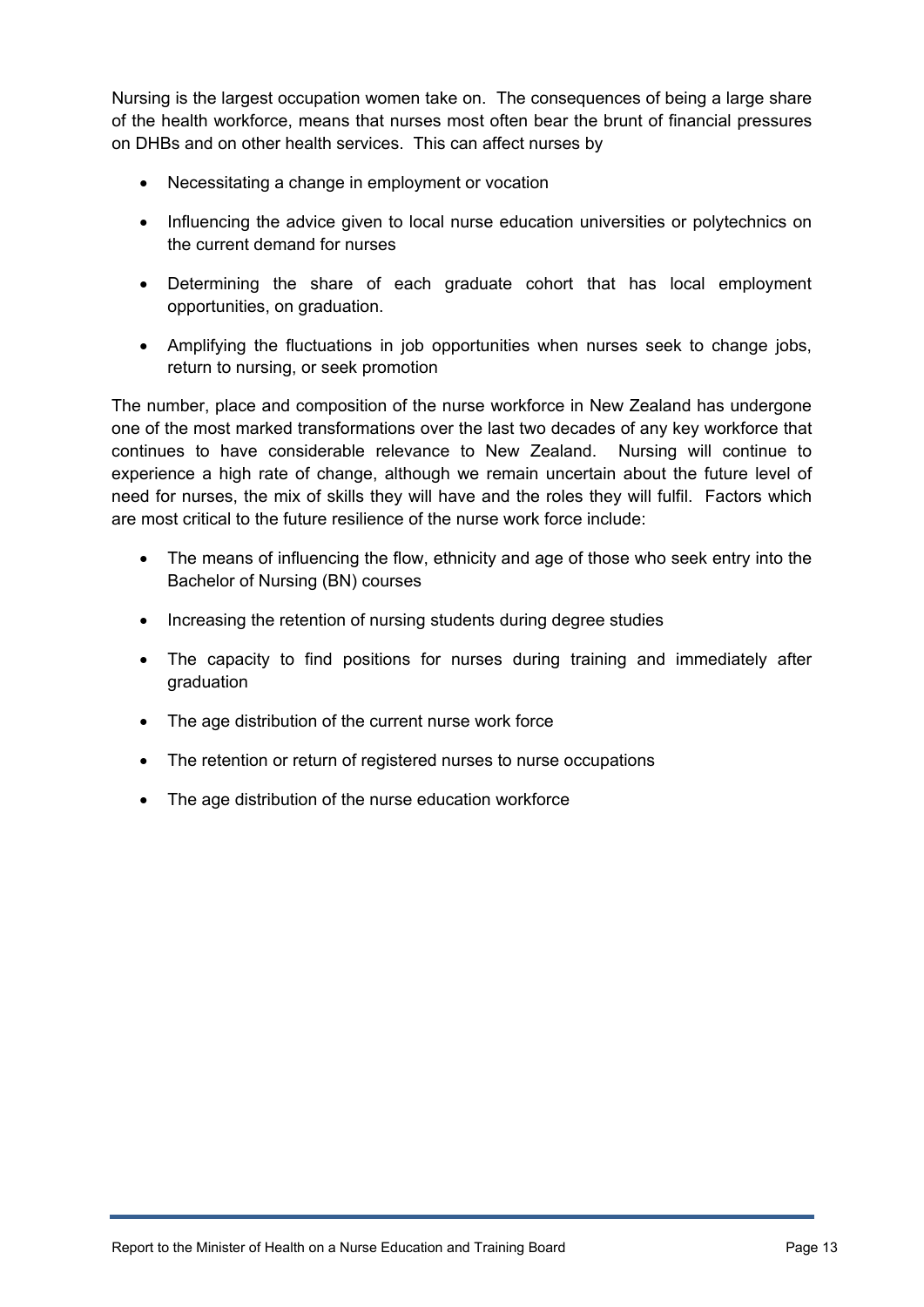Nursing is the largest occupation women take on. The consequences of being a large share of the health workforce, means that nurses most often bear the brunt of financial pressures on DHBs and on other health services. This can affect nurses by

- Necessitating a change in employment or vocation
- Influencing the advice given to local nurse education universities or polytechnics on the current demand for nurses
- Determining the share of each graduate cohort that has local employment opportunities, on graduation.
- Amplifying the fluctuations in job opportunities when nurses seek to change jobs, return to nursing, or seek promotion

The number, place and composition of the nurse workforce in New Zealand has undergone one of the most marked transformations over the last two decades of any key workforce that continues to have considerable relevance to New Zealand. Nursing will continue to experience a high rate of change, although we remain uncertain about the future level of need for nurses, the mix of skills they will have and the roles they will fulfil. Factors which are most critical to the future resilience of the nurse work force include:

- The means of influencing the flow, ethnicity and age of those who seek entry into the Bachelor of Nursing (BN) courses
- Increasing the retention of nursing students during degree studies
- The capacity to find positions for nurses during training and immediately after graduation
- The age distribution of the current nurse work force
- The retention or return of registered nurses to nurse occupations
- The age distribution of the nurse education workforce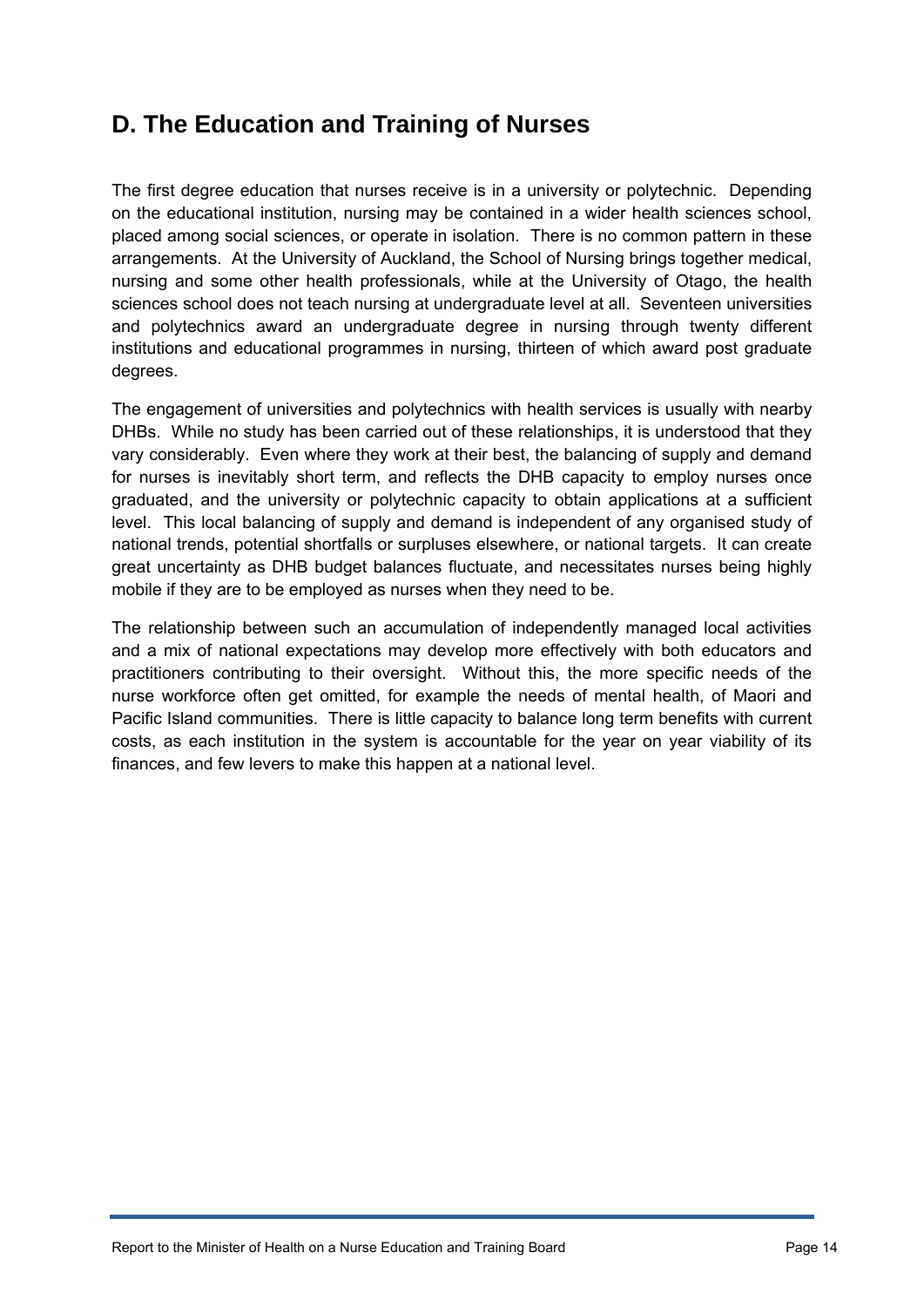# <span id="page-13-0"></span>**D. The Education and Training of Nurses**

The first degree education that nurses receive is in a university or polytechnic. Depending on the educational institution, nursing may be contained in a wider health sciences school, placed among social sciences, or operate in isolation. There is no common pattern in these arrangements. At the University of Auckland, the School of Nursing brings together medical, nursing and some other health professionals, while at the University of Otago, the health sciences school does not teach nursing at undergraduate level at all. Seventeen universities and polytechnics award an undergraduate degree in nursing through twenty different institutions and educational programmes in nursing, thirteen of which award post graduate degrees.

The engagement of universities and polytechnics with health services is usually with nearby DHBs. While no study has been carried out of these relationships, it is understood that they vary considerably. Even where they work at their best, the balancing of supply and demand for nurses is inevitably short term, and reflects the DHB capacity to employ nurses once graduated, and the university or polytechnic capacity to obtain applications at a sufficient level. This local balancing of supply and demand is independent of any organised study of national trends, potential shortfalls or surpluses elsewhere, or national targets. It can create great uncertainty as DHB budget balances fluctuate, and necessitates nurses being highly mobile if they are to be employed as nurses when they need to be.

The relationship between such an accumulation of independently managed local activities and a mix of national expectations may develop more effectively with both educators and practitioners contributing to their oversight. Without this, the more specific needs of the nurse workforce often get omitted, for example the needs of mental health, of Maori and Pacific Island communities. There is little capacity to balance long term benefits with current costs, as each institution in the system is accountable for the year on year viability of its finances, and few levers to make this happen at a national level.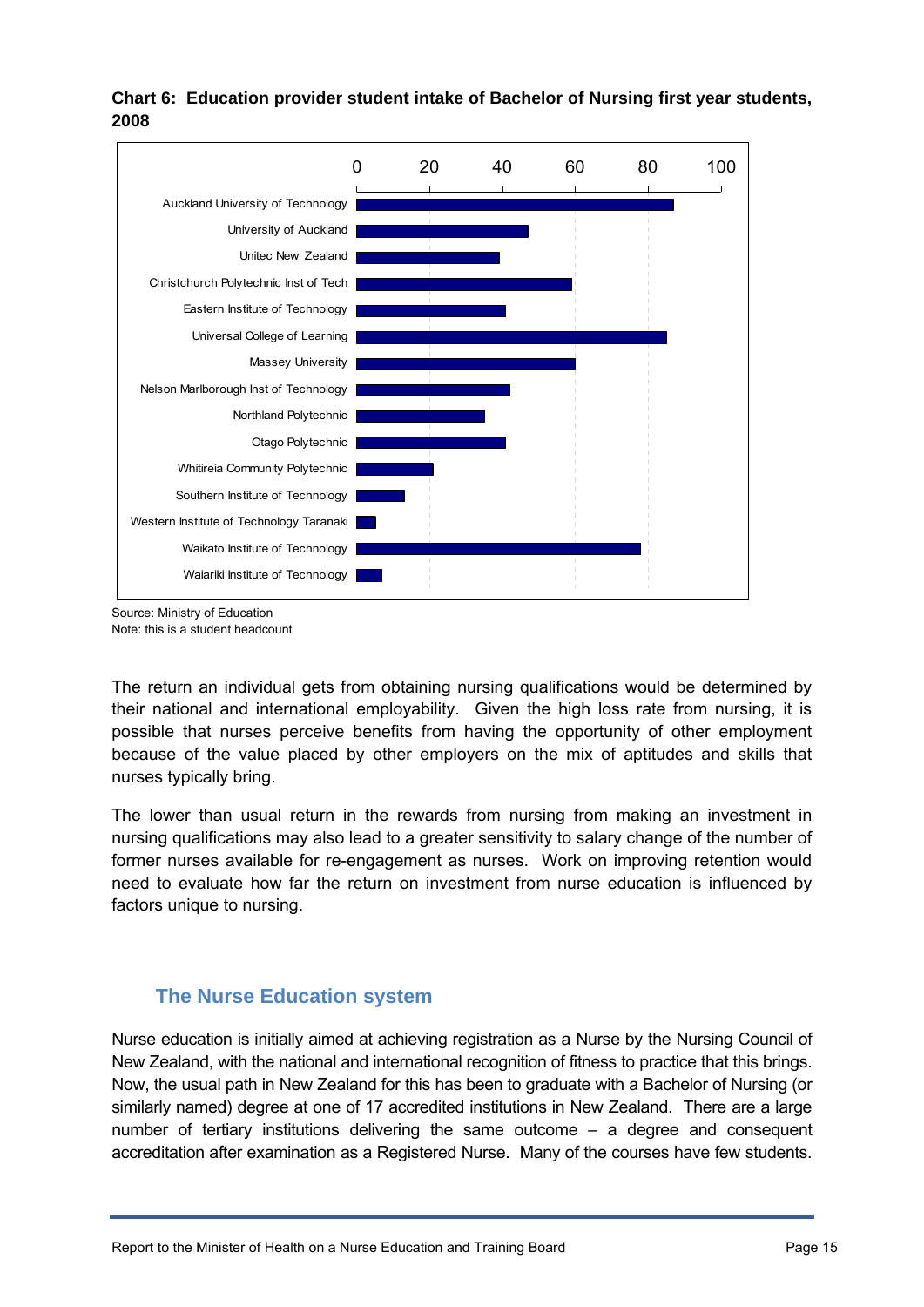

**Chart 6: Education provider student intake of Bachelor of Nursing first year students, 2008** 

Source: Ministry of Education Note: this is a student headcount

The return an individual gets from obtaining nursing qualifications would be determined by their national and international employability. Given the high loss rate from nursing, it is possible that nurses perceive benefits from having the opportunity of other employment because of the value placed by other employers on the mix of aptitudes and skills that nurses typically bring.

The lower than usual return in the rewards from nursing from making an investment in nursing qualifications may also lead to a greater sensitivity to salary change of the number of former nurses available for re-engagement as nurses. Work on improving retention would need to evaluate how far the return on investment from nurse education is influenced by factors unique to nursing.

# **The Nurse Education system**

<span id="page-14-0"></span>Nurse education is initially aimed at achieving registration as a Nurse by the Nursing Council of New Zealand, with the national and international recognition of fitness to practice that this brings. Now, the usual path in New Zealand for this has been to graduate with a Bachelor of Nursing (or similarly named) degree at one of 17 accredited institutions in New Zealand. There are a large number of tertiary institutions delivering the same outcome – a degree and consequent accreditation after examination as a Registered Nurse. Many of the courses have few students.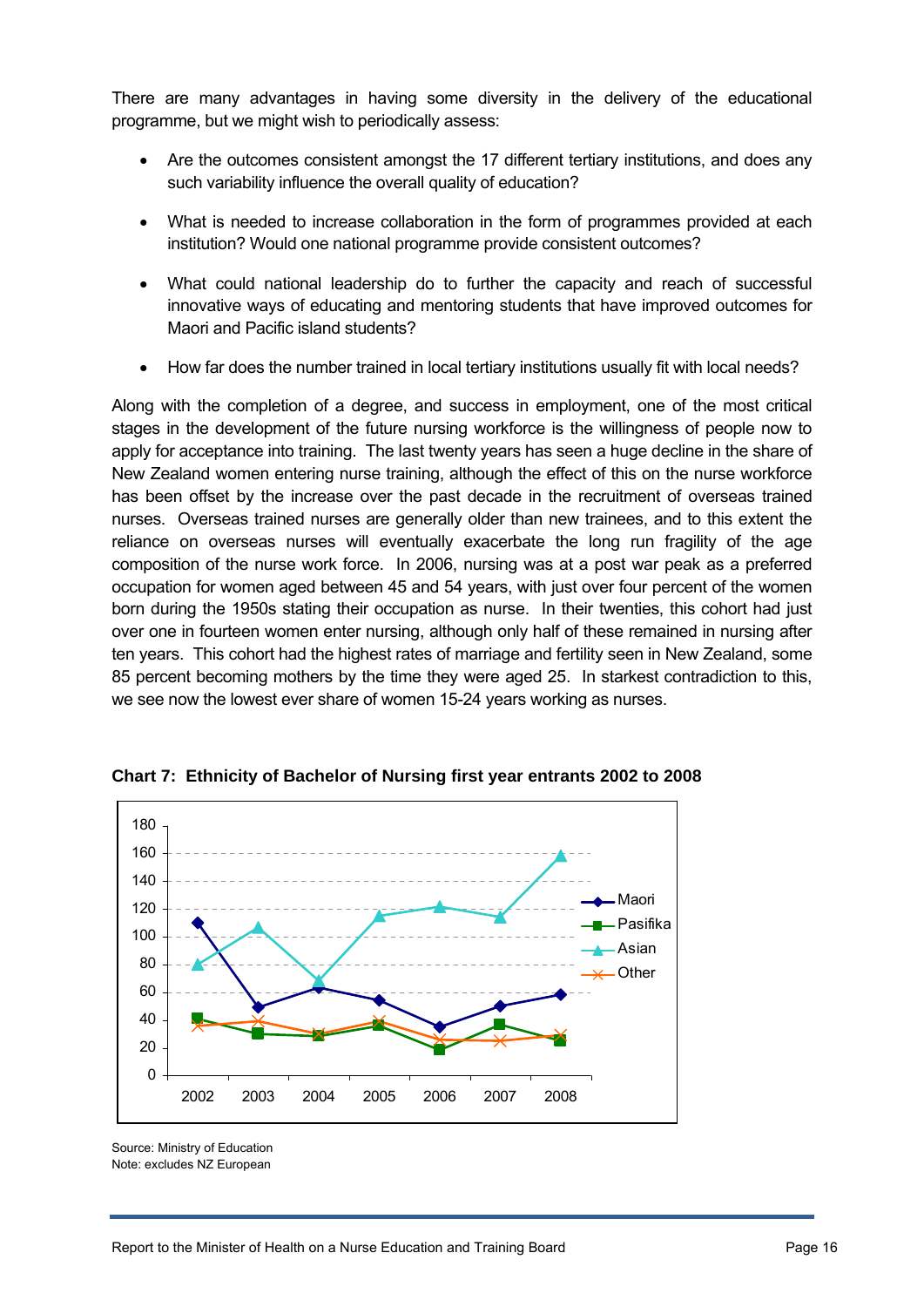There are many advantages in having some diversity in the delivery of the educational programme, but we might wish to periodically assess:

- Are the outcomes consistent amongst the 17 different tertiary institutions, and does any such variability influence the overall quality of education?
- What is needed to increase collaboration in the form of programmes provided at each institution? Would one national programme provide consistent outcomes?
- What could national leadership do to further the capacity and reach of successful innovative ways of educating and mentoring students that have improved outcomes for Maori and Pacific island students?
- How far does the number trained in local tertiary institutions usually fit with local needs?

Along with the completion of a degree, and success in employment, one of the most critical stages in the development of the future nursing workforce is the willingness of people now to apply for acceptance into training. The last twenty years has seen a huge decline in the share of New Zealand women entering nurse training, although the effect of this on the nurse workforce has been offset by the increase over the past decade in the recruitment of overseas trained nurses. Overseas trained nurses are generally older than new trainees, and to this extent the reliance on overseas nurses will eventually exacerbate the long run fragility of the age composition of the nurse work force. In 2006, nursing was at a post war peak as a preferred occupation for women aged between 45 and 54 years, with just over four percent of the women born during the 1950s stating their occupation as nurse. In their twenties, this cohort had just over one in fourteen women enter nursing, although only half of these remained in nursing after ten years. This cohort had the highest rates of marriage and fertility seen in New Zealand, some 85 percent becoming mothers by the time they were aged 25. In starkest contradiction to this, we see now the lowest ever share of women 15-24 years working as nurses.



**Chart 7: Ethnicity of Bachelor of Nursing first year entrants 2002 to 2008** 

Source: Ministry of Education Note: excludes NZ European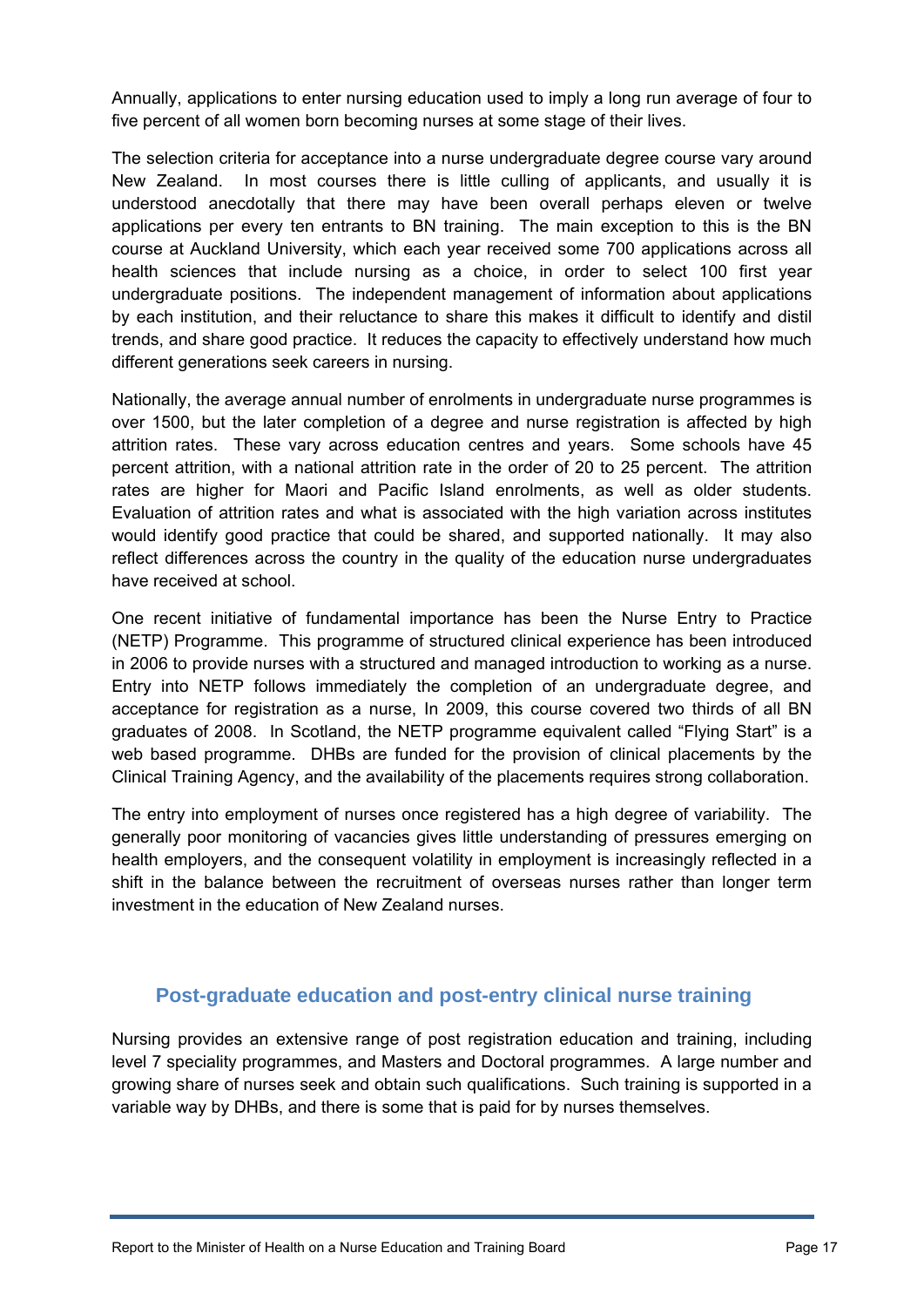Annually, applications to enter nursing education used to imply a long run average of four to five percent of all women born becoming nurses at some stage of their lives.

The selection criteria for acceptance into a nurse undergraduate degree course vary around New Zealand. In most courses there is little culling of applicants, and usually it is understood anecdotally that there may have been overall perhaps eleven or twelve applications per every ten entrants to BN training. The main exception to this is the BN course at Auckland University, which each year received some 700 applications across all health sciences that include nursing as a choice, in order to select 100 first year undergraduate positions. The independent management of information about applications by each institution, and their reluctance to share this makes it difficult to identify and distil trends, and share good practice. It reduces the capacity to effectively understand how much different generations seek careers in nursing.

Nationally, the average annual number of enrolments in undergraduate nurse programmes is over 1500, but the later completion of a degree and nurse registration is affected by high attrition rates. These vary across education centres and years. Some schools have 45 percent attrition, with a national attrition rate in the order of 20 to 25 percent. The attrition rates are higher for Maori and Pacific Island enrolments, as well as older students. Evaluation of attrition rates and what is associated with the high variation across institutes would identify good practice that could be shared, and supported nationally. It may also reflect differences across the country in the quality of the education nurse undergraduates have received at school.

One recent initiative of fundamental importance has been the Nurse Entry to Practice (NETP) Programme. This programme of structured clinical experience has been introduced in 2006 to provide nurses with a structured and managed introduction to working as a nurse. Entry into NETP follows immediately the completion of an undergraduate degree, and acceptance for registration as a nurse, In 2009, this course covered two thirds of all BN graduates of 2008. In Scotland, the NETP programme equivalent called "Flying Start" is a web based programme. DHBs are funded for the provision of clinical placements by the Clinical Training Agency, and the availability of the placements requires strong collaboration.

The entry into employment of nurses once registered has a high degree of variability. The generally poor monitoring of vacancies gives little understanding of pressures emerging on health employers, and the consequent volatility in employment is increasingly reflected in a shift in the balance between the recruitment of overseas nurses rather than longer term investment in the education of New Zealand nurses.

# **Post-graduate education and post-entry clinical nurse training**

<span id="page-16-0"></span>Nursing provides an extensive range of post registration education and training, including level 7 speciality programmes, and Masters and Doctoral programmes. A large number and growing share of nurses seek and obtain such qualifications. Such training is supported in a variable way by DHBs, and there is some that is paid for by nurses themselves.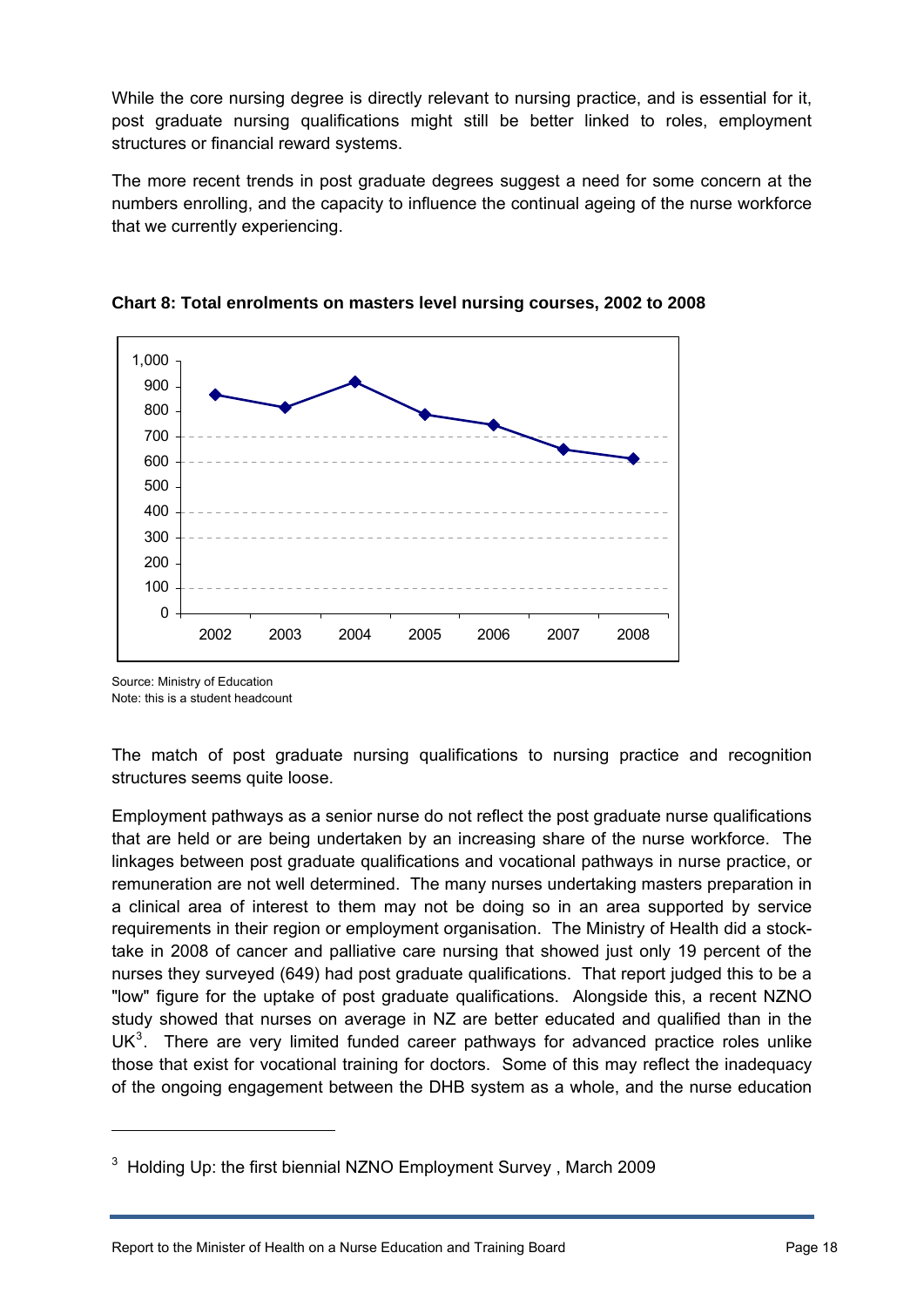While the core nursing degree is directly relevant to nursing practice, and is essential for it, post graduate nursing qualifications might still be better linked to roles, employment structures or financial reward systems.

The more recent trends in post graduate degrees suggest a need for some concern at the numbers enrolling, and the capacity to influence the continual ageing of the nurse workforce that we currently experiencing.





Source: Ministry of Education Note: this is a student headcount

1

The match of post graduate nursing qualifications to nursing practice and recognition structures seems quite loose.

Employment pathways as a senior nurse do not reflect the post graduate nurse qualifications that are held or are being undertaken by an increasing share of the nurse workforce. The linkages between post graduate qualifications and vocational pathways in nurse practice, or remuneration are not well determined. The many nurses undertaking masters preparation in a clinical area of interest to them may not be doing so in an area supported by service requirements in their region or employment organisation. The Ministry of Health did a stocktake in 2008 of cancer and palliative care nursing that showed just only 19 percent of the nurses they surveyed (649) had post graduate qualifications. That report judged this to be a "low" figure for the uptake of post graduate qualifications. Alongside this, a recent NZNO study showed that nurses on average in NZ are better educated and qualified than in the UK $3$ . There are very limited funded career pathways for advanced practice roles unlike those that exist for vocational training for doctors. Some of this may reflect the inadequacy of the ongoing engagement between the DHB system as a whole, and the nurse education

<span id="page-17-0"></span> $3$  Holding Up: the first biennial NZNO Employment Survey, March 2009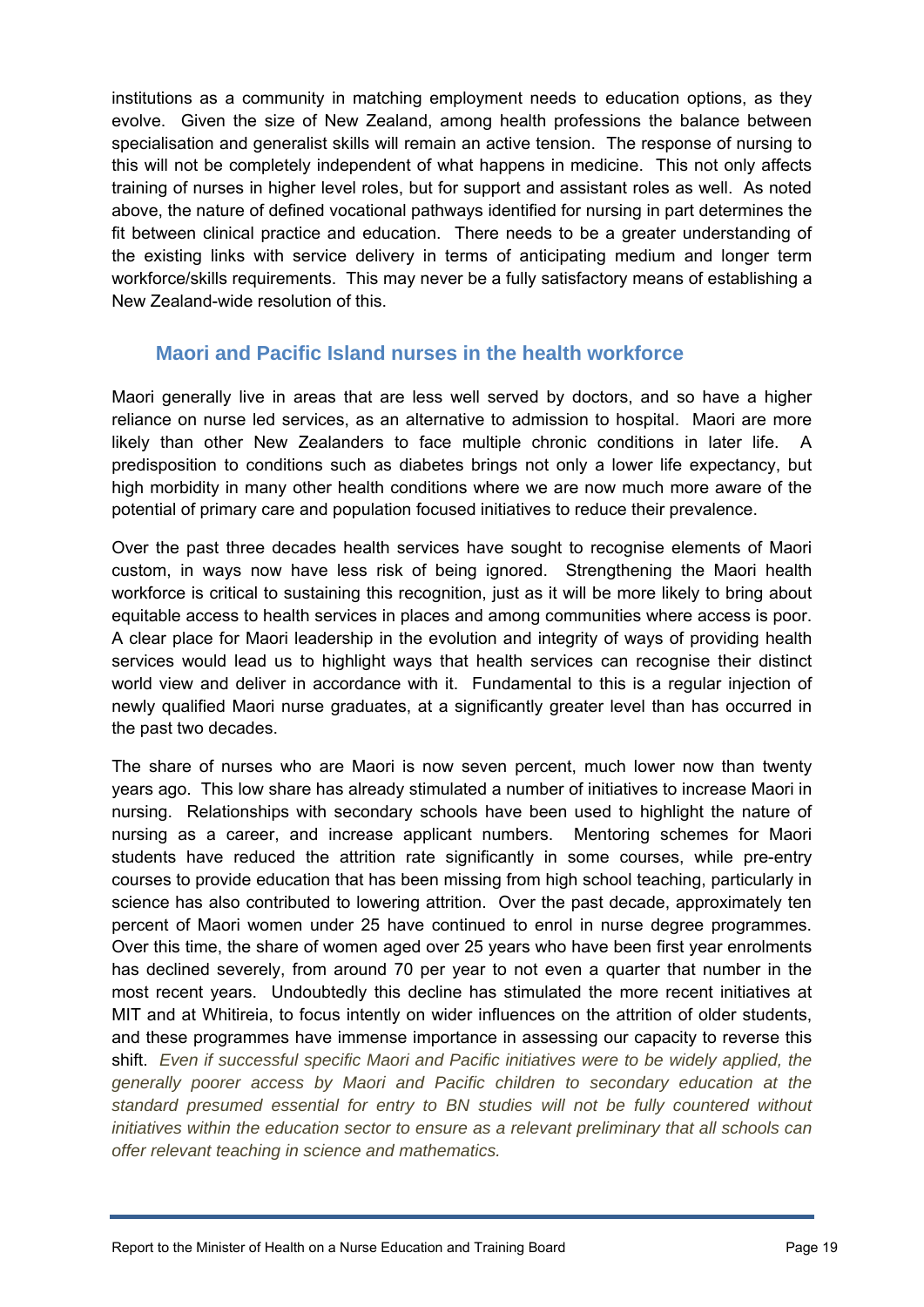institutions as a community in matching employment needs to education options, as they evolve. Given the size of New Zealand, among health professions the balance between specialisation and generalist skills will remain an active tension. The response of nursing to this will not be completely independent of what happens in medicine. This not only affects training of nurses in higher level roles, but for support and assistant roles as well. As noted above, the nature of defined vocational pathways identified for nursing in part determines the fit between clinical practice and education. There needs to be a greater understanding of the existing links with service delivery in terms of anticipating medium and longer term workforce/skills requirements. This may never be a fully satisfactory means of establishing a New Zealand-wide resolution of this.

## **Maori and Pacific Island nurses in the health workforce**

<span id="page-18-0"></span>Maori generally live in areas that are less well served by doctors, and so have a higher reliance on nurse led services, as an alternative to admission to hospital. Maori are more likely than other New Zealanders to face multiple chronic conditions in later life. A predisposition to conditions such as diabetes brings not only a lower life expectancy, but high morbidity in many other health conditions where we are now much more aware of the potential of primary care and population focused initiatives to reduce their prevalence.

Over the past three decades health services have sought to recognise elements of Maori custom, in ways now have less risk of being ignored. Strengthening the Maori health workforce is critical to sustaining this recognition, just as it will be more likely to bring about equitable access to health services in places and among communities where access is poor. A clear place for Maori leadership in the evolution and integrity of ways of providing health services would lead us to highlight ways that health services can recognise their distinct world view and deliver in accordance with it. Fundamental to this is a regular injection of newly qualified Maori nurse graduates, at a significantly greater level than has occurred in the past two decades.

The share of nurses who are Maori is now seven percent, much lower now than twenty years ago. This low share has already stimulated a number of initiatives to increase Maori in nursing. Relationships with secondary schools have been used to highlight the nature of nursing as a career, and increase applicant numbers. Mentoring schemes for Maori students have reduced the attrition rate significantly in some courses, while pre-entry courses to provide education that has been missing from high school teaching, particularly in science has also contributed to lowering attrition. Over the past decade, approximately ten percent of Maori women under 25 have continued to enrol in nurse degree programmes. Over this time, the share of women aged over 25 years who have been first year enrolments has declined severely, from around 70 per year to not even a quarter that number in the most recent years. Undoubtedly this decline has stimulated the more recent initiatives at MIT and at Whitireia, to focus intently on wider influences on the attrition of older students, and these programmes have immense importance in assessing our capacity to reverse this shift. *Even if successful specific Maori and Pacific initiatives were to be widely applied, the generally poorer access by Maori and Pacific children to secondary education at the standard presumed essential for entry to BN studies will not be fully countered without initiatives within the education sector to ensure as a relevant preliminary that all schools can offer relevant teaching in science and mathematics.*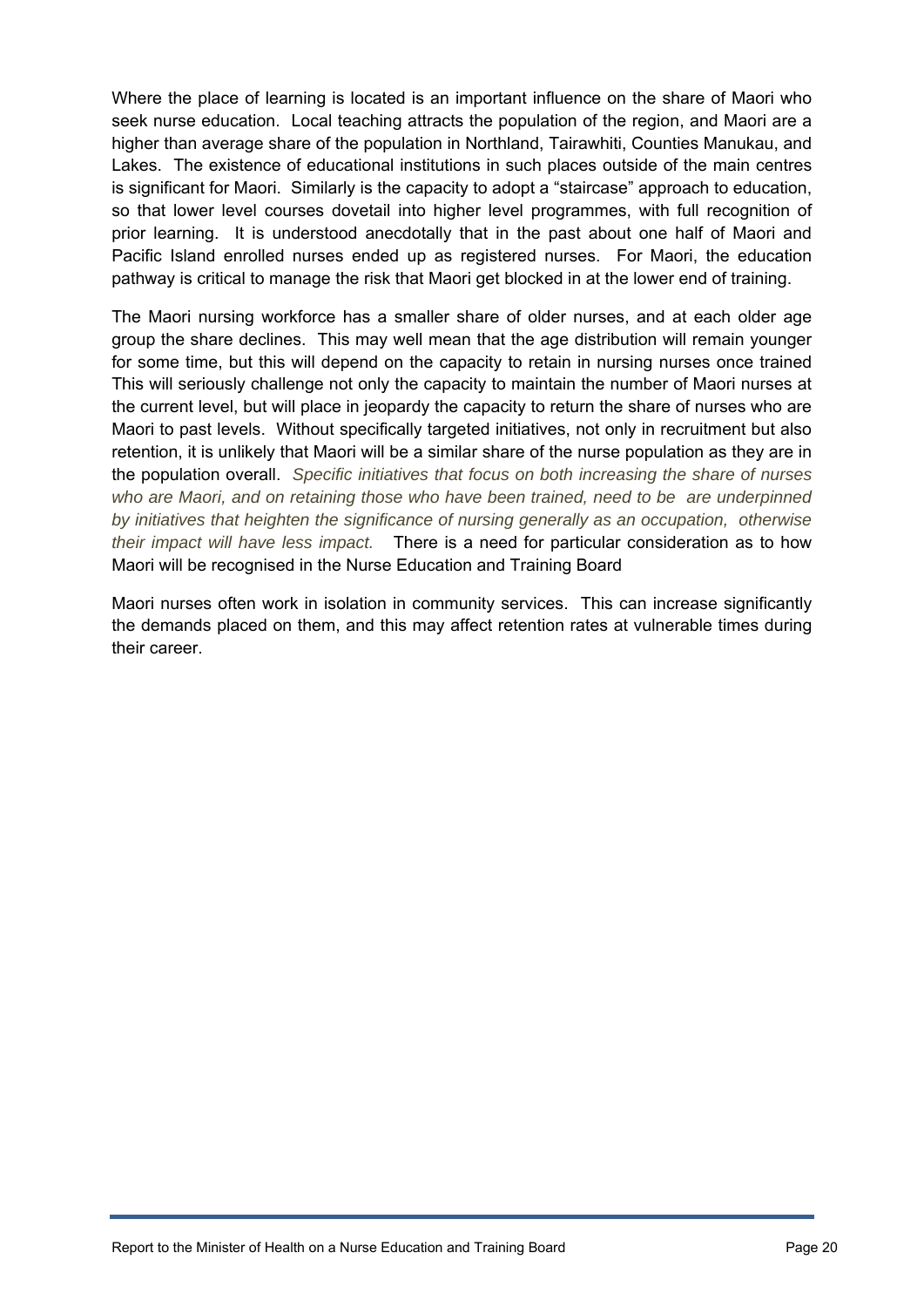Where the place of learning is located is an important influence on the share of Maori who seek nurse education. Local teaching attracts the population of the region, and Maori are a higher than average share of the population in Northland, Tairawhiti, Counties Manukau, and Lakes. The existence of educational institutions in such places outside of the main centres is significant for Maori. Similarly is the capacity to adopt a "staircase" approach to education, so that lower level courses dovetail into higher level programmes, with full recognition of prior learning. It is understood anecdotally that in the past about one half of Maori and Pacific Island enrolled nurses ended up as registered nurses. For Maori, the education pathway is critical to manage the risk that Maori get blocked in at the lower end of training.

The Maori nursing workforce has a smaller share of older nurses, and at each older age group the share declines. This may well mean that the age distribution will remain younger for some time, but this will depend on the capacity to retain in nursing nurses once trained This will seriously challenge not only the capacity to maintain the number of Maori nurses at the current level, but will place in jeopardy the capacity to return the share of nurses who are Maori to past levels. Without specifically targeted initiatives, not only in recruitment but also retention, it is unlikely that Maori will be a similar share of the nurse population as they are in the population overall. *Specific initiatives that focus on both increasing the share of nurses who are Maori, and on retaining those who have been trained, need to be are underpinned by initiatives that heighten the significance of nursing generally as an occupation, otherwise their impact will have less impact.* There is a need for particular consideration as to how Maori will be recognised in the Nurse Education and Training Board

Maori nurses often work in isolation in community services. This can increase significantly the demands placed on them, and this may affect retention rates at vulnerable times during their career.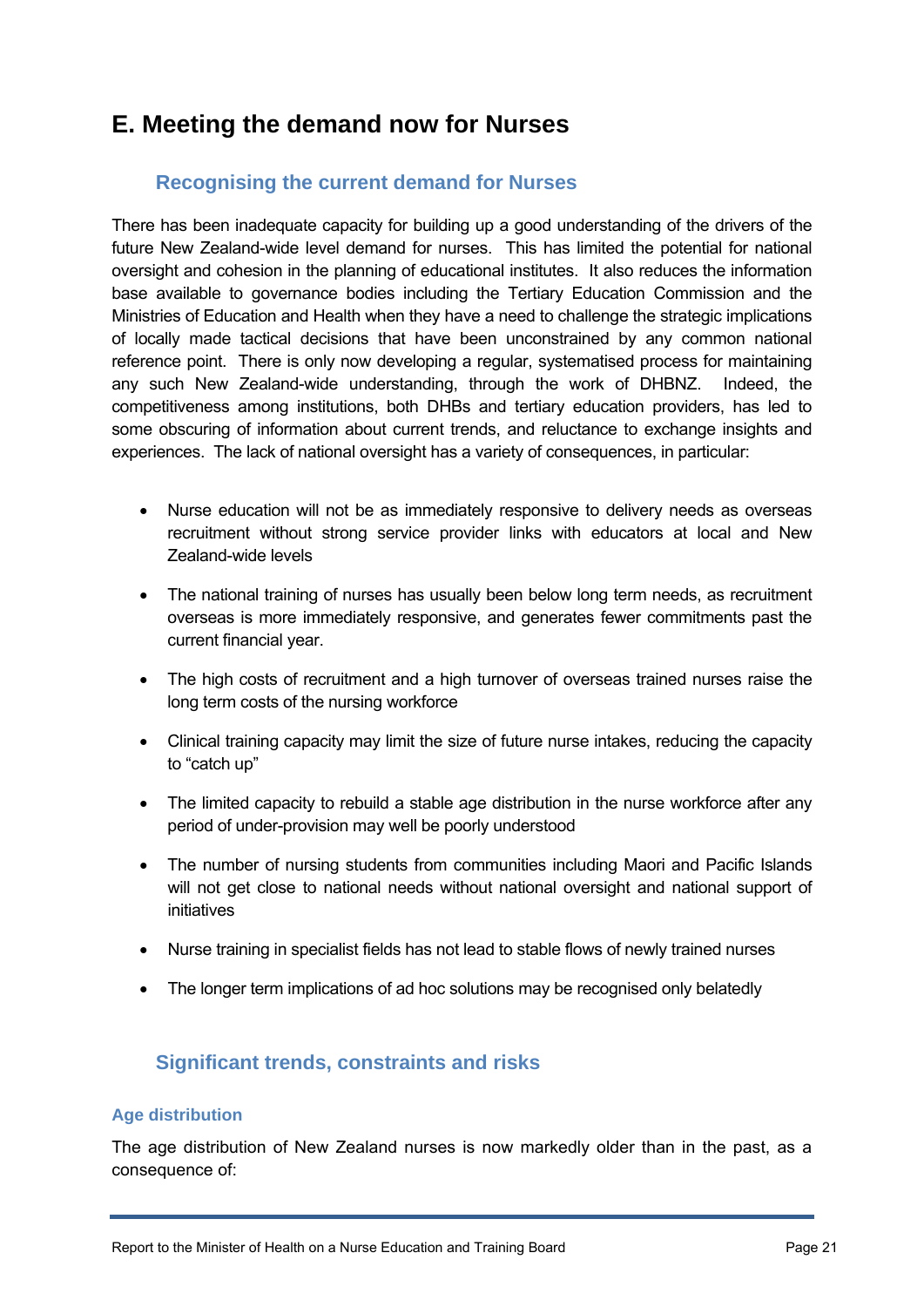# <span id="page-20-0"></span>**E. Meeting the demand now for Nurses**

# **Recognising the current demand for Nurses**

<span id="page-20-1"></span>There has been inadequate capacity for building up a good understanding of the drivers of the future New Zealand-wide level demand for nurses. This has limited the potential for national oversight and cohesion in the planning of educational institutes. It also reduces the information base available to governance bodies including the Tertiary Education Commission and the Ministries of Education and Health when they have a need to challenge the strategic implications of locally made tactical decisions that have been unconstrained by any common national reference point. There is only now developing a regular, systematised process for maintaining any such New Zealand-wide understanding, through the work of DHBNZ. Indeed, the competitiveness among institutions, both DHBs and tertiary education providers, has led to some obscuring of information about current trends, and reluctance to exchange insights and experiences. The lack of national oversight has a variety of consequences, in particular:

- Nurse education will not be as immediately responsive to delivery needs as overseas recruitment without strong service provider links with educators at local and New Zealand-wide levels
- The national training of nurses has usually been below long term needs, as recruitment overseas is more immediately responsive, and generates fewer commitments past the current financial year.
- The high costs of recruitment and a high turnover of overseas trained nurses raise the long term costs of the nursing workforce
- Clinical training capacity may limit the size of future nurse intakes, reducing the capacity to "catch up"
- The limited capacity to rebuild a stable age distribution in the nurse workforce after any period of under-provision may well be poorly understood
- The number of nursing students from communities including Maori and Pacific Islands will not get close to national needs without national oversight and national support of initiatives
- Nurse training in specialist fields has not lead to stable flows of newly trained nurses
- The longer term implications of ad hoc solutions may be recognised only belatedly

## **Significant trends, constraints and risks**

#### <span id="page-20-2"></span>**Age distribution**

The age distribution of New Zealand nurses is now markedly older than in the past, as a consequence of: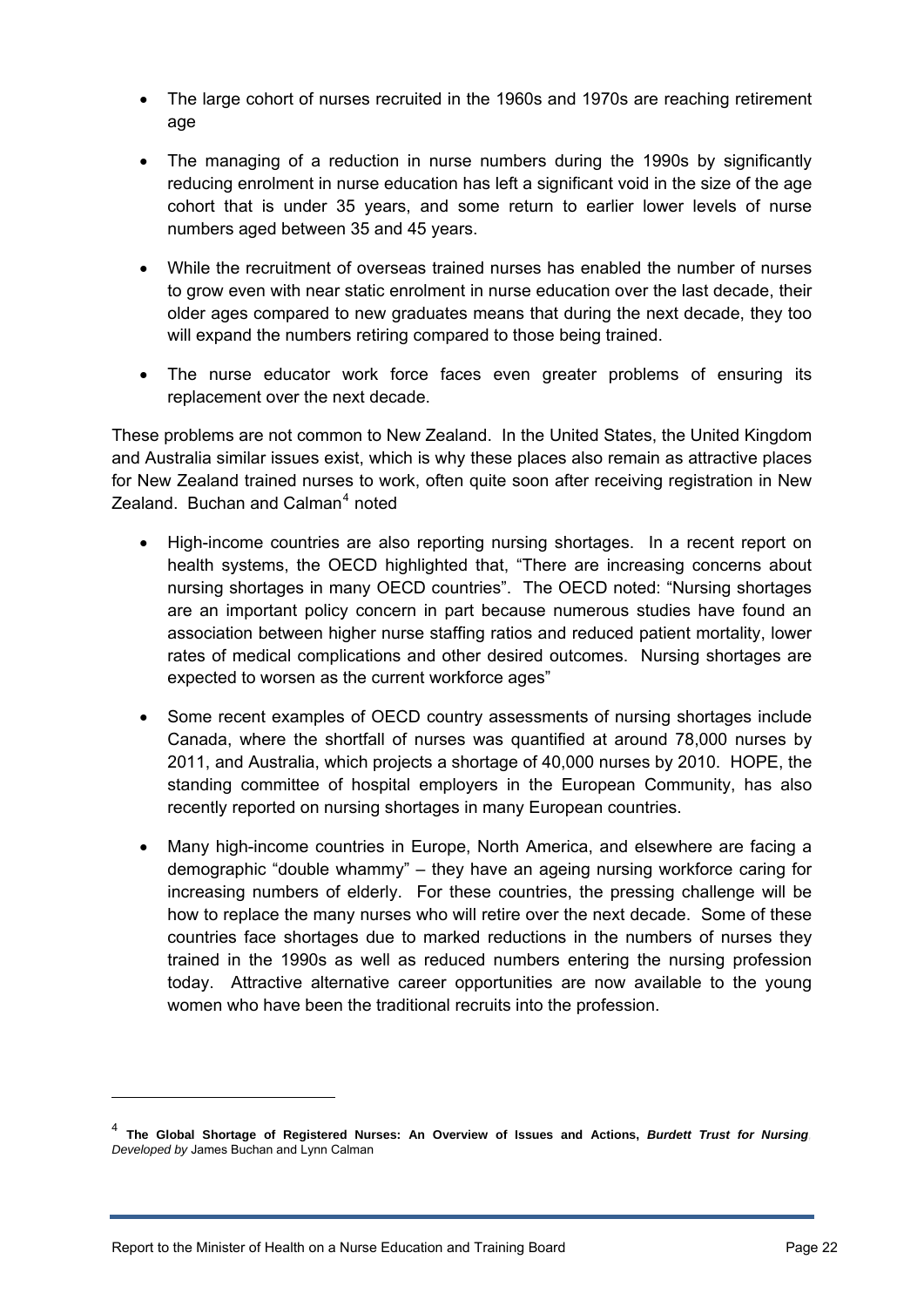- The large cohort of nurses recruited in the 1960s and 1970s are reaching retirement age
- The managing of a reduction in nurse numbers during the 1990s by significantly reducing enrolment in nurse education has left a significant void in the size of the age cohort that is under 35 years, and some return to earlier lower levels of nurse numbers aged between 35 and 45 years.
- While the recruitment of overseas trained nurses has enabled the number of nurses to grow even with near static enrolment in nurse education over the last decade, their older ages compared to new graduates means that during the next decade, they too will expand the numbers retiring compared to those being trained.
- The nurse educator work force faces even greater problems of ensuring its replacement over the next decade.

These problems are not common to New Zealand. In the United States, the United Kingdom and Australia similar issues exist, which is why these places also remain as attractive places for New Zealand trained nurses to work, often quite soon after receiving registration in New Zealand. Buchan and Calman<sup>[4](#page-21-0)</sup> noted

- High-income countries are also reporting nursing shortages. In a recent report on health systems, the OECD highlighted that, "There are increasing concerns about nursing shortages in many OECD countries". The OECD noted: "Nursing shortages are an important policy concern in part because numerous studies have found an association between higher nurse staffing ratios and reduced patient mortality, lower rates of medical complications and other desired outcomes. Nursing shortages are expected to worsen as the current workforce ages"
- Some recent examples of OECD country assessments of nursing shortages include Canada, where the shortfall of nurses was quantified at around 78,000 nurses by 2011, and Australia, which projects a shortage of 40,000 nurses by 2010. HOPE, the standing committee of hospital employers in the European Community, has also recently reported on nursing shortages in many European countries.
- Many high-income countries in Europe, North America, and elsewhere are facing a demographic "double whammy" – they have an ageing nursing workforce caring for increasing numbers of elderly. For these countries, the pressing challenge will be how to replace the many nurses who will retire over the next decade. Some of these countries face shortages due to marked reductions in the numbers of nurses they trained in the 1990s as well as reduced numbers entering the nursing profession today. Attractive alternative career opportunities are now available to the young women who have been the traditional recruits into the profession.

1

<span id="page-21-0"></span><sup>4</sup> **The Global Shortage of Registered Nurses: An Overview of Issues and Actions,** *Burdett Trust for Nursing, Developed by* James Buchan and Lynn Calman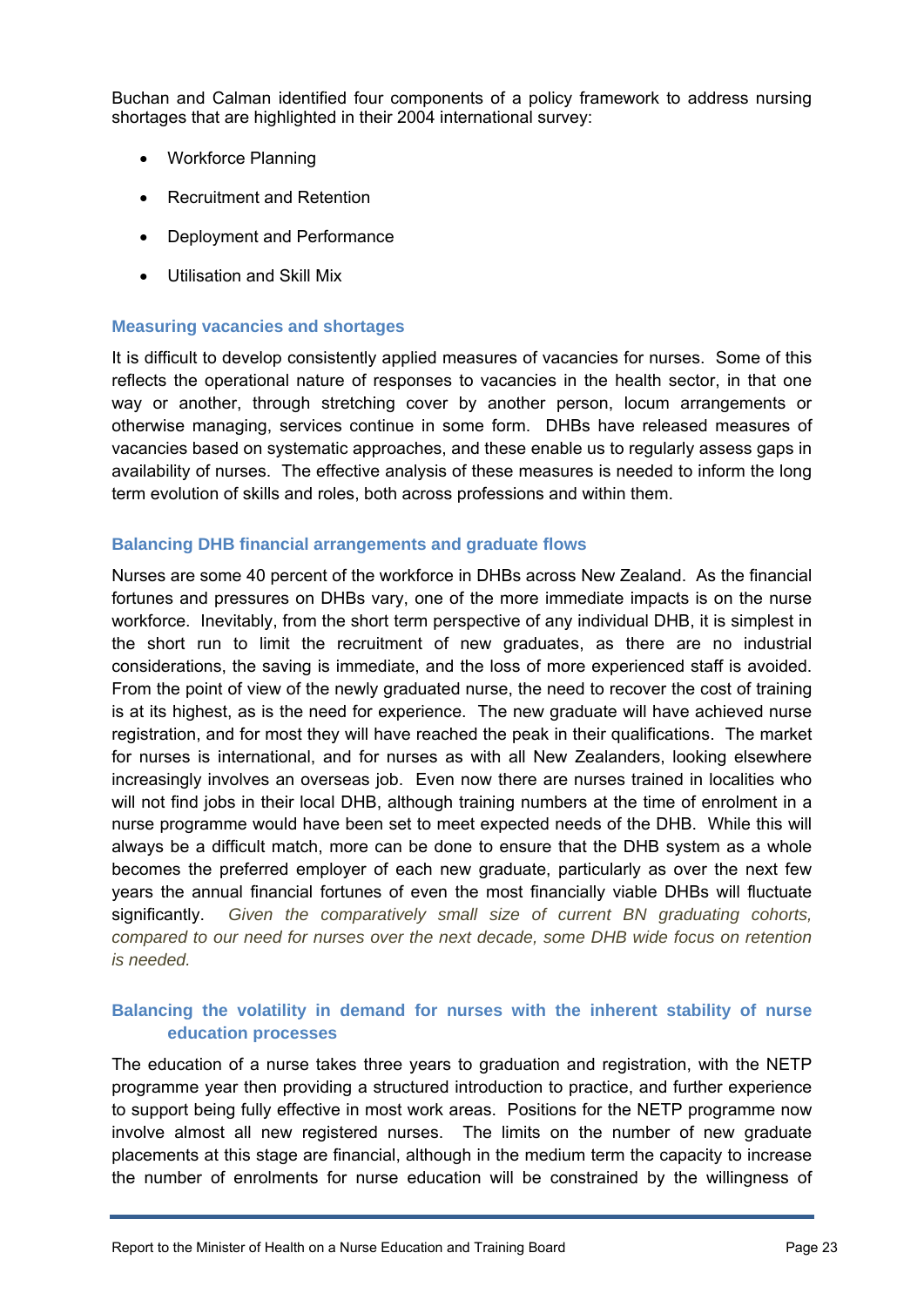Buchan and Calman identified four components of a policy framework to address nursing shortages that are highlighted in their 2004 international survey:

- Workforce Planning
- Recruitment and Retention
- Deployment and Performance
- Utilisation and Skill Mix

#### **Measuring vacancies and shortages**

It is difficult to develop consistently applied measures of vacancies for nurses. Some of this reflects the operational nature of responses to vacancies in the health sector, in that one way or another, through stretching cover by another person, locum arrangements or otherwise managing, services continue in some form. DHBs have released measures of vacancies based on systematic approaches, and these enable us to regularly assess gaps in availability of nurses. The effective analysis of these measures is needed to inform the long term evolution of skills and roles, both across professions and within them.

#### **Balancing DHB financial arrangements and graduate flows**

Nurses are some 40 percent of the workforce in DHBs across New Zealand. As the financial fortunes and pressures on DHBs vary, one of the more immediate impacts is on the nurse workforce. Inevitably, from the short term perspective of any individual DHB, it is simplest in the short run to limit the recruitment of new graduates, as there are no industrial considerations, the saving is immediate, and the loss of more experienced staff is avoided. From the point of view of the newly graduated nurse, the need to recover the cost of training is at its highest, as is the need for experience. The new graduate will have achieved nurse registration, and for most they will have reached the peak in their qualifications. The market for nurses is international, and for nurses as with all New Zealanders, looking elsewhere increasingly involves an overseas job. Even now there are nurses trained in localities who will not find jobs in their local DHB, although training numbers at the time of enrolment in a nurse programme would have been set to meet expected needs of the DHB. While this will always be a difficult match, more can be done to ensure that the DHB system as a whole becomes the preferred employer of each new graduate, particularly as over the next few years the annual financial fortunes of even the most financially viable DHBs will fluctuate significantly. *Given the comparatively small size of current BN graduating cohorts, compared to our need for nurses over the next decade, some DHB wide focus on retention is needed.*

#### **Balancing the volatility in demand for nurses with the inherent stability of nurse education processes**

The education of a nurse takes three years to graduation and registration, with the NETP programme year then providing a structured introduction to practice, and further experience to support being fully effective in most work areas. Positions for the NETP programme now involve almost all new registered nurses. The limits on the number of new graduate placements at this stage are financial, although in the medium term the capacity to increase the number of enrolments for nurse education will be constrained by the willingness of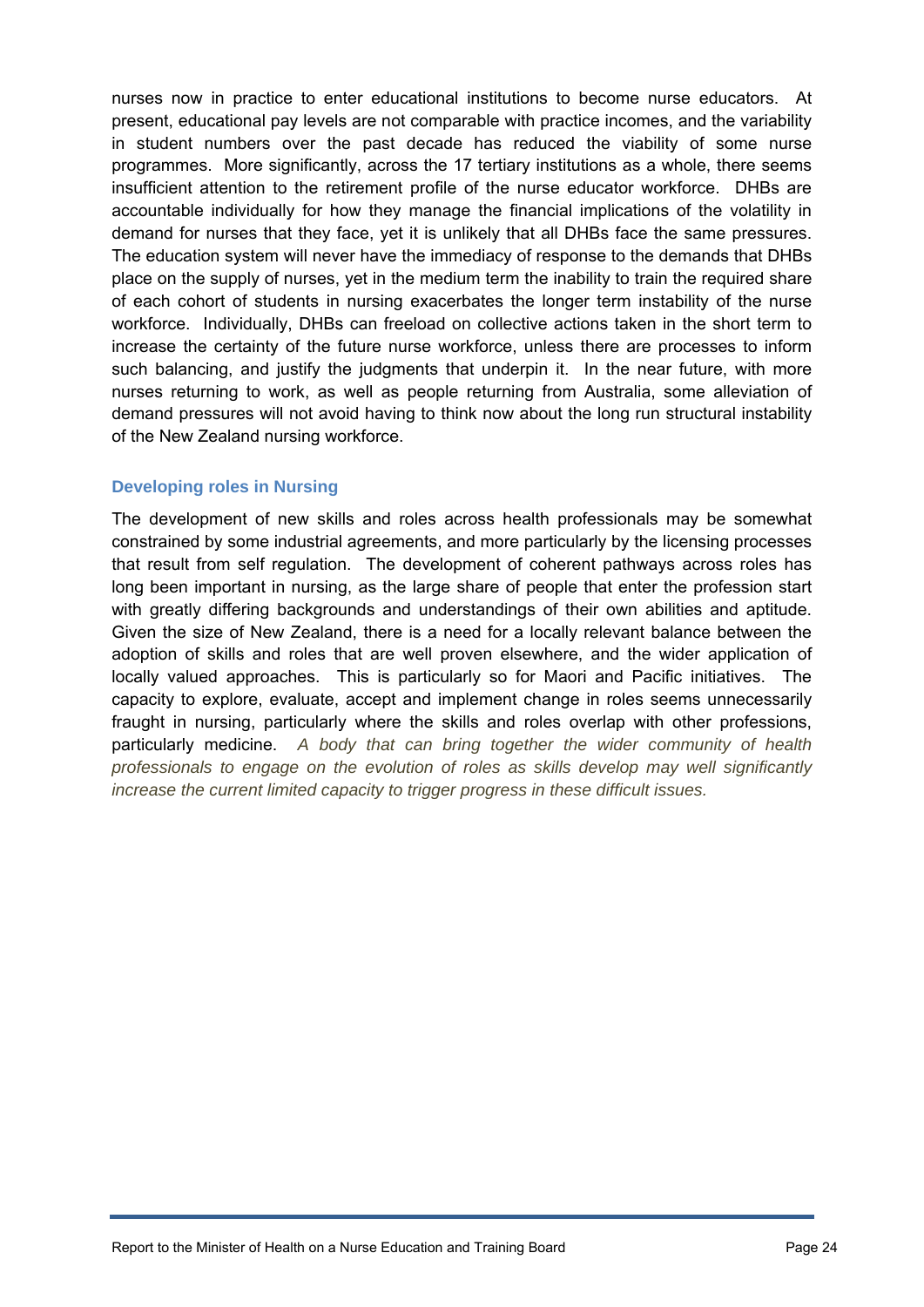nurses now in practice to enter educational institutions to become nurse educators. At present, educational pay levels are not comparable with practice incomes, and the variability in student numbers over the past decade has reduced the viability of some nurse programmes. More significantly, across the 17 tertiary institutions as a whole, there seems insufficient attention to the retirement profile of the nurse educator workforce. DHBs are accountable individually for how they manage the financial implications of the volatility in demand for nurses that they face, yet it is unlikely that all DHBs face the same pressures. The education system will never have the immediacy of response to the demands that DHBs place on the supply of nurses, yet in the medium term the inability to train the required share of each cohort of students in nursing exacerbates the longer term instability of the nurse workforce. Individually, DHBs can freeload on collective actions taken in the short term to increase the certainty of the future nurse workforce, unless there are processes to inform such balancing, and justify the judgments that underpin it. In the near future, with more nurses returning to work, as well as people returning from Australia, some alleviation of demand pressures will not avoid having to think now about the long run structural instability of the New Zealand nursing workforce.

#### **Developing roles in Nursing**

The development of new skills and roles across health professionals may be somewhat constrained by some industrial agreements, and more particularly by the licensing processes that result from self regulation. The development of coherent pathways across roles has long been important in nursing, as the large share of people that enter the profession start with greatly differing backgrounds and understandings of their own abilities and aptitude. Given the size of New Zealand, there is a need for a locally relevant balance between the adoption of skills and roles that are well proven elsewhere, and the wider application of locally valued approaches. This is particularly so for Maori and Pacific initiatives. The capacity to explore, evaluate, accept and implement change in roles seems unnecessarily fraught in nursing, particularly where the skills and roles overlap with other professions, particularly medicine. *A body that can bring together the wider community of health professionals to engage on the evolution of roles as skills develop may well significantly increase the current limited capacity to trigger progress in these difficult issues.*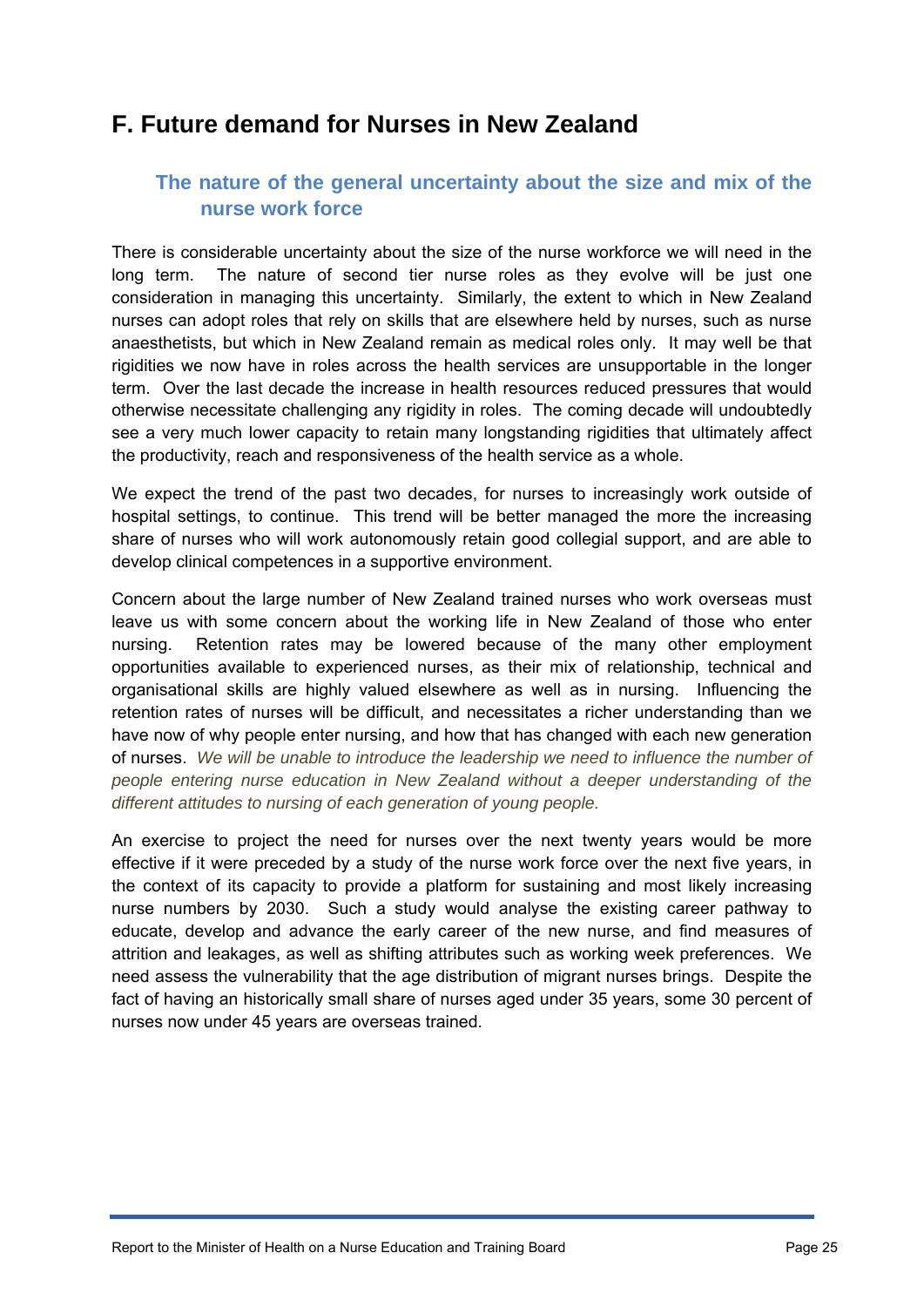# <span id="page-24-1"></span><span id="page-24-0"></span>**F. Future demand for Nurses in New Zealand**

# **The nature of the general uncertainty about the size and mix of the nurse work force**

There is considerable uncertainty about the size of the nurse workforce we will need in the long term. The nature of second tier nurse roles as they evolve will be just one consideration in managing this uncertainty. Similarly, the extent to which in New Zealand nurses can adopt roles that rely on skills that are elsewhere held by nurses, such as nurse anaesthetists, but which in New Zealand remain as medical roles only. It may well be that rigidities we now have in roles across the health services are unsupportable in the longer term. Over the last decade the increase in health resources reduced pressures that would otherwise necessitate challenging any rigidity in roles. The coming decade will undoubtedly see a very much lower capacity to retain many longstanding rigidities that ultimately affect the productivity, reach and responsiveness of the health service as a whole.

We expect the trend of the past two decades, for nurses to increasingly work outside of hospital settings, to continue. This trend will be better managed the more the increasing share of nurses who will work autonomously retain good collegial support, and are able to develop clinical competences in a supportive environment.

Concern about the large number of New Zealand trained nurses who work overseas must leave us with some concern about the working life in New Zealand of those who enter nursing. Retention rates may be lowered because of the many other employment opportunities available to experienced nurses, as their mix of relationship, technical and organisational skills are highly valued elsewhere as well as in nursing. Influencing the retention rates of nurses will be difficult, and necessitates a richer understanding than we have now of why people enter nursing, and how that has changed with each new generation of nurses. *We will be unable to introduce the leadership we need to influence the number of people entering nurse education in New Zealand without a deeper understanding of the different attitudes to nursing of each generation of young people.* 

An exercise to project the need for nurses over the next twenty years would be more effective if it were preceded by a study of the nurse work force over the next five years, in the context of its capacity to provide a platform for sustaining and most likely increasing nurse numbers by 2030. Such a study would analyse the existing career pathway to educate, develop and advance the early career of the new nurse, and find measures of attrition and leakages, as well as shifting attributes such as working week preferences. We need assess the vulnerability that the age distribution of migrant nurses brings. Despite the fact of having an historically small share of nurses aged under 35 years, some 30 percent of nurses now under 45 years are overseas trained.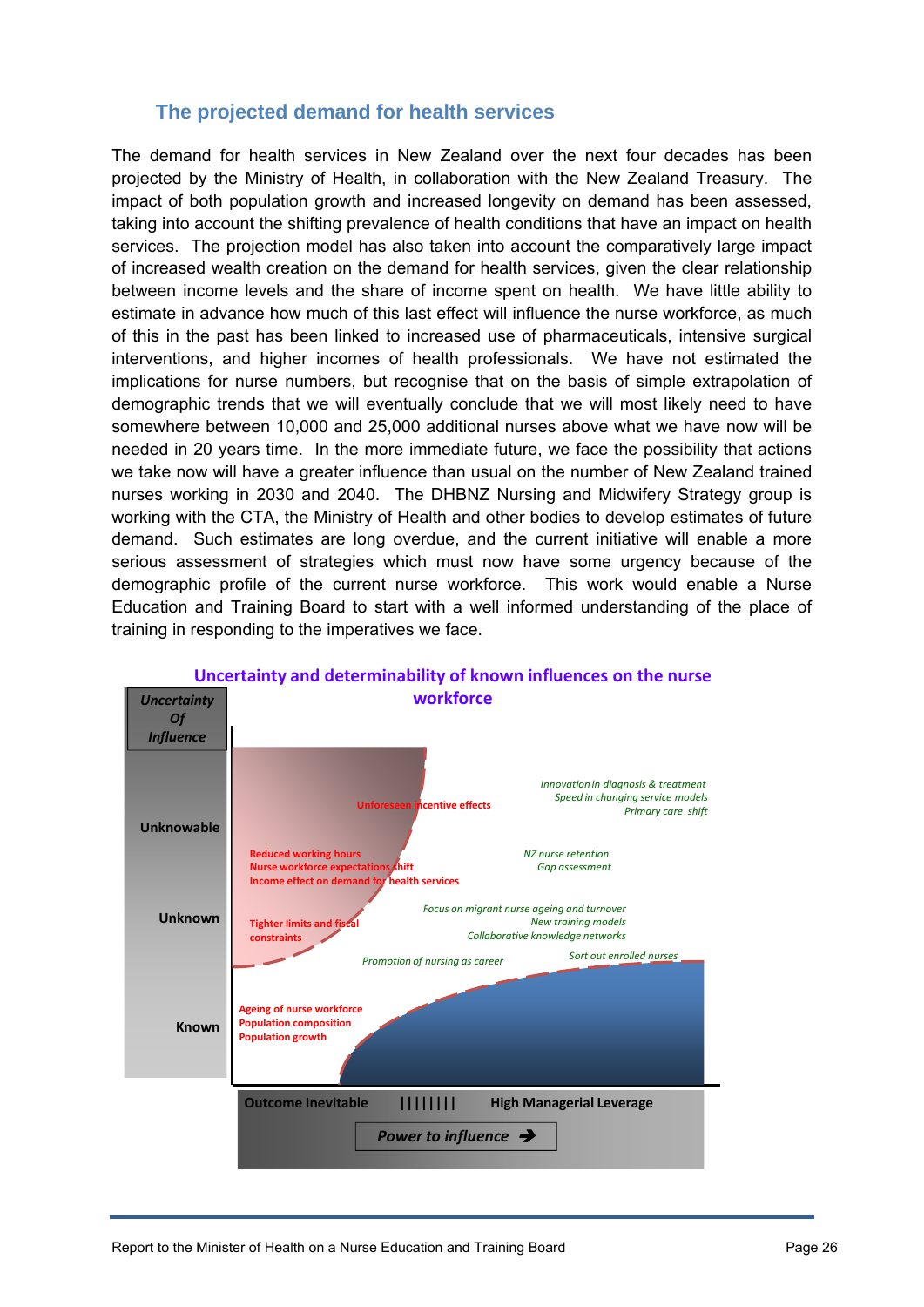## **The projected demand for health services**

<span id="page-25-0"></span>The demand for health services in New Zealand over the next four decades has been projected by the Ministry of Health, in collaboration with the New Zealand Treasury. The impact of both population growth and increased longevity on demand has been assessed, taking into account the shifting prevalence of health conditions that have an impact on health services. The projection model has also taken into account the comparatively large impact of increased wealth creation on the demand for health services, given the clear relationship between income levels and the share of income spent on health. We have little ability to estimate in advance how much of this last effect will influence the nurse workforce, as much of this in the past has been linked to increased use of pharmaceuticals, intensive surgical interventions, and higher incomes of health professionals. We have not estimated the implications for nurse numbers, but recognise that on the basis of simple extrapolation of demographic trends that we will eventually conclude that we will most likely need to have somewhere between 10,000 and 25,000 additional nurses above what we have now will be needed in 20 years time. In the more immediate future, we face the possibility that actions we take now will have a greater influence than usual on the number of New Zealand trained nurses working in 2030 and 2040. The DHBNZ Nursing and Midwifery Strategy group is working with the CTA, the Ministry of Health and other bodies to develop estimates of future demand. Such estimates are long overdue, and the current initiative will enable a more serious assessment of strategies which must now have some urgency because of the demographic profile of the current nurse workforce. This work would enable a Nurse Education and Training Board to start with a well informed understanding of the place of training in responding to the imperatives we face.



## Report to the Minister of Health on a Nurse Education and Training Board **Page 26** Page 26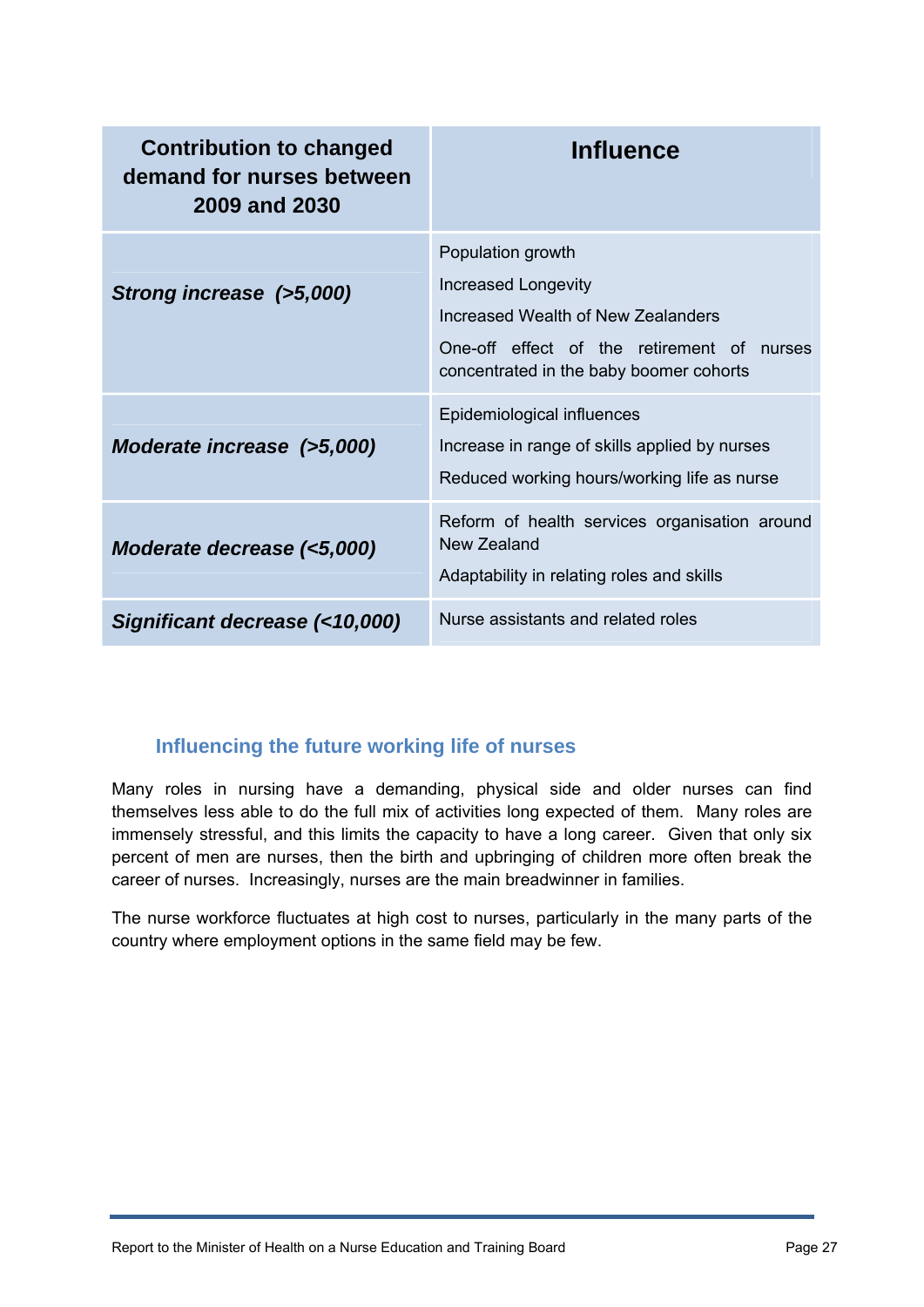| <b>Contribution to changed</b><br>demand for nurses between<br>2009 and 2030 | <b>Influence</b>                                                                                                                                                        |
|------------------------------------------------------------------------------|-------------------------------------------------------------------------------------------------------------------------------------------------------------------------|
| Strong increase (>5,000)                                                     | Population growth<br>Increased Longevity<br>Increased Wealth of New Zealanders<br>One-off effect of the retirement of nurses<br>concentrated in the baby boomer cohorts |
| Moderate increase (>5,000)                                                   | Epidemiological influences<br>Increase in range of skills applied by nurses<br>Reduced working hours/working life as nurse                                              |
| Moderate decrease (<5,000)                                                   | Reform of health services organisation around<br>New Zealand<br>Adaptability in relating roles and skills                                                               |
| Significant decrease (<10,000)                                               | Nurse assistants and related roles                                                                                                                                      |

# **Influencing the future working life of nurses**

<span id="page-26-0"></span>Many roles in nursing have a demanding, physical side and older nurses can find themselves less able to do the full mix of activities long expected of them. Many roles are immensely stressful, and this limits the capacity to have a long career. Given that only six percent of men are nurses, then the birth and upbringing of children more often break the career of nurses. Increasingly, nurses are the main breadwinner in families.

The nurse workforce fluctuates at high cost to nurses, particularly in the many parts of the country where employment options in the same field may be few.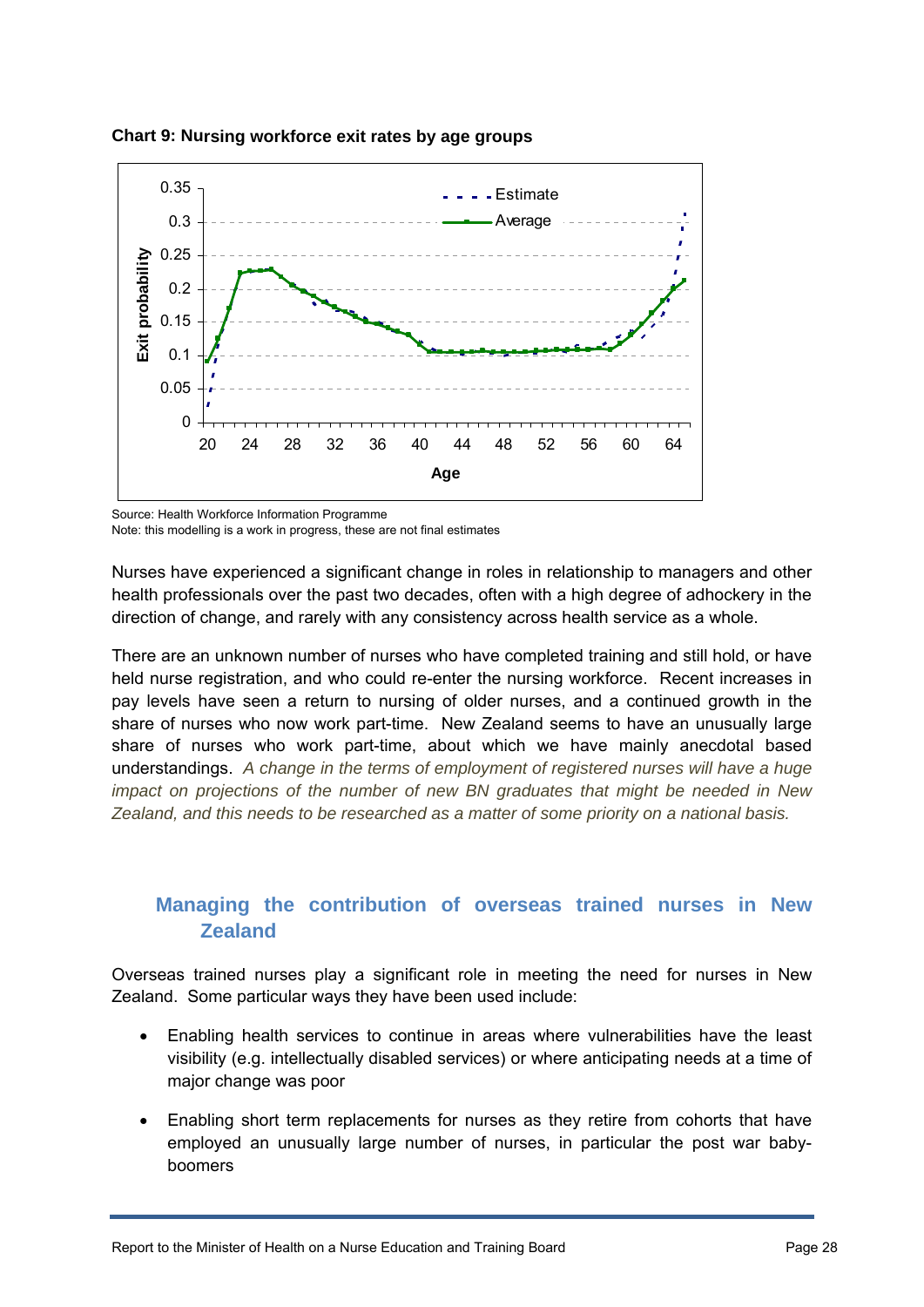

**Chart 9: Nursing workforce exit rates by age groups** 

Source: Health Workforce Information Programme

Note: this modelling is a work in progress, these are not final estimates

Nurses have experienced a significant change in roles in relationship to managers and other health professionals over the past two decades, often with a high degree of adhockery in the direction of change, and rarely with any consistency across health service as a whole.

There are an unknown number of nurses who have completed training and still hold, or have held nurse registration, and who could re-enter the nursing workforce. Recent increases in pay levels have seen a return to nursing of older nurses, and a continued growth in the share of nurses who now work part-time. New Zealand seems to have an unusually large share of nurses who work part-time, about which we have mainly anecdotal based understandings. *A change in the terms of employment of registered nurses will have a huge impact on projections of the number of new BN graduates that might be needed in New Zealand, and this needs to be researched as a matter of some priority on a national basis.* 

# **Managing the contribution of overseas trained nurses in New Zealand**

<span id="page-27-0"></span>Overseas trained nurses play a significant role in meeting the need for nurses in New Zealand. Some particular ways they have been used include:

- Enabling health services to continue in areas where vulnerabilities have the least visibility (e.g. intellectually disabled services) or where anticipating needs at a time of major change was poor
- Enabling short term replacements for nurses as they retire from cohorts that have employed an unusually large number of nurses, in particular the post war babyboomers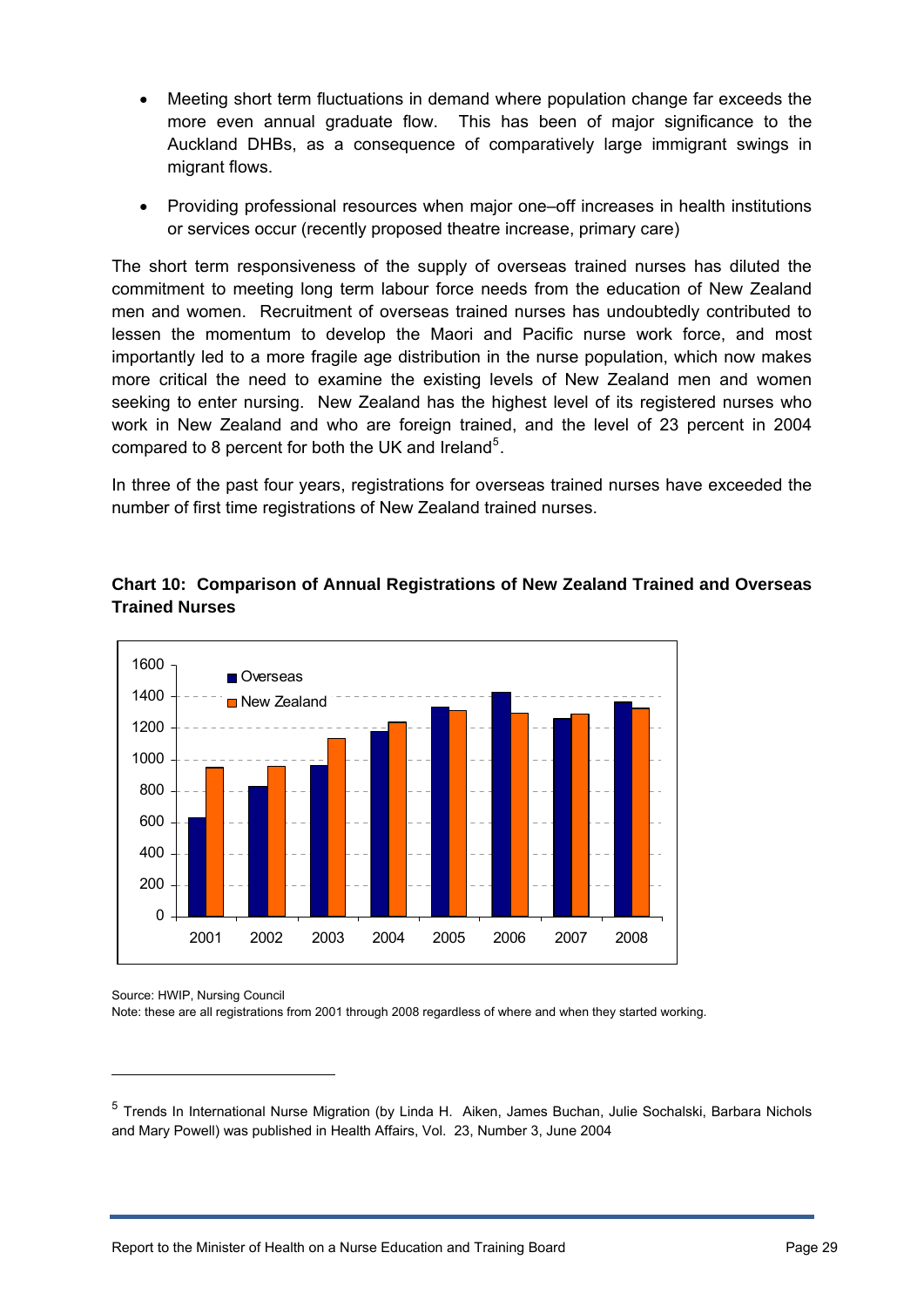- Meeting short term fluctuations in demand where population change far exceeds the more even annual graduate flow. This has been of major significance to the Auckland DHBs, as a consequence of comparatively large immigrant swings in migrant flows.
- Providing professional resources when major one–off increases in health institutions or services occur (recently proposed theatre increase, primary care)

The short term responsiveness of the supply of overseas trained nurses has diluted the commitment to meeting long term labour force needs from the education of New Zealand men and women. Recruitment of overseas trained nurses has undoubtedly contributed to lessen the momentum to develop the Maori and Pacific nurse work force, and most importantly led to a more fragile age distribution in the nurse population, which now makes more critical the need to examine the existing levels of New Zealand men and women seeking to enter nursing. New Zealand has the highest level of its registered nurses who work in New Zealand and who are foreign trained, and the level of 23 percent in 2004 compared to 8 percent for both the UK and Ireland<sup>[5](#page-28-0)</sup>.

In three of the past four years, registrations for overseas trained nurses have exceeded the number of first time registrations of New Zealand trained nurses.

#### **Chart 10: Comparison of Annual Registrations of New Zealand Trained and Overseas Trained Nurses**



Source: HWIP, Nursing Council

1

Note: these are all registrations from 2001 through 2008 regardless of where and when they started working.

<span id="page-28-0"></span><sup>&</sup>lt;sup>5</sup> Trends In International Nurse Migration (by Linda H. Aiken, James Buchan, Julie Sochalski, Barbara Nichols and Mary Powell) was published in Health Affairs, Vol. 23, Number 3, June 2004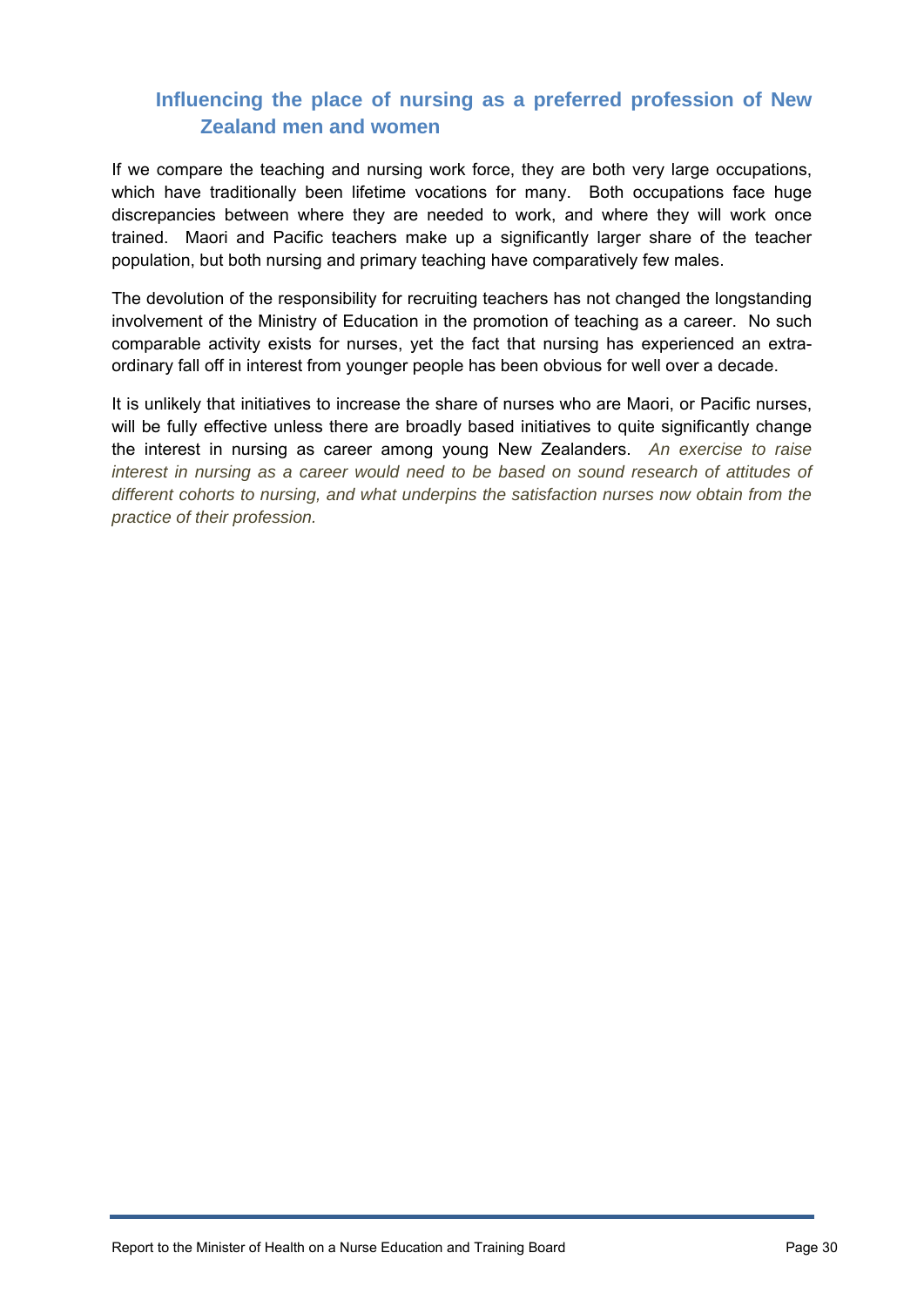# **Influencing the place of nursing as a preferred profession of New Zealand men and women**

<span id="page-29-0"></span>If we compare the teaching and nursing work force, they are both very large occupations, which have traditionally been lifetime vocations for many. Both occupations face huge discrepancies between where they are needed to work, and where they will work once trained. Maori and Pacific teachers make up a significantly larger share of the teacher population, but both nursing and primary teaching have comparatively few males.

The devolution of the responsibility for recruiting teachers has not changed the longstanding involvement of the Ministry of Education in the promotion of teaching as a career. No such comparable activity exists for nurses, yet the fact that nursing has experienced an extraordinary fall off in interest from younger people has been obvious for well over a decade.

It is unlikely that initiatives to increase the share of nurses who are Maori, or Pacific nurses, will be fully effective unless there are broadly based initiatives to quite significantly change the interest in nursing as career among young New Zealanders. *An exercise to raise interest in nursing as a career would need to be based on sound research of attitudes of different cohorts to nursing, and what underpins the satisfaction nurses now obtain from the practice of their profession.*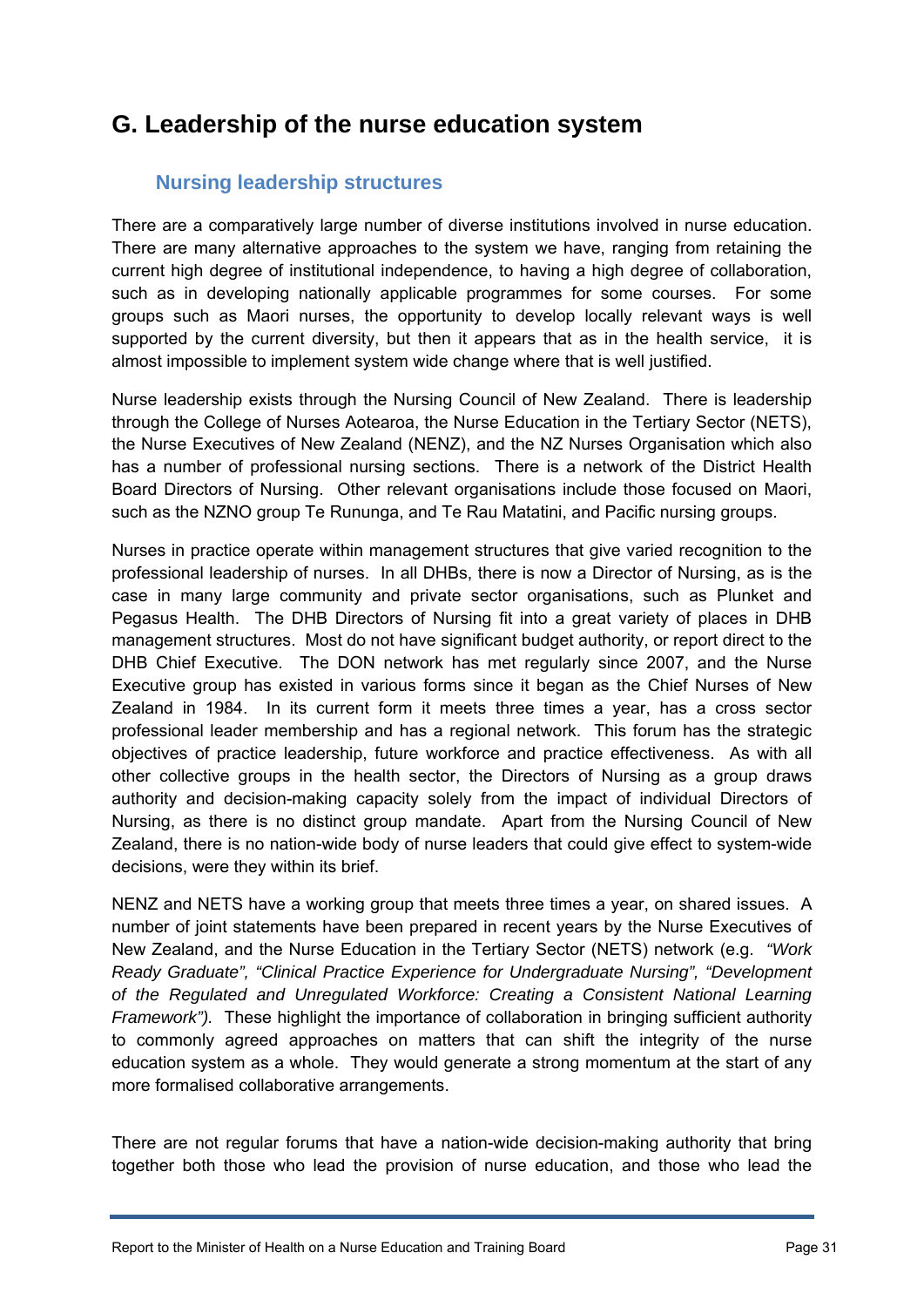# <span id="page-30-0"></span>**G. Leadership of the nurse education system**

# **Nursing leadership structures**

<span id="page-30-1"></span>There are a comparatively large number of diverse institutions involved in nurse education. There are many alternative approaches to the system we have, ranging from retaining the current high degree of institutional independence, to having a high degree of collaboration, such as in developing nationally applicable programmes for some courses. For some groups such as Maori nurses, the opportunity to develop locally relevant ways is well supported by the current diversity, but then it appears that as in the health service, it is almost impossible to implement system wide change where that is well justified.

Nurse leadership exists through the Nursing Council of New Zealand. There is leadership through the College of Nurses Aotearoa, the Nurse Education in the Tertiary Sector (NETS), the Nurse Executives of New Zealand (NENZ), and the NZ Nurses Organisation which also has a number of professional nursing sections. There is a network of the District Health Board Directors of Nursing. Other relevant organisations include those focused on Maori, such as the NZNO group Te Rununga, and Te Rau Matatini, and Pacific nursing groups.

Nurses in practice operate within management structures that give varied recognition to the professional leadership of nurses. In all DHBs, there is now a Director of Nursing, as is the case in many large community and private sector organisations, such as Plunket and Pegasus Health. The DHB Directors of Nursing fit into a great variety of places in DHB management structures. Most do not have significant budget authority, or report direct to the DHB Chief Executive. The DON network has met regularly since 2007, and the Nurse Executive group has existed in various forms since it began as the Chief Nurses of New Zealand in 1984. In its current form it meets three times a year, has a cross sector professional leader membership and has a regional network. This forum has the strategic objectives of practice leadership, future workforce and practice effectiveness. As with all other collective groups in the health sector, the Directors of Nursing as a group draws authority and decision-making capacity solely from the impact of individual Directors of Nursing, as there is no distinct group mandate. Apart from the Nursing Council of New Zealand, there is no nation-wide body of nurse leaders that could give effect to system-wide decisions, were they within its brief.

NENZ and NETS have a working group that meets three times a year, on shared issues. A number of joint statements have been prepared in recent years by the Nurse Executives of New Zealand, and the Nurse Education in the Tertiary Sector (NETS) network (e.g. *"Work Ready Graduate", "Clinical Practice Experience for Undergraduate Nursing", "Development of the Regulated and Unregulated Workforce: Creating a Consistent National Learning Framework").* These highlight the importance of collaboration in bringing sufficient authority to commonly agreed approaches on matters that can shift the integrity of the nurse education system as a whole. They would generate a strong momentum at the start of any more formalised collaborative arrangements.

There are not regular forums that have a nation-wide decision-making authority that bring together both those who lead the provision of nurse education, and those who lead the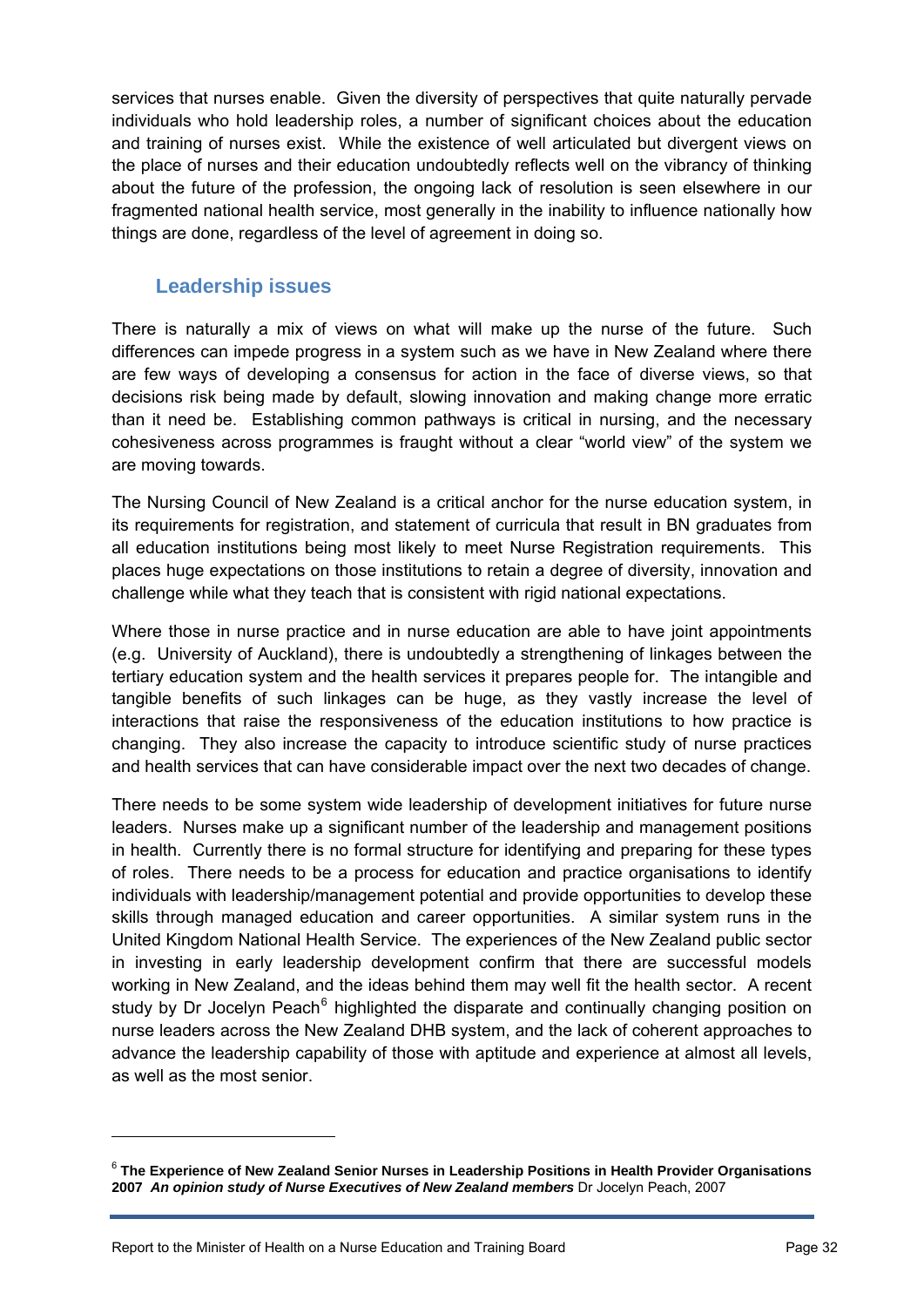services that nurses enable. Given the diversity of perspectives that quite naturally pervade individuals who hold leadership roles, a number of significant choices about the education and training of nurses exist. While the existence of well articulated but divergent views on the place of nurses and their education undoubtedly reflects well on the vibrancy of thinking about the future of the profession, the ongoing lack of resolution is seen elsewhere in our fragmented national health service, most generally in the inability to influence nationally how things are done, regardless of the level of agreement in doing so.

## **Leadership issues**

<span id="page-31-0"></span>There is naturally a mix of views on what will make up the nurse of the future. Such differences can impede progress in a system such as we have in New Zealand where there are few ways of developing a consensus for action in the face of diverse views, so that decisions risk being made by default, slowing innovation and making change more erratic than it need be. Establishing common pathways is critical in nursing, and the necessary cohesiveness across programmes is fraught without a clear "world view" of the system we are moving towards.

The Nursing Council of New Zealand is a critical anchor for the nurse education system, in its requirements for registration, and statement of curricula that result in BN graduates from all education institutions being most likely to meet Nurse Registration requirements. This places huge expectations on those institutions to retain a degree of diversity, innovation and challenge while what they teach that is consistent with rigid national expectations.

Where those in nurse practice and in nurse education are able to have joint appointments (e.g. University of Auckland), there is undoubtedly a strengthening of linkages between the tertiary education system and the health services it prepares people for. The intangible and tangible benefits of such linkages can be huge, as they vastly increase the level of interactions that raise the responsiveness of the education institutions to how practice is changing. They also increase the capacity to introduce scientific study of nurse practices and health services that can have considerable impact over the next two decades of change.

There needs to be some system wide leadership of development initiatives for future nurse leaders. Nurses make up a significant number of the leadership and management positions in health. Currently there is no formal structure for identifying and preparing for these types of roles. There needs to be a process for education and practice organisations to identify individuals with leadership/management potential and provide opportunities to develop these skills through managed education and career opportunities. A similar system runs in the United Kingdom National Health Service. The experiences of the New Zealand public sector in investing in early leadership development confirm that there are successful models working in New Zealand, and the ideas behind them may well fit the health sector. A recent study by Dr Jocelyn Peach<sup>[6](#page-31-1)</sup> highlighted the disparate and continually changing position on nurse leaders across the New Zealand DHB system, and the lack of coherent approaches to advance the leadership capability of those with aptitude and experience at almost all levels, as well as the most senior.

 $\overline{a}$ 

<span id="page-31-1"></span><sup>6</sup> **The Experience of New Zealand Senior Nurses in Leadership Positions in Health Provider Organisations 2007** *An opinion study of Nurse Executives of New Zealand members* Dr Jocelyn Peach, 2007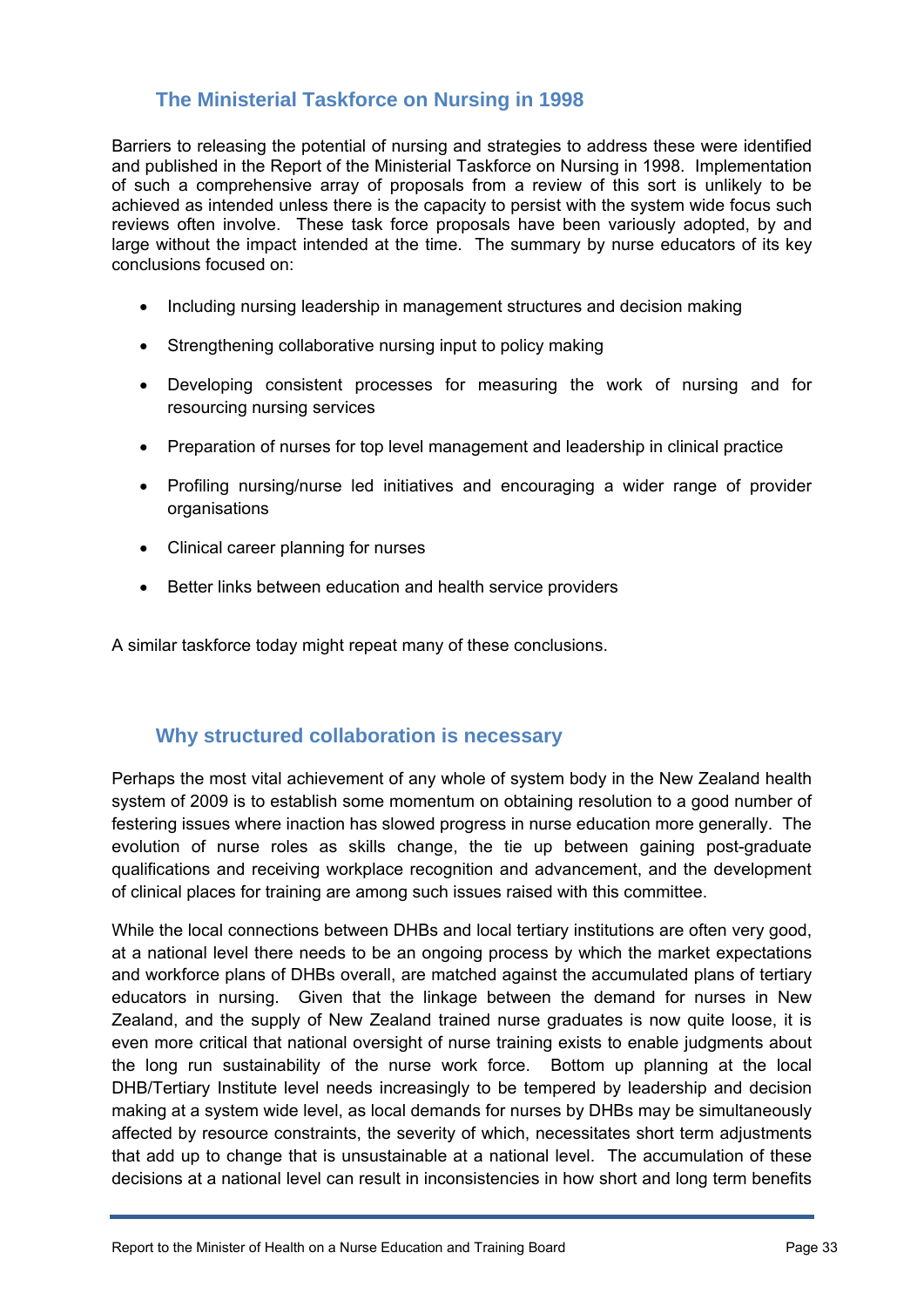# **The Ministerial Taskforce on Nursing in 1998**

<span id="page-32-0"></span>Barriers to releasing the potential of nursing and strategies to address these were identified and published in the Report of the Ministerial Taskforce on Nursing in 1998. Implementation of such a comprehensive array of proposals from a review of this sort is unlikely to be achieved as intended unless there is the capacity to persist with the system wide focus such reviews often involve. These task force proposals have been variously adopted, by and large without the impact intended at the time. The summary by nurse educators of its key conclusions focused on:

- Including nursing leadership in management structures and decision making
- Strengthening collaborative nursing input to policy making
- Developing consistent processes for measuring the work of nursing and for resourcing nursing services
- Preparation of nurses for top level management and leadership in clinical practice
- Profiling nursing/nurse led initiatives and encouraging a wider range of provider organisations
- Clinical career planning for nurses
- Better links between education and health service providers

A similar taskforce today might repeat many of these conclusions.

## **Why structured collaboration is necessary**

<span id="page-32-1"></span>Perhaps the most vital achievement of any whole of system body in the New Zealand health system of 2009 is to establish some momentum on obtaining resolution to a good number of festering issues where inaction has slowed progress in nurse education more generally. The evolution of nurse roles as skills change, the tie up between gaining post-graduate qualifications and receiving workplace recognition and advancement, and the development of clinical places for training are among such issues raised with this committee.

While the local connections between DHBs and local tertiary institutions are often very good, at a national level there needs to be an ongoing process by which the market expectations and workforce plans of DHBs overall, are matched against the accumulated plans of tertiary educators in nursing. Given that the linkage between the demand for nurses in New Zealand, and the supply of New Zealand trained nurse graduates is now quite loose, it is even more critical that national oversight of nurse training exists to enable judgments about the long run sustainability of the nurse work force. Bottom up planning at the local DHB/Tertiary Institute level needs increasingly to be tempered by leadership and decision making at a system wide level, as local demands for nurses by DHBs may be simultaneously affected by resource constraints, the severity of which, necessitates short term adjustments that add up to change that is unsustainable at a national level. The accumulation of these decisions at a national level can result in inconsistencies in how short and long term benefits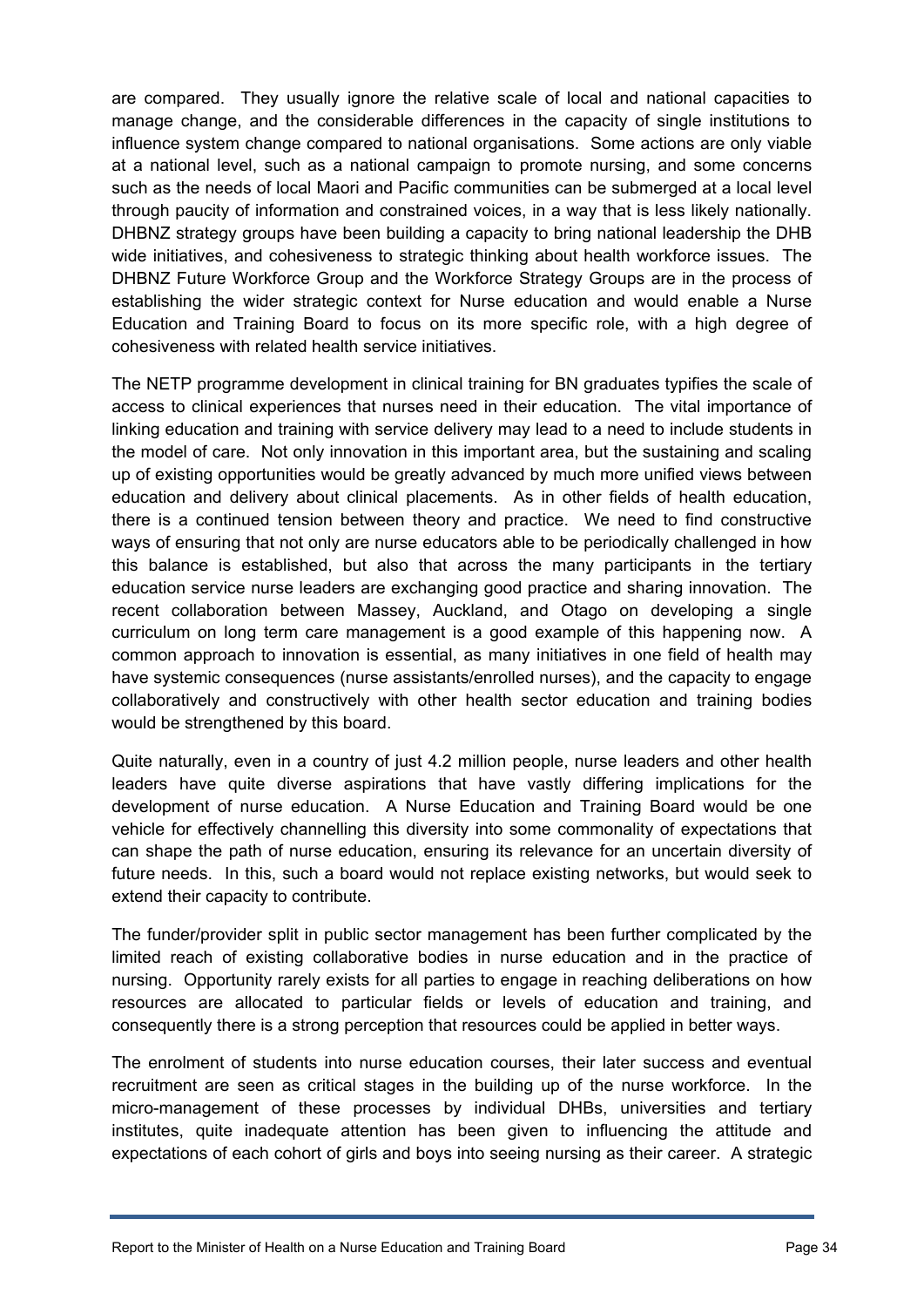are compared. They usually ignore the relative scale of local and national capacities to manage change, and the considerable differences in the capacity of single institutions to influence system change compared to national organisations. Some actions are only viable at a national level, such as a national campaign to promote nursing, and some concerns such as the needs of local Maori and Pacific communities can be submerged at a local level through paucity of information and constrained voices, in a way that is less likely nationally. DHBNZ strategy groups have been building a capacity to bring national leadership the DHB wide initiatives, and cohesiveness to strategic thinking about health workforce issues. The DHBNZ Future Workforce Group and the Workforce Strategy Groups are in the process of establishing the wider strategic context for Nurse education and would enable a Nurse Education and Training Board to focus on its more specific role, with a high degree of cohesiveness with related health service initiatives.

The NETP programme development in clinical training for BN graduates typifies the scale of access to clinical experiences that nurses need in their education. The vital importance of linking education and training with service delivery may lead to a need to include students in the model of care. Not only innovation in this important area, but the sustaining and scaling up of existing opportunities would be greatly advanced by much more unified views between education and delivery about clinical placements. As in other fields of health education, there is a continued tension between theory and practice. We need to find constructive ways of ensuring that not only are nurse educators able to be periodically challenged in how this balance is established, but also that across the many participants in the tertiary education service nurse leaders are exchanging good practice and sharing innovation. The recent collaboration between Massey, Auckland, and Otago on developing a single curriculum on long term care management is a good example of this happening now. A common approach to innovation is essential, as many initiatives in one field of health may have systemic consequences (nurse assistants/enrolled nurses), and the capacity to engage collaboratively and constructively with other health sector education and training bodies would be strengthened by this board.

Quite naturally, even in a country of just 4.2 million people, nurse leaders and other health leaders have quite diverse aspirations that have vastly differing implications for the development of nurse education. A Nurse Education and Training Board would be one vehicle for effectively channelling this diversity into some commonality of expectations that can shape the path of nurse education, ensuring its relevance for an uncertain diversity of future needs. In this, such a board would not replace existing networks, but would seek to extend their capacity to contribute.

The funder/provider split in public sector management has been further complicated by the limited reach of existing collaborative bodies in nurse education and in the practice of nursing. Opportunity rarely exists for all parties to engage in reaching deliberations on how resources are allocated to particular fields or levels of education and training, and consequently there is a strong perception that resources could be applied in better ways.

The enrolment of students into nurse education courses, their later success and eventual recruitment are seen as critical stages in the building up of the nurse workforce. In the micro-management of these processes by individual DHBs, universities and tertiary institutes, quite inadequate attention has been given to influencing the attitude and expectations of each cohort of girls and boys into seeing nursing as their career. A strategic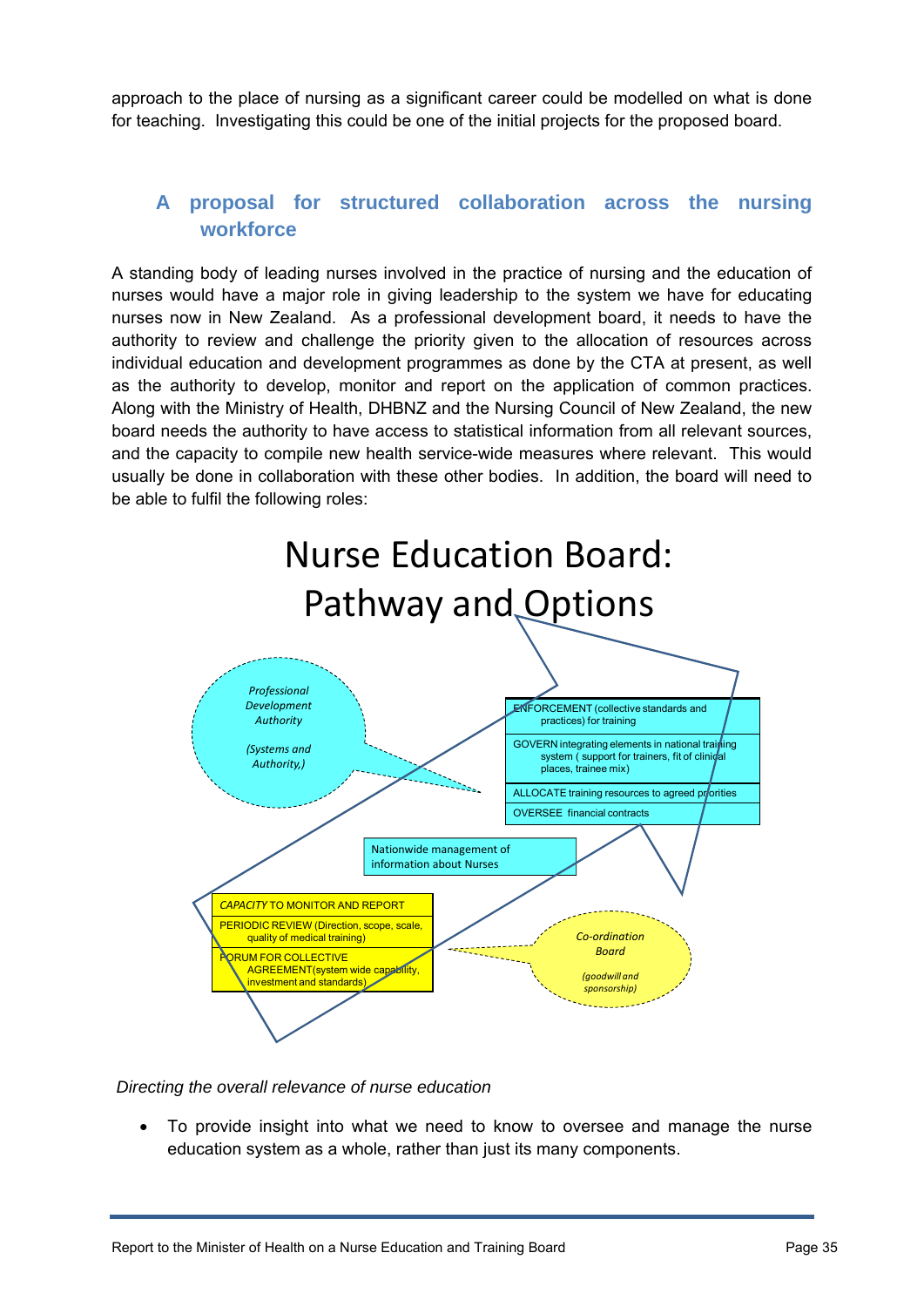approach to the place of nursing as a significant career could be modelled on what is done for teaching. Investigating this could be one of the initial projects for the proposed board.

# **A proposal for structured collaboration across the nursing workforce**

<span id="page-34-0"></span>A standing body of leading nurses involved in the practice of nursing and the education of nurses would have a major role in giving leadership to the system we have for educating nurses now in New Zealand. As a professional development board, it needs to have the authority to review and challenge the priority given to the allocation of resources across individual education and development programmes as done by the CTA at present, as well as the authority to develop, monitor and report on the application of common practices. Along with the Ministry of Health, DHBNZ and the Nursing Council of New Zealand, the new board needs the authority to have access to statistical information from all relevant sources, and the capacity to compile new health service-wide measures where relevant. This would usually be done in collaboration with these other bodies. In addition, the board will need to be able to fulfil the following roles:



*Directing the overall relevance of nurse education* 

 To provide insight into what we need to know to oversee and manage the nurse education system as a whole, rather than just its many components.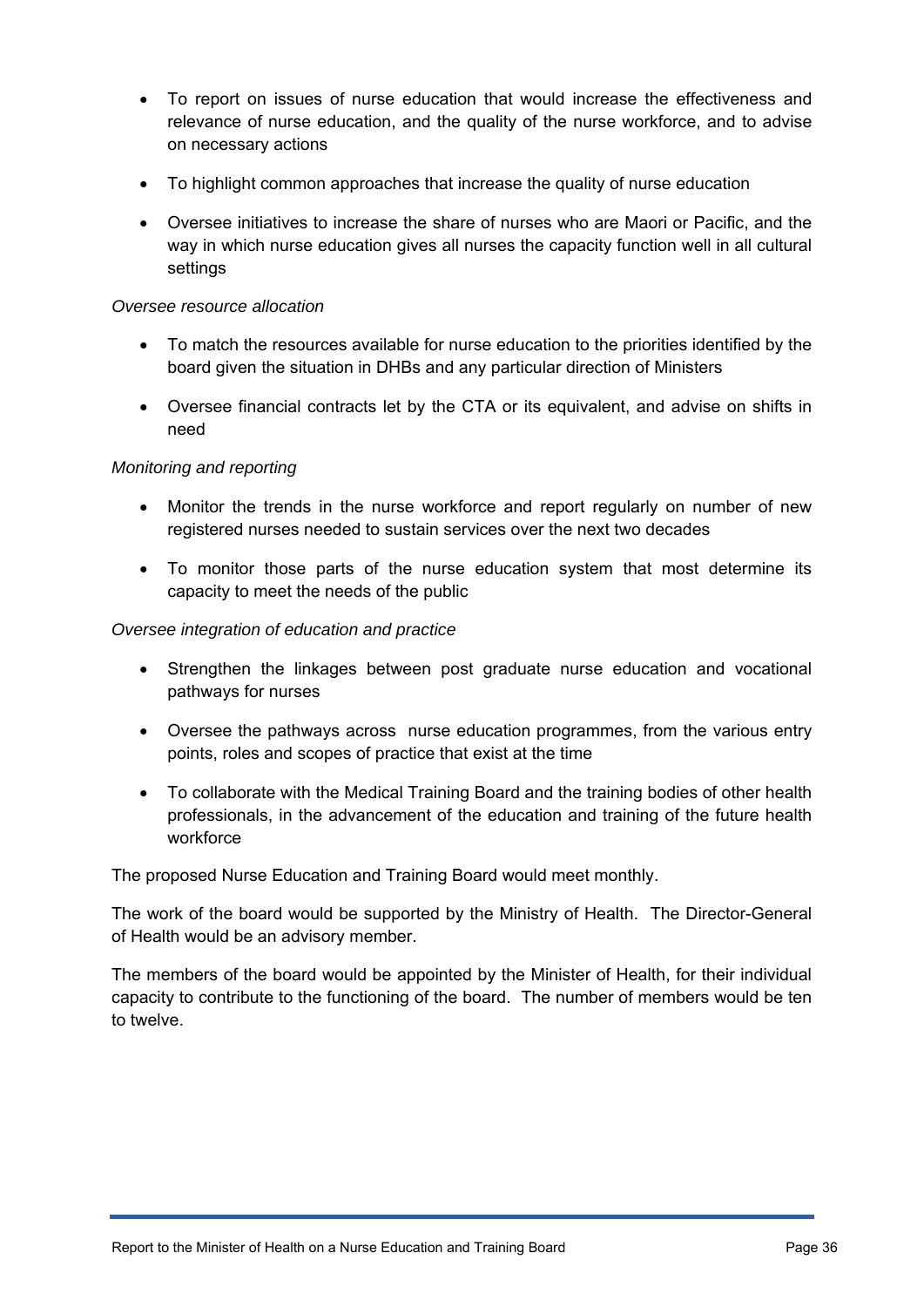- To report on issues of nurse education that would increase the effectiveness and relevance of nurse education, and the quality of the nurse workforce, and to advise on necessary actions
- To highlight common approaches that increase the quality of nurse education
- Oversee initiatives to increase the share of nurses who are Maori or Pacific, and the way in which nurse education gives all nurses the capacity function well in all cultural settings

#### *Oversee resource allocation*

- To match the resources available for nurse education to the priorities identified by the board given the situation in DHBs and any particular direction of Ministers
- Oversee financial contracts let by the CTA or its equivalent, and advise on shifts in need

#### *Monitoring and reporting*

- Monitor the trends in the nurse workforce and report regularly on number of new registered nurses needed to sustain services over the next two decades
- To monitor those parts of the nurse education system that most determine its capacity to meet the needs of the public

#### *Oversee integration of education and practice*

- Strengthen the linkages between post graduate nurse education and vocational pathways for nurses
- Oversee the pathways across nurse education programmes, from the various entry points, roles and scopes of practice that exist at the time
- To collaborate with the Medical Training Board and the training bodies of other health professionals, in the advancement of the education and training of the future health workforce

The proposed Nurse Education and Training Board would meet monthly.

The work of the board would be supported by the Ministry of Health. The Director-General of Health would be an advisory member.

The members of the board would be appointed by the Minister of Health, for their individual capacity to contribute to the functioning of the board. The number of members would be ten to twelve.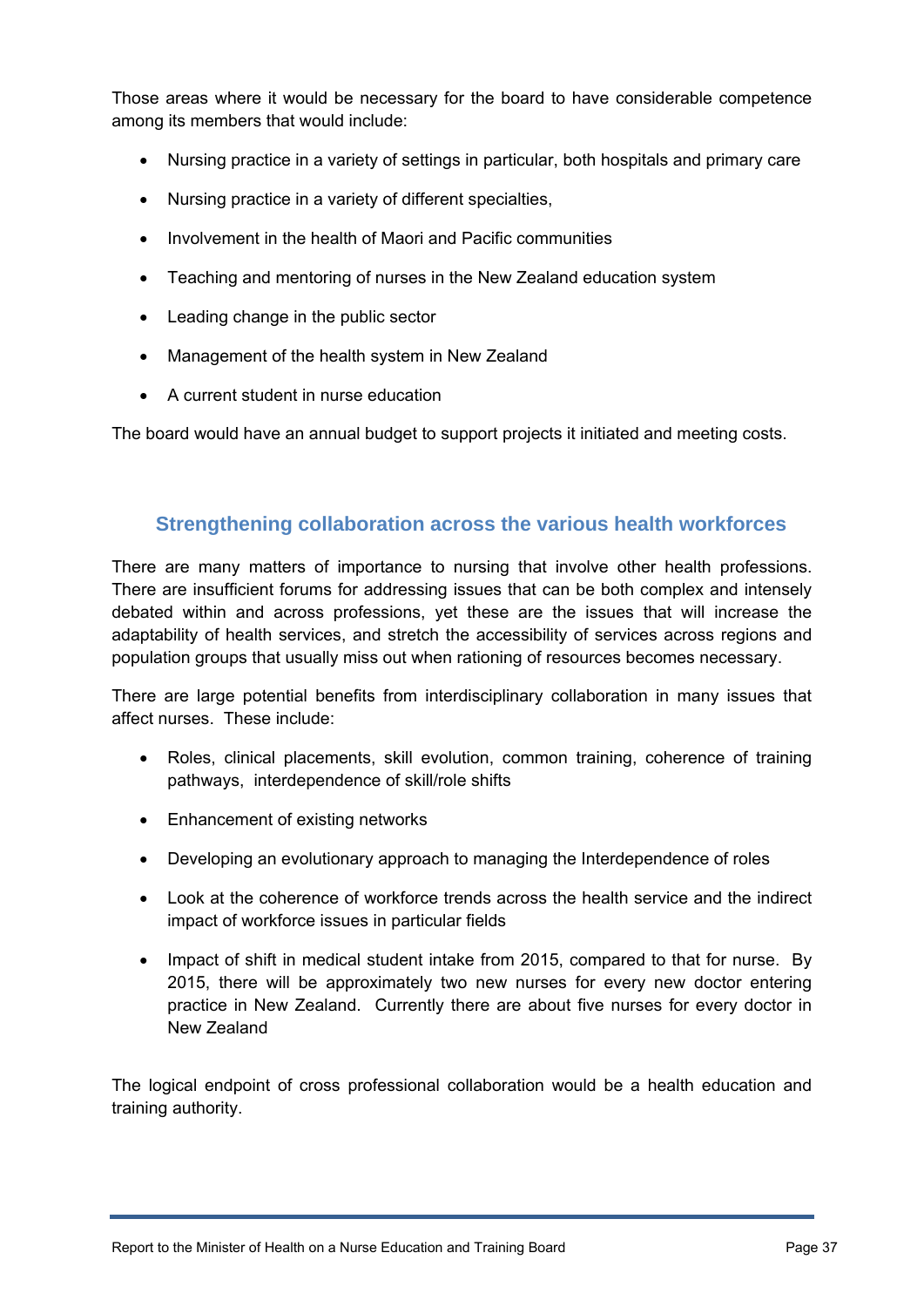Those areas where it would be necessary for the board to have considerable competence among its members that would include:

- Nursing practice in a variety of settings in particular, both hospitals and primary care
- Nursing practice in a variety of different specialties,
- Involvement in the health of Maori and Pacific communities
- Teaching and mentoring of nurses in the New Zealand education system
- Leading change in the public sector
- Management of the health system in New Zealand
- A current student in nurse education

The board would have an annual budget to support projects it initiated and meeting costs.

## **Strengthening collaboration across the various health workforces**

<span id="page-36-0"></span>There are many matters of importance to nursing that involve other health professions. There are insufficient forums for addressing issues that can be both complex and intensely debated within and across professions, yet these are the issues that will increase the adaptability of health services, and stretch the accessibility of services across regions and population groups that usually miss out when rationing of resources becomes necessary.

There are large potential benefits from interdisciplinary collaboration in many issues that affect nurses. These include:

- Roles, clinical placements, skill evolution, common training, coherence of training pathways, interdependence of skill/role shifts
- Enhancement of existing networks
- Developing an evolutionary approach to managing the Interdependence of roles
- Look at the coherence of workforce trends across the health service and the indirect impact of workforce issues in particular fields
- Impact of shift in medical student intake from 2015, compared to that for nurse. By 2015, there will be approximately two new nurses for every new doctor entering practice in New Zealand. Currently there are about five nurses for every doctor in New Zealand

The logical endpoint of cross professional collaboration would be a health education and training authority.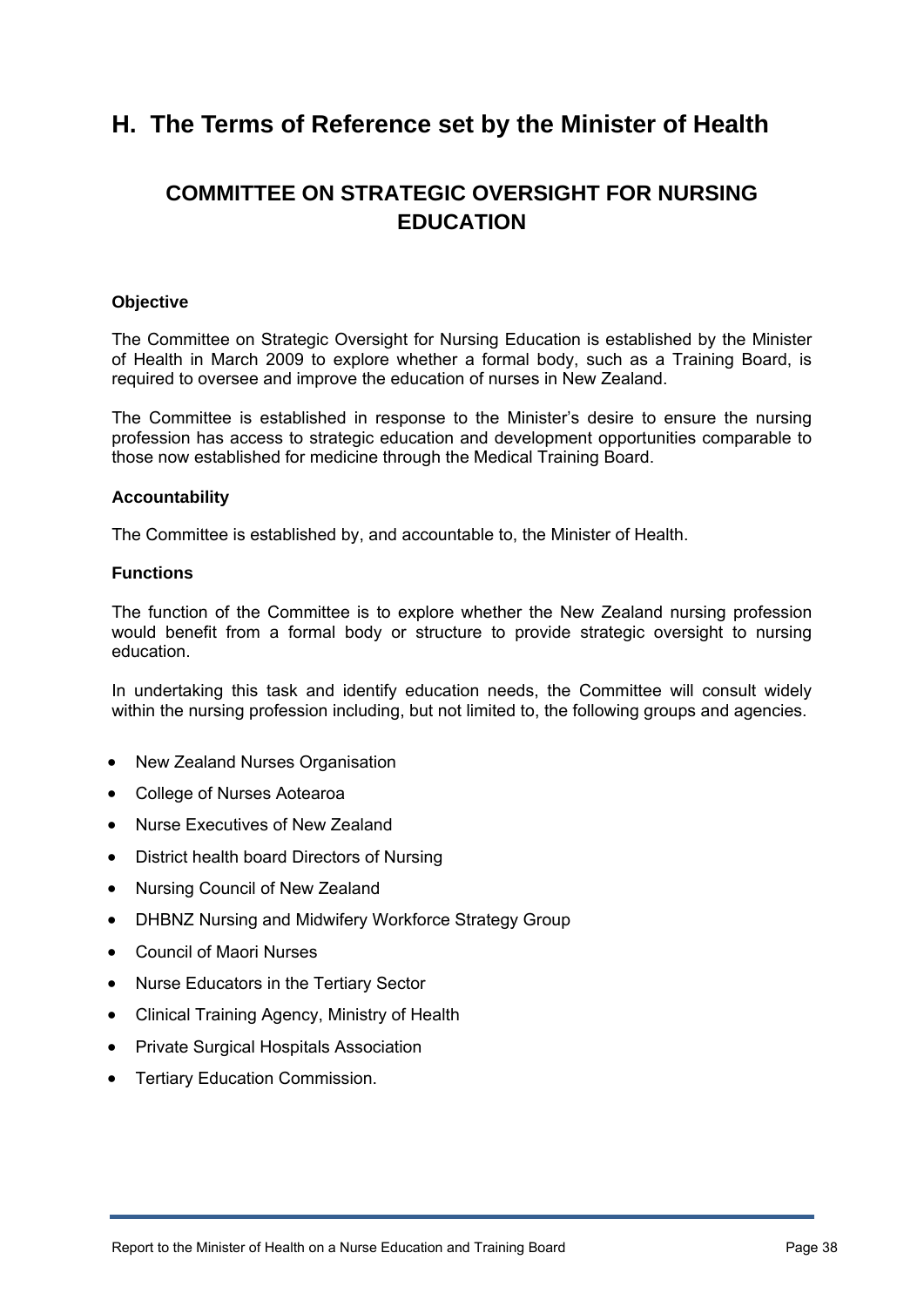# <span id="page-37-0"></span>**H. The Terms of Reference set by the Minister of Health**

# **COMMITTEE ON STRATEGIC OVERSIGHT FOR NURSING EDUCATION**

#### **Objective**

The Committee on Strategic Oversight for Nursing Education is established by the Minister of Health in March 2009 to explore whether a formal body, such as a Training Board, is required to oversee and improve the education of nurses in New Zealand.

The Committee is established in response to the Minister's desire to ensure the nursing profession has access to strategic education and development opportunities comparable to those now established for medicine through the Medical Training Board.

#### **Accountability**

The Committee is established by, and accountable to, the Minister of Health.

#### **Functions**

The function of the Committee is to explore whether the New Zealand nursing profession would benefit from a formal body or structure to provide strategic oversight to nursing education.

In undertaking this task and identify education needs, the Committee will consult widely within the nursing profession including, but not limited to, the following groups and agencies.

- New Zealand Nurses Organisation
- College of Nurses Aotearoa
- Nurse Executives of New Zealand
- District health board Directors of Nursing
- Nursing Council of New Zealand
- DHBNZ Nursing and Midwifery Workforce Strategy Group
- Council of Maori Nurses
- Nurse Educators in the Tertiary Sector
- Clinical Training Agency, Ministry of Health
- Private Surgical Hospitals Association
- Tertiary Education Commission.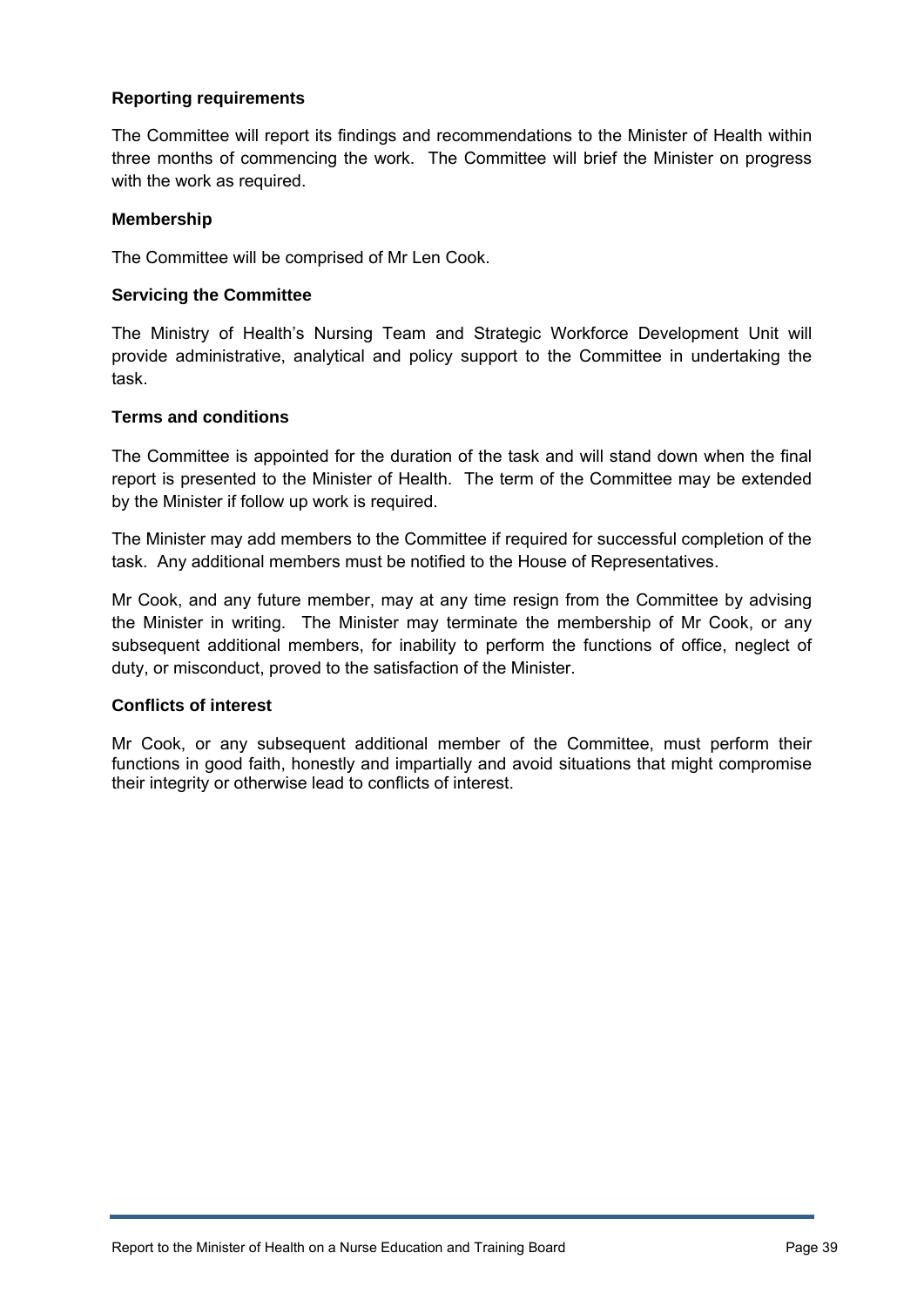#### **Reporting requirements**

The Committee will report its findings and recommendations to the Minister of Health within three months of commencing the work. The Committee will brief the Minister on progress with the work as required.

#### **Membership**

The Committee will be comprised of Mr Len Cook.

#### **Servicing the Committee**

The Ministry of Health's Nursing Team and Strategic Workforce Development Unit will provide administrative, analytical and policy support to the Committee in undertaking the task.

#### **Terms and conditions**

The Committee is appointed for the duration of the task and will stand down when the final report is presented to the Minister of Health. The term of the Committee may be extended by the Minister if follow up work is required.

The Minister may add members to the Committee if required for successful completion of the task. Any additional members must be notified to the House of Representatives.

Mr Cook, and any future member, may at any time resign from the Committee by advising the Minister in writing. The Minister may terminate the membership of Mr Cook, or any subsequent additional members, for inability to perform the functions of office, neglect of duty, or misconduct, proved to the satisfaction of the Minister.

#### **Conflicts of interest**

Mr Cook, or any subsequent additional member of the Committee, must perform their functions in good faith, honestly and impartially and avoid situations that might compromise their integrity or otherwise lead to conflicts of interest.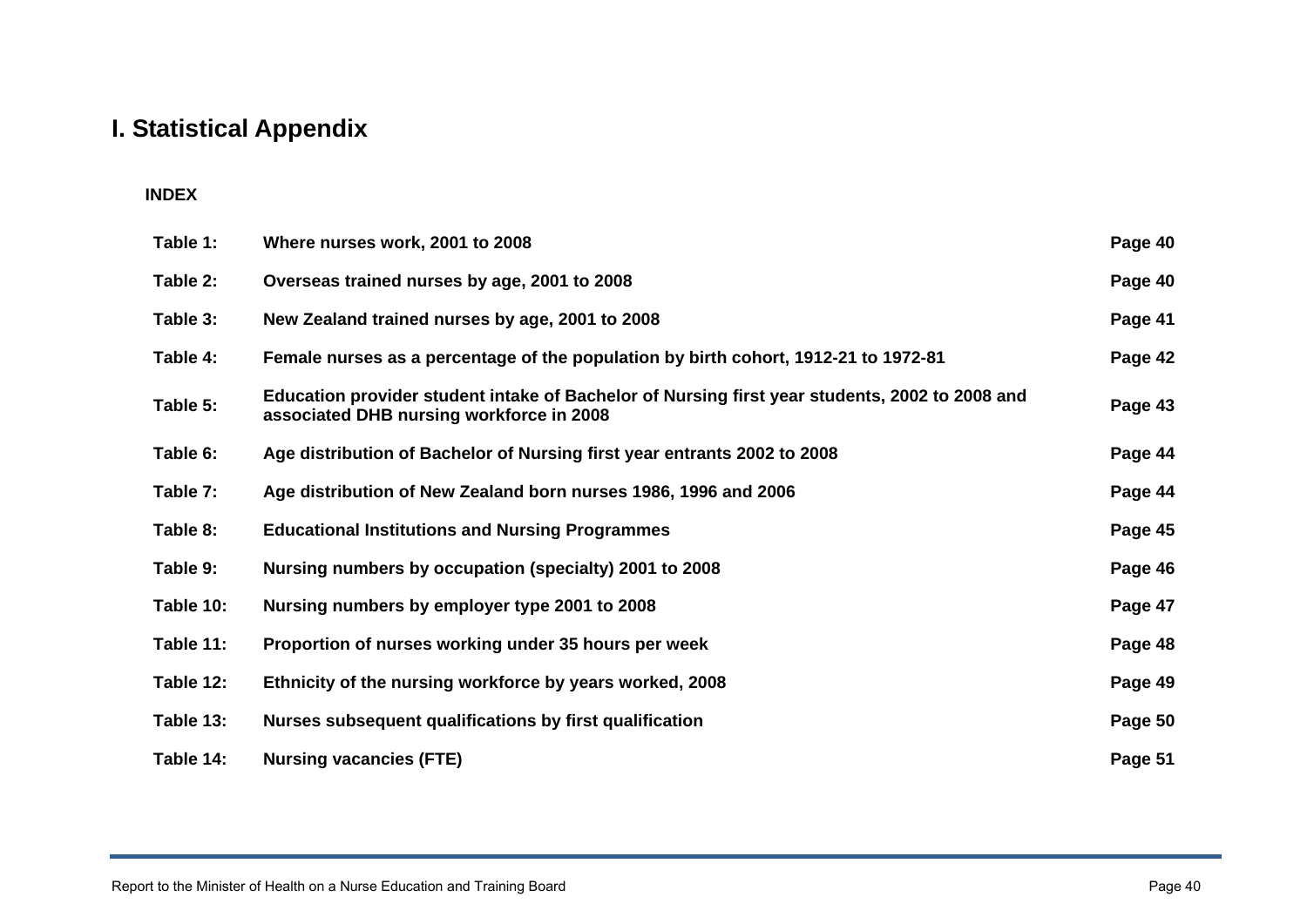# **I. Statistical Appendix**

#### **INDEX**

<span id="page-39-0"></span>

| Table 1:  | Where nurses work, 2001 to 2008                                                                                                            | Page 40 |
|-----------|--------------------------------------------------------------------------------------------------------------------------------------------|---------|
| Table 2:  | Overseas trained nurses by age, 2001 to 2008                                                                                               | Page 40 |
| Table 3:  | New Zealand trained nurses by age, 2001 to 2008                                                                                            | Page 41 |
| Table 4:  | Female nurses as a percentage of the population by birth cohort, 1912-21 to 1972-81                                                        | Page 42 |
| Table 5:  | Education provider student intake of Bachelor of Nursing first year students, 2002 to 2008 and<br>associated DHB nursing workforce in 2008 | Page 43 |
| Table 6:  | Age distribution of Bachelor of Nursing first year entrants 2002 to 2008                                                                   | Page 44 |
| Table 7:  | Age distribution of New Zealand born nurses 1986, 1996 and 2006                                                                            | Page 44 |
| Table 8:  | <b>Educational Institutions and Nursing Programmes</b>                                                                                     | Page 45 |
| Table 9:  | Nursing numbers by occupation (specialty) 2001 to 2008                                                                                     | Page 46 |
| Table 10: | Nursing numbers by employer type 2001 to 2008                                                                                              | Page 47 |
| Table 11: | Proportion of nurses working under 35 hours per week                                                                                       | Page 48 |
| Table 12: | Ethnicity of the nursing workforce by years worked, 2008                                                                                   | Page 49 |
| Table 13: | Nurses subsequent qualifications by first qualification                                                                                    | Page 50 |
| Table 14: | <b>Nursing vacancies (FTE)</b>                                                                                                             | Page 51 |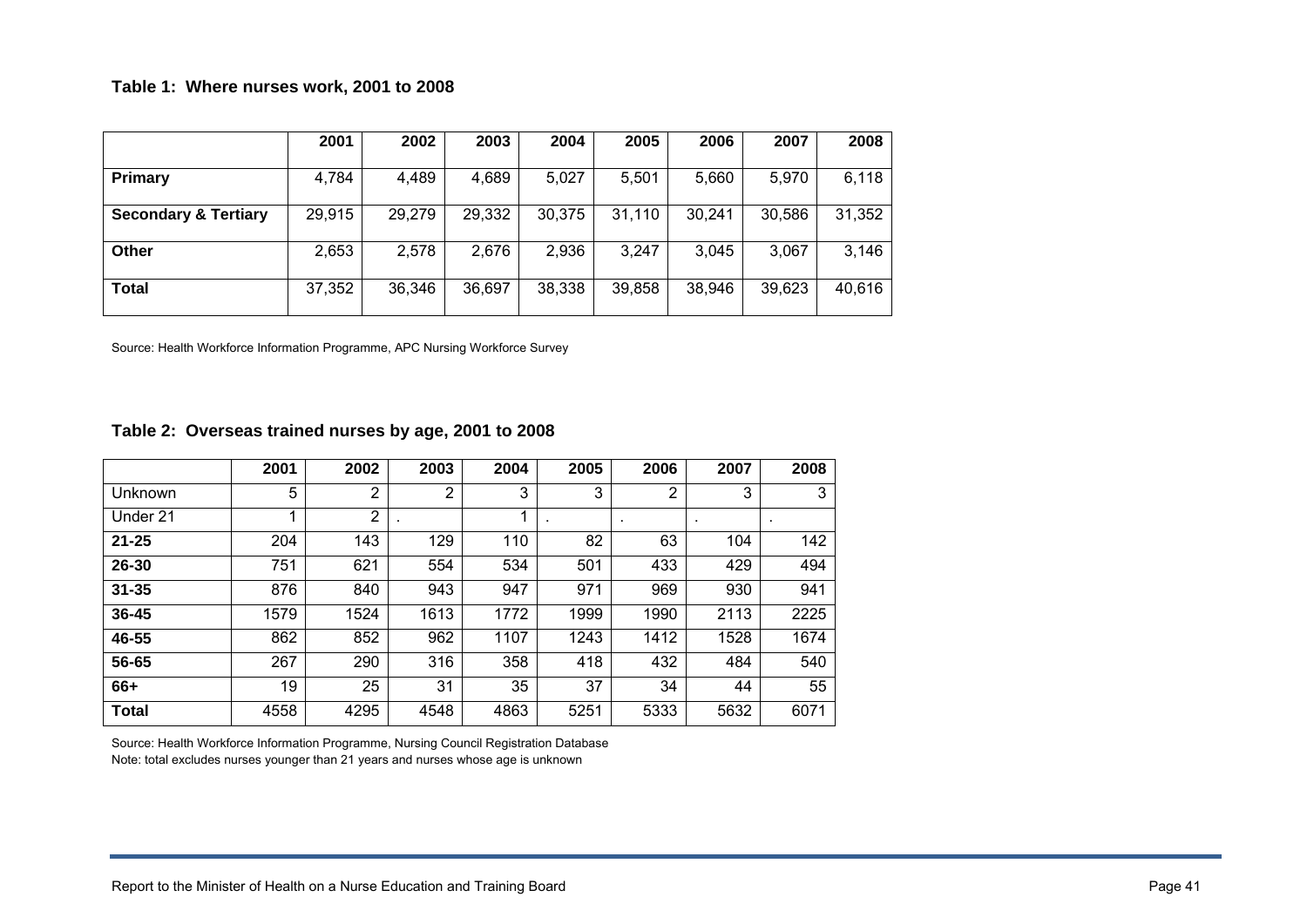#### **Table 1: Where nurses work, 2001 to 2008**

|                                 | 2001   | 2002   | 2003   | 2004   | 2005   | 2006   | 2007   | 2008   |
|---------------------------------|--------|--------|--------|--------|--------|--------|--------|--------|
| Primary                         | 4,784  | 4,489  | 4,689  | 5,027  | 5,501  | 5,660  | 5,970  | 6,118  |
| <b>Secondary &amp; Tertiary</b> | 29,915 | 29,279 | 29,332 | 30,375 | 31,110 | 30,241 | 30,586 | 31,352 |
| Other                           | 2,653  | 2,578  | 2,676  | 2,936  | 3,247  | 3,045  | 3,067  | 3,146  |
| <b>Total</b>                    | 37,352 | 36,346 | 36,697 | 38,338 | 39,858 | 38,946 | 39,623 | 40,616 |

Source: Health Workforce Information Programme, APC Nursing Workforce Survey

#### **Table 2: Overseas trained nurses by age, 2001 to 2008**

|              | 2001 | 2002           | 2003 | 2004 | 2005 | 2006           | 2007 | 2008 |
|--------------|------|----------------|------|------|------|----------------|------|------|
| Unknown      | 5    | $\overline{2}$ | 2    | 3    | 3    | $\overline{2}$ | 3    | 3    |
| Under 21     |      | $\overline{2}$ |      | 1    |      | ٠              | ٠    | ٠    |
| $21 - 25$    | 204  | 143            | 129  | 110  | 82   | 63             | 104  | 142  |
| 26-30        | 751  | 621            | 554  | 534  | 501  | 433            | 429  | 494  |
| $31 - 35$    | 876  | 840            | 943  | 947  | 971  | 969            | 930  | 941  |
| $36 - 45$    | 1579 | 1524           | 1613 | 1772 | 1999 | 1990           | 2113 | 2225 |
| 46-55        | 862  | 852            | 962  | 1107 | 1243 | 1412           | 1528 | 1674 |
| 56-65        | 267  | 290            | 316  | 358  | 418  | 432            | 484  | 540  |
| 66+          | 19   | 25             | 31   | 35   | 37   | 34             | 44   | 55   |
| <b>Total</b> | 4558 | 4295           | 4548 | 4863 | 5251 | 5333           | 5632 | 6071 |

Source: Health Workforce Information Programme, Nursing Council Registration Database Note: total excludes nurses younger than 21 years and nurses whose age is unknown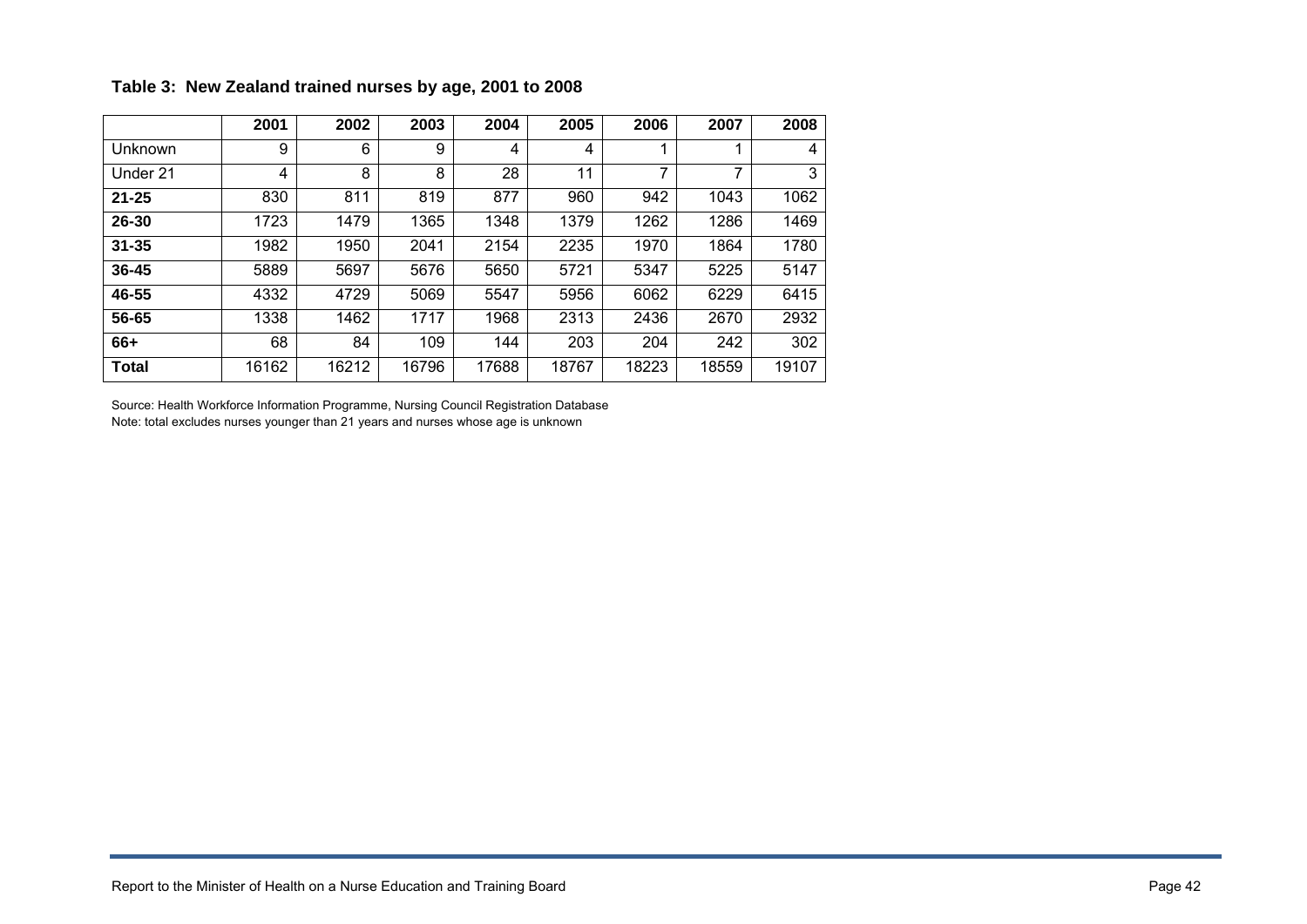|              | 2001  | 2002  | 2003  | 2004  | 2005  | 2006  | 2007  | 2008  |
|--------------|-------|-------|-------|-------|-------|-------|-------|-------|
| Unknown      | 9     | 6     | 9     | 4     | 4     |       |       | 4     |
| Under 21     | 4     | 8     | 8     | 28    | 11    | 7     | 7     | 3     |
| $21 - 25$    | 830   | 811   | 819   | 877   | 960   | 942   | 1043  | 1062  |
| $26 - 30$    | 1723  | 1479  | 1365  | 1348  | 1379  | 1262  | 1286  | 1469  |
| $31 - 35$    | 1982  | 1950  | 2041  | 2154  | 2235  | 1970  | 1864  | 1780  |
| $36 - 45$    | 5889  | 5697  | 5676  | 5650  | 5721  | 5347  | 5225  | 5147  |
| 46-55        | 4332  | 4729  | 5069  | 5547  | 5956  | 6062  | 6229  | 6415  |
| 56-65        | 1338  | 1462  | 1717  | 1968  | 2313  | 2436  | 2670  | 2932  |
| 66+          | 68    | 84    | 109   | 144   | 203   | 204   | 242   | 302   |
| <b>Total</b> | 16162 | 16212 | 16796 | 17688 | 18767 | 18223 | 18559 | 19107 |

#### **Table 3: New Zealand trained nurses by age, 2001 to 2008**

Source: Health Workforce Information Programme, Nursing Council Registration Database Note: total excludes nurses younger than 21 years and nurses whose age is unknown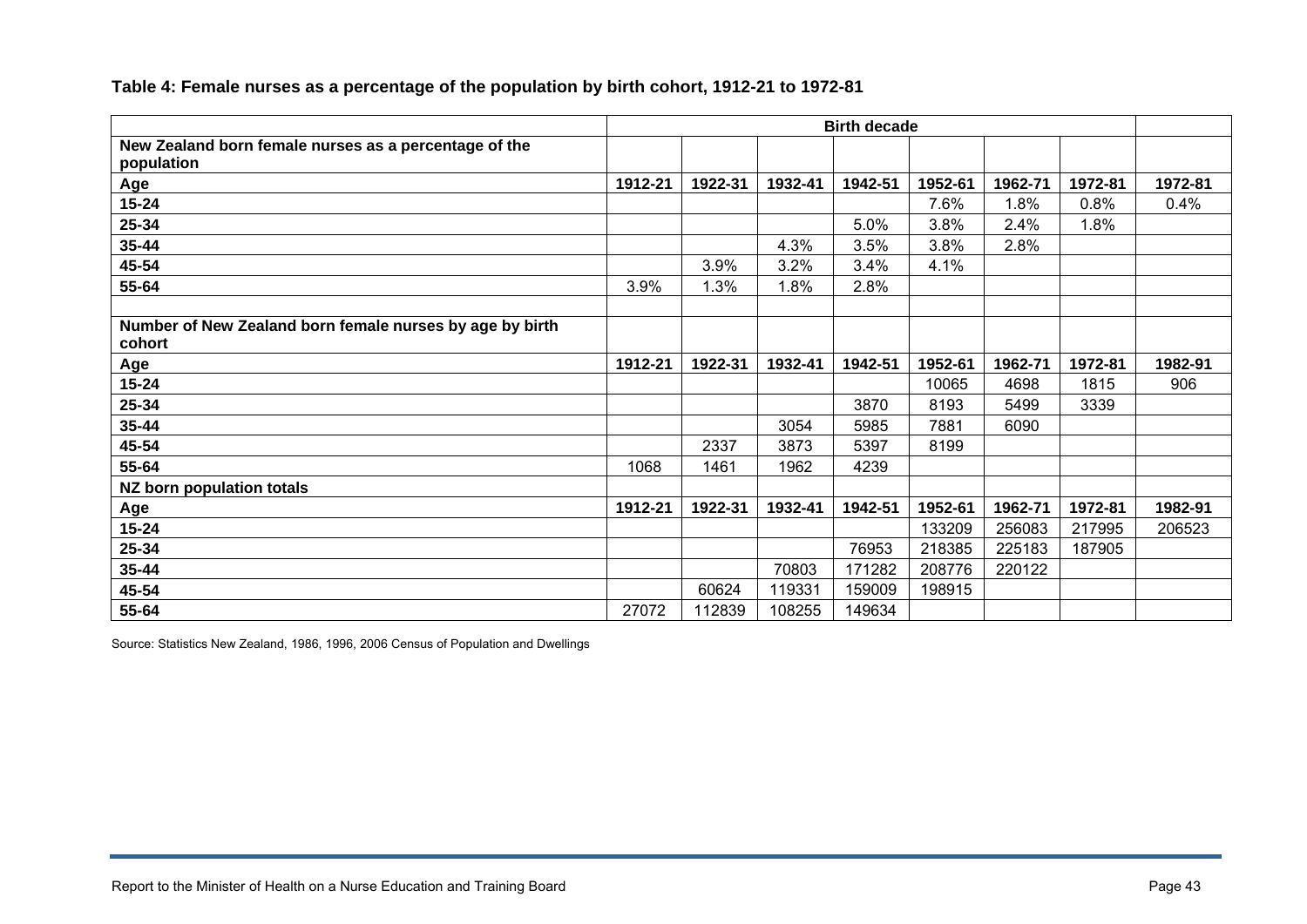|                                                                     | <b>Birth decade</b> |         |         |         |         |         |         |         |
|---------------------------------------------------------------------|---------------------|---------|---------|---------|---------|---------|---------|---------|
| New Zealand born female nurses as a percentage of the<br>population |                     |         |         |         |         |         |         |         |
| Age                                                                 | 1912-21             | 1922-31 | 1932-41 | 1942-51 | 1952-61 | 1962-71 | 1972-81 | 1972-81 |
| $15 - 24$                                                           |                     |         |         |         | 7.6%    | 1.8%    | 0.8%    | 0.4%    |
| 25-34                                                               |                     |         |         | 5.0%    | 3.8%    | 2.4%    | 1.8%    |         |
| $35 - 44$                                                           |                     |         | 4.3%    | 3.5%    | 3.8%    | 2.8%    |         |         |
| 45-54                                                               |                     | 3.9%    | 3.2%    | 3.4%    | 4.1%    |         |         |         |
| 55-64                                                               | 3.9%                | 1.3%    | 1.8%    | 2.8%    |         |         |         |         |
| Number of New Zealand born female nurses by age by birth<br>cohort  |                     |         |         |         |         |         |         |         |
| Age                                                                 | 1912-21             | 1922-31 | 1932-41 | 1942-51 | 1952-61 | 1962-71 | 1972-81 | 1982-91 |
| $15 - 24$                                                           |                     |         |         |         | 10065   | 4698    | 1815    | 906     |
| 25-34                                                               |                     |         |         | 3870    | 8193    | 5499    | 3339    |         |
| $35 - 44$                                                           |                     |         | 3054    | 5985    | 7881    | 6090    |         |         |
| 45-54                                                               |                     | 2337    | 3873    | 5397    | 8199    |         |         |         |
| 55-64                                                               | 1068                | 1461    | 1962    | 4239    |         |         |         |         |
| NZ born population totals                                           |                     |         |         |         |         |         |         |         |
| Age                                                                 | 1912-21             | 1922-31 | 1932-41 | 1942-51 | 1952-61 | 1962-71 | 1972-81 | 1982-91 |
| $15 - 24$                                                           |                     |         |         |         | 133209  | 256083  | 217995  | 206523  |
| 25-34                                                               |                     |         |         | 76953   | 218385  | 225183  | 187905  |         |
| $35 - 44$                                                           |                     |         | 70803   | 171282  | 208776  | 220122  |         |         |
| 45-54                                                               |                     | 60624   | 119331  | 159009  | 198915  |         |         |         |
| 55-64                                                               | 27072               | 112839  | 108255  | 149634  |         |         |         |         |

#### **Table 4: Female nurses as a percentage of the population by birth cohort, 1912-21 to 1972-81**

Source: Statistics New Zealand, 1986, 1996, 2006 Census of Population and Dwellings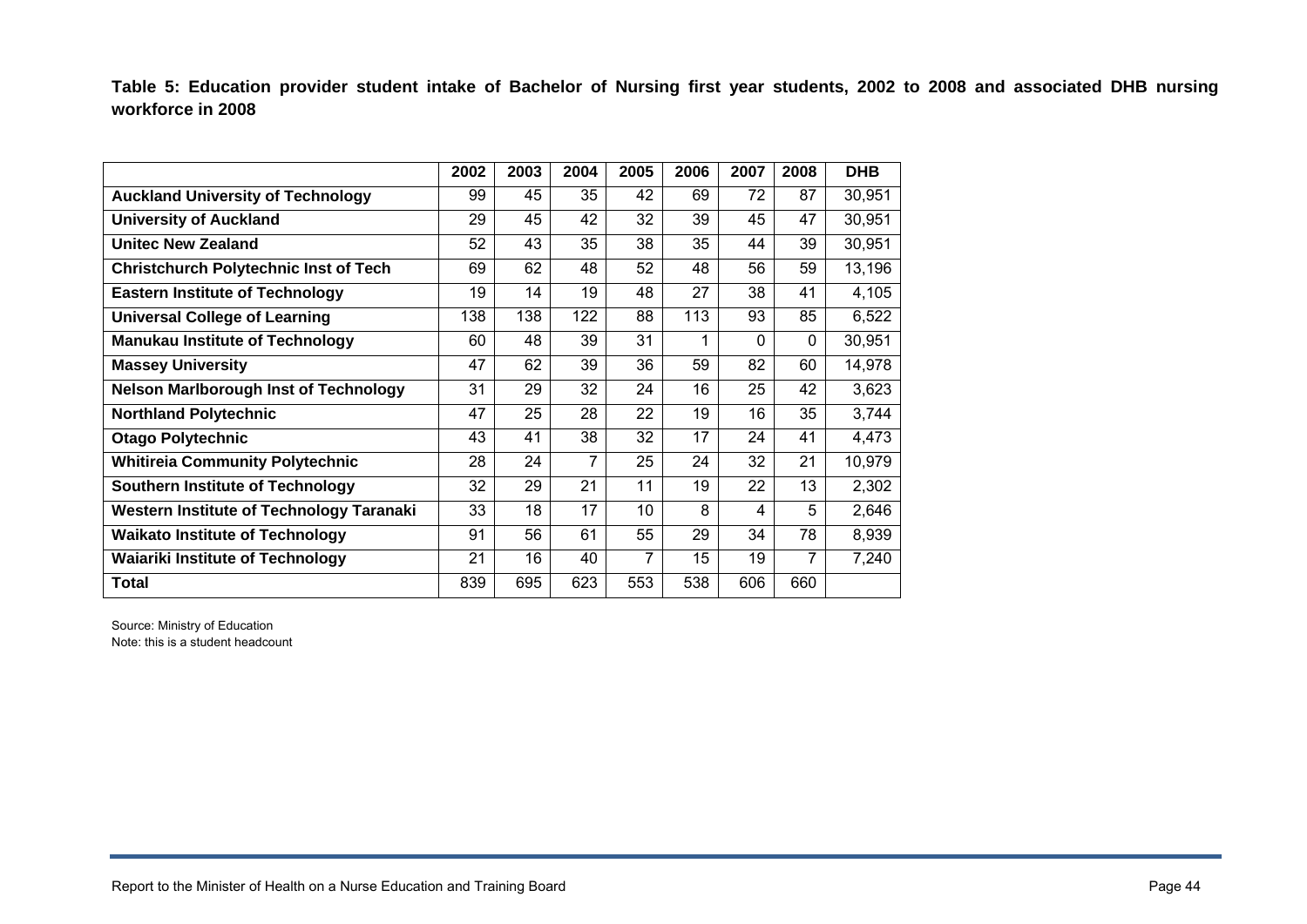**Table 5: Education provider student intake of Bachelor of Nursing first year students, 2002 to 2008 and associated DHB nursing workforce in 2008** 

|                                                 | 2002 | 2003 | 2004 | 2005 | 2006 | 2007     | 2008 | <b>DHB</b> |
|-------------------------------------------------|------|------|------|------|------|----------|------|------------|
| <b>Auckland University of Technology</b>        | 99   | 45   | 35   | 42   | 69   | 72       | 87   | 30,951     |
| <b>University of Auckland</b>                   | 29   | 45   | 42   | 32   | 39   | 45       | 47   | 30,951     |
| <b>Unitec New Zealand</b>                       | 52   | 43   | 35   | 38   | 35   | 44       | 39   | 30,951     |
| <b>Christchurch Polytechnic Inst of Tech</b>    | 69   | 62   | 48   | 52   | 48   | 56       | 59   | 13,196     |
| <b>Eastern Institute of Technology</b>          | 19   | 14   | 19   | 48   | 27   | 38       | 41   | 4,105      |
| <b>Universal College of Learning</b>            | 138  | 138  | 122  | 88   | 113  | 93       | 85   | 6,522      |
| <b>Manukau Institute of Technology</b>          | 60   | 48   | 39   | 31   |      | $\Omega$ | 0    | 30,951     |
| <b>Massey University</b>                        | 47   | 62   | 39   | 36   | 59   | 82       | 60   | 14,978     |
| <b>Nelson Marlborough Inst of Technology</b>    | 31   | 29   | 32   | 24   | 16   | 25       | 42   | 3,623      |
| <b>Northland Polytechnic</b>                    | 47   | 25   | 28   | 22   | 19   | 16       | 35   | 3,744      |
| <b>Otago Polytechnic</b>                        | 43   | 41   | 38   | 32   | 17   | 24       | 41   | 4,473      |
| <b>Whitireia Community Polytechnic</b>          | 28   | 24   | 7    | 25   | 24   | 32       | 21   | 10,979     |
| <b>Southern Institute of Technology</b>         | 32   | 29   | 21   | 11   | 19   | 22       | 13   | 2,302      |
| <b>Western Institute of Technology Taranaki</b> | 33   | 18   | 17   | 10   | 8    | 4        | 5    | 2,646      |
| <b>Waikato Institute of Technology</b>          | 91   | 56   | 61   | 55   | 29   | 34       | 78   | 8,939      |
| <b>Waiariki Institute of Technology</b>         | 21   | 16   | 40   | 7    | 15   | 19       | 7    | 7,240      |
| <b>Total</b>                                    | 839  | 695  | 623  | 553  | 538  | 606      | 660  |            |

Source: Ministry of Education Note: this is a student headcount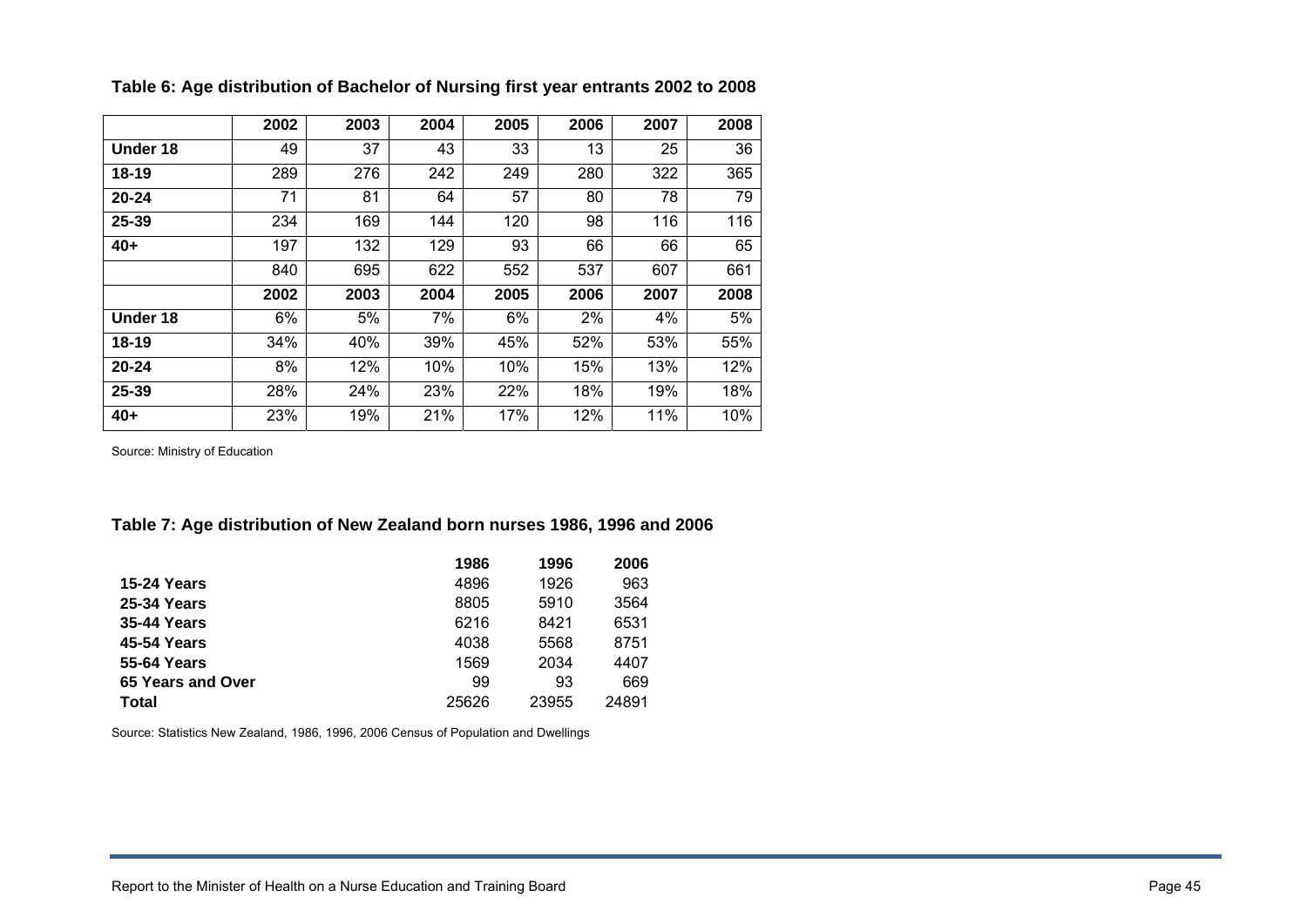|           | 2002 | 2003 | 2004 | 2005 | 2006 | 2007 | 2008 |
|-----------|------|------|------|------|------|------|------|
| Under 18  | 49   | 37   | 43   | 33   | 13   | 25   | 36   |
| $18 - 19$ | 289  | 276  | 242  | 249  | 280  | 322  | 365  |
| $20 - 24$ | 71   | 81   | 64   | 57   | 80   | 78   | 79   |
| 25-39     | 234  | 169  | 144  | 120  | 98   | 116  | 116  |
| $40+$     | 197  | 132  | 129  | 93   | 66   | 66   | 65   |
|           | 840  | 695  | 622  | 552  | 537  | 607  | 661  |
|           | 2002 | 2003 | 2004 | 2005 | 2006 | 2007 | 2008 |
| Under 18  | 6%   | 5%   | 7%   | 6%   | 2%   | 4%   | 5%   |
| 18-19     | 34%  | 40%  | 39%  | 45%  | 52%  | 53%  | 55%  |
| $20 - 24$ | 8%   | 12%  | 10%  | 10%  | 15%  | 13%  | 12%  |
| 25-39     | 28%  | 24%  | 23%  | 22%  | 18%  | 19%  | 18%  |
| $40+$     | 23%  | 19%  | 21%  | 17%  | 12%  | 11%  | 10%  |

**Table 6: Age distribution of Bachelor of Nursing first year entrants 2002 to 2008** 

Source: Ministry of Education

#### **Table 7: Age distribution of New Zealand born nurses 1986, 1996 and 2006**

|                    | 1986  | 1996  | 2006  |
|--------------------|-------|-------|-------|
| <b>15-24 Years</b> | 4896  | 1926  | 963   |
| 25-34 Years        | 8805  | 5910  | 3564  |
| <b>35-44 Years</b> | 6216  | 8421  | 6531  |
| 45-54 Years        | 4038  | 5568  | 8751  |
| 55-64 Years        | 1569  | 2034  | 4407  |
| 65 Years and Over  | 99    | 93    | 669   |
| <b>Total</b>       | 25626 | 23955 | 24891 |

Source: Statistics New Zealand, 1986, 1996, 2006 Census of Population and Dwellings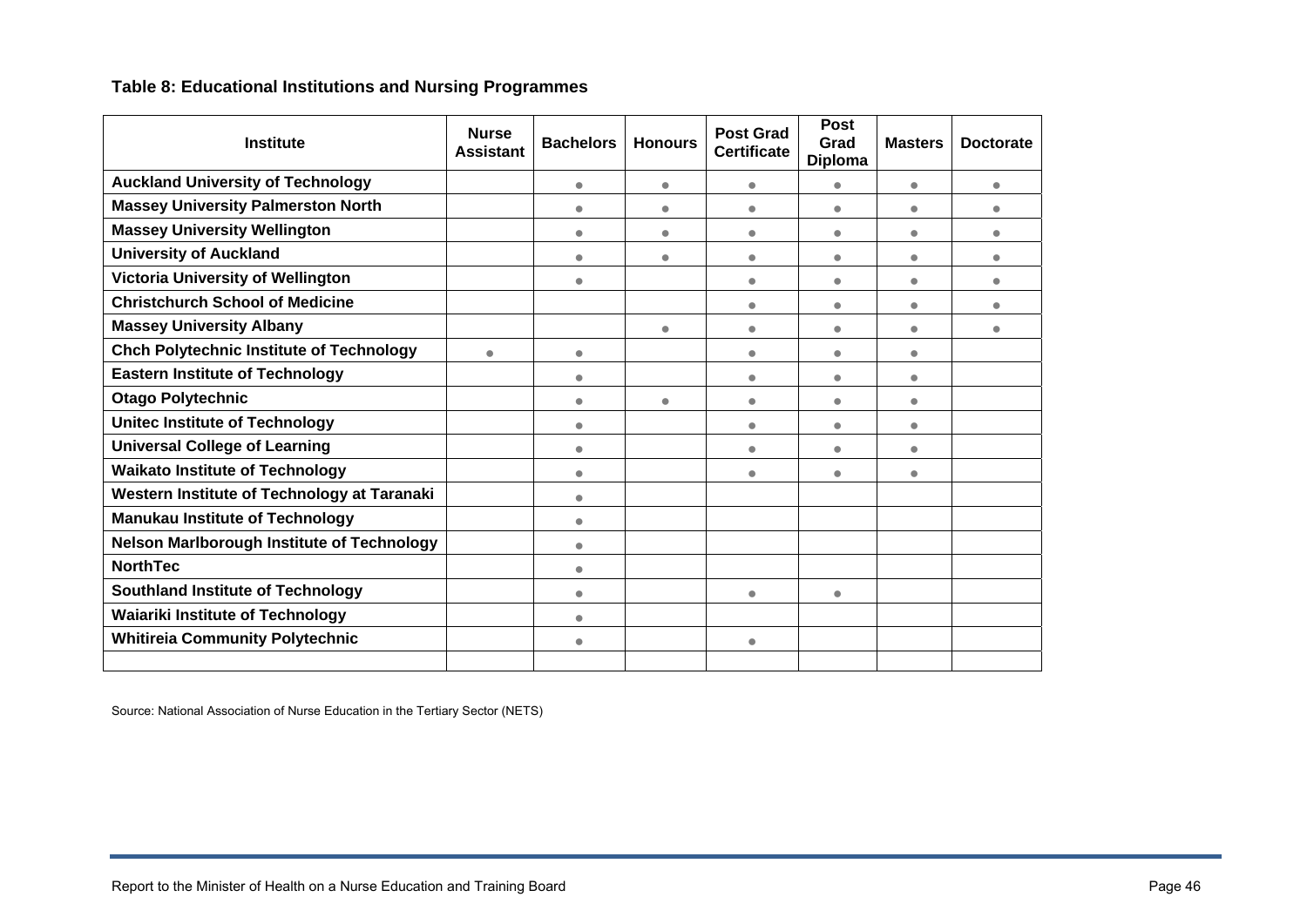## **Table 8: Educational Institutions and Nursing Programmes**

| <b>Institute</b>                                  | <b>Nurse</b><br><b>Assistant</b> | <b>Bachelors</b> | <b>Honours</b> | <b>Post Grad</b><br><b>Certificate</b> | <b>Post</b><br>Grad<br><b>Diploma</b> | <b>Masters</b> | <b>Doctorate</b> |
|---------------------------------------------------|----------------------------------|------------------|----------------|----------------------------------------|---------------------------------------|----------------|------------------|
| <b>Auckland University of Technology</b>          |                                  | $\bullet$        | $\bullet$      | $\qquad \qquad \bullet$                | $\bullet$                             | $\bullet$      | $\bullet$        |
| <b>Massey University Palmerston North</b>         |                                  | $\bullet$        | $\bullet$      | $\bullet$                              | $\bullet$                             | $\bullet$      | $\bullet$        |
| <b>Massey University Wellington</b>               |                                  | $\bullet$        | $\bullet$      | $\bullet$                              | $\bullet$                             | $\bullet$      | $\bullet$        |
| <b>University of Auckland</b>                     |                                  | $\bullet$        | $\bullet$      | $\bullet$                              | $\bullet$                             | $\bullet$      | $\bullet$        |
| Victoria University of Wellington                 |                                  | $\bullet$        |                | $\qquad \qquad \bullet$                | $\bullet$                             | $\bullet$      | $\bullet$        |
| <b>Christchurch School of Medicine</b>            |                                  |                  |                | $\bullet$                              | $\bullet$                             | $\bullet$      | $\bullet$        |
| <b>Massey University Albany</b>                   |                                  |                  | $\bullet$      | $\bullet$                              | $\bullet$                             | $\bullet$      | $\bullet$        |
| <b>Chch Polytechnic Institute of Technology</b>   | $\bullet$                        | $\bullet$        |                | $\bullet$                              | $\bullet$                             | $\bullet$      |                  |
| <b>Eastern Institute of Technology</b>            |                                  | $\bullet$        |                | $\bullet$                              | $\bullet$                             | $\bullet$      |                  |
| <b>Otago Polytechnic</b>                          |                                  | $\bullet$        | $\bullet$      | $\qquad \qquad \bullet$                | $\bullet$                             | $\bullet$      |                  |
| <b>Unitec Institute of Technology</b>             |                                  | $\bullet$        |                | $\bullet$                              | $\bullet$                             | $\bullet$      |                  |
| <b>Universal College of Learning</b>              |                                  | $\bullet$        |                | $\bullet$                              | $\bullet$                             | $\bullet$      |                  |
| <b>Waikato Institute of Technology</b>            |                                  | $\bullet$        |                | $\bullet$                              | ۰                                     | $\bullet$      |                  |
| Western Institute of Technology at Taranaki       |                                  | $\bullet$        |                |                                        |                                       |                |                  |
| <b>Manukau Institute of Technology</b>            |                                  | $\bullet$        |                |                                        |                                       |                |                  |
| <b>Nelson Marlborough Institute of Technology</b> |                                  | $\bullet$        |                |                                        |                                       |                |                  |
| <b>NorthTec</b>                                   |                                  | $\bullet$        |                |                                        |                                       |                |                  |
| <b>Southland Institute of Technology</b>          |                                  | $\bullet$        |                | $\qquad \qquad \bullet$                | $\bullet$                             |                |                  |
| <b>Waiariki Institute of Technology</b>           |                                  | $\bullet$        |                |                                        |                                       |                |                  |
| <b>Whitireia Community Polytechnic</b>            |                                  | $\bullet$        |                | $\qquad \qquad \bullet$                |                                       |                |                  |
|                                                   |                                  |                  |                |                                        |                                       |                |                  |

Source: National Association of Nurse Education in the Tertiary Sector (NETS)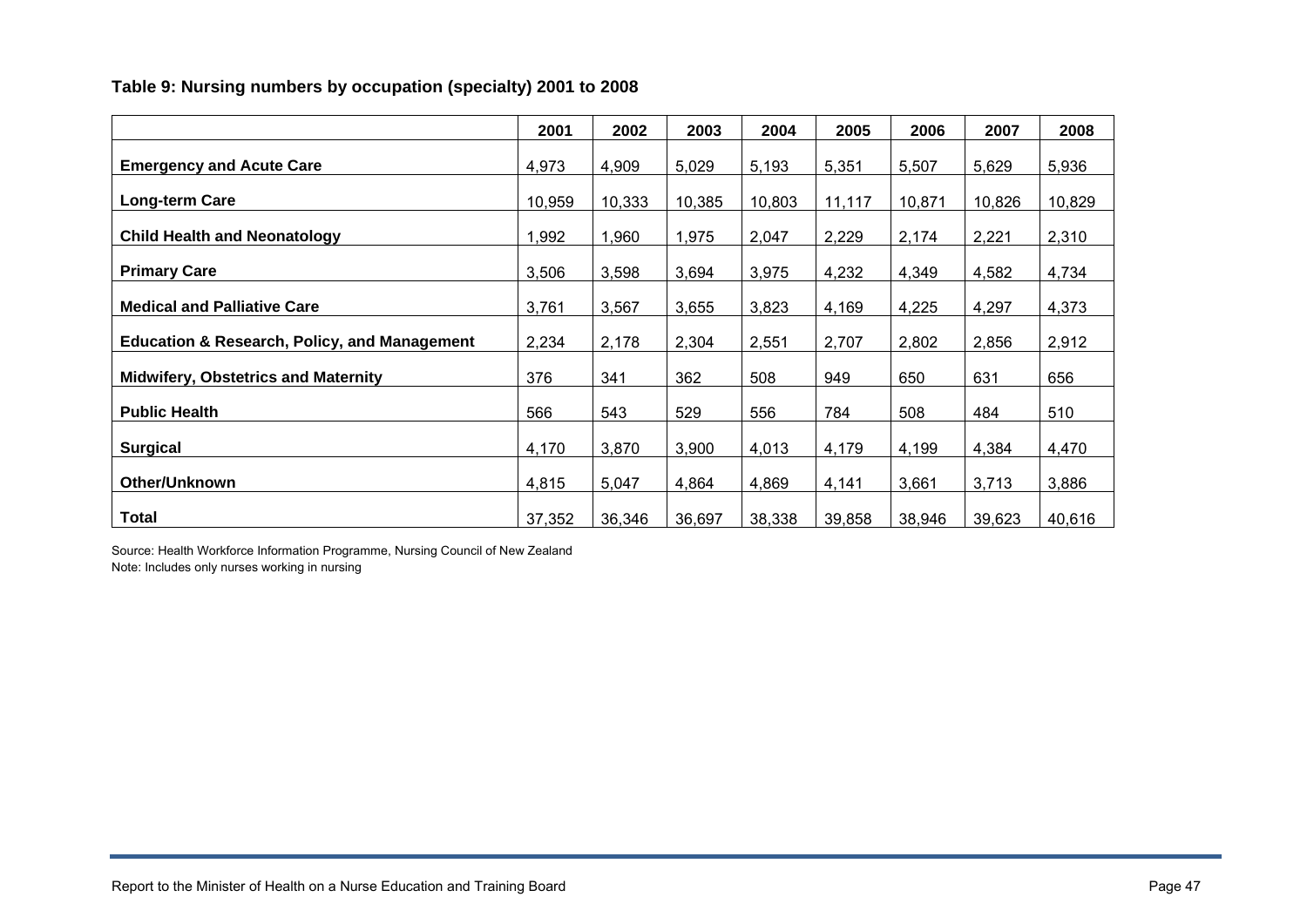## **Table 9: Nursing numbers by occupation (specialty) 2001 to 2008**

|                                                         | 2001   | 2002   | 2003   | 2004   | 2005   | 2006   | 2007   | 2008   |
|---------------------------------------------------------|--------|--------|--------|--------|--------|--------|--------|--------|
| <b>Emergency and Acute Care</b>                         | 4,973  | 4,909  | 5,029  | 5,193  | 5,351  | 5,507  | 5,629  | 5,936  |
| Long-term Care                                          | 10,959 | 10,333 | 10,385 | 10,803 | 11,117 | 10,871 | 10,826 | 10,829 |
| <b>Child Health and Neonatology</b>                     | 1,992  | 1,960  | 1,975  | 2,047  | 2,229  | 2,174  | 2,221  | 2,310  |
| <b>Primary Care</b>                                     | 3,506  | 3,598  | 3,694  | 3,975  | 4,232  | 4,349  | 4,582  | 4,734  |
| <b>Medical and Palliative Care</b>                      | 3,761  | 3,567  | 3,655  | 3,823  | 4,169  | 4,225  | 4,297  | 4,373  |
| <b>Education &amp; Research, Policy, and Management</b> | 2,234  | 2,178  | 2,304  | 2,551  | 2,707  | 2,802  | 2,856  | 2,912  |
| <b>Midwifery, Obstetrics and Maternity</b>              | 376    | 341    | 362    | 508    | 949    | 650    | 631    | 656    |
| <b>Public Health</b>                                    | 566    | 543    | 529    | 556    | 784    | 508    | 484    | 510    |
| <b>Surgical</b>                                         | 4,170  | 3,870  | 3,900  | 4,013  | 4,179  | 4,199  | 4,384  | 4,470  |
| Other/Unknown                                           | 4,815  | 5,047  | 4,864  | 4,869  | 4,141  | 3,661  | 3,713  | 3,886  |
| <b>Total</b>                                            | 37,352 | 36,346 | 36,697 | 38,338 | 39,858 | 38,946 | 39,623 | 40,616 |

Source: Health Workforce Information Programme, Nursing Council of New Zealand Note: Includes only nurses working in nursing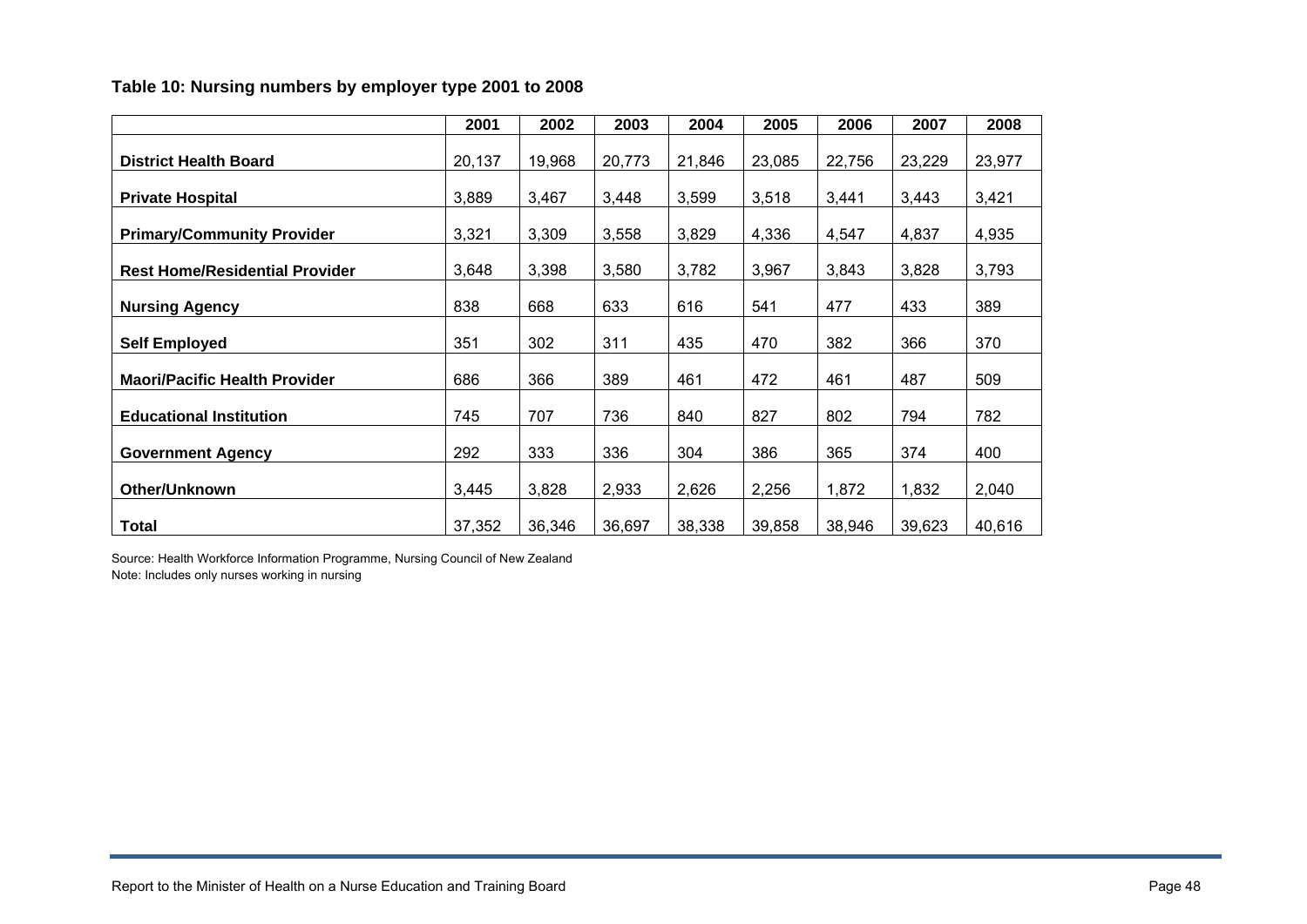#### **Table 10: Nursing numbers by employer type 2001 to 2008**

|                                       | 2001   | 2002   | 2003   | 2004   | 2005   | 2006   | 2007   | 2008   |
|---------------------------------------|--------|--------|--------|--------|--------|--------|--------|--------|
| <b>District Health Board</b>          | 20,137 | 19,968 | 20,773 | 21,846 | 23,085 | 22,756 | 23,229 | 23,977 |
| <b>Private Hospital</b>               | 3,889  | 3,467  | 3,448  | 3,599  | 3,518  | 3,441  | 3,443  | 3,421  |
| <b>Primary/Community Provider</b>     | 3,321  | 3,309  | 3,558  | 3,829  | 4,336  | 4,547  | 4,837  | 4,935  |
| <b>Rest Home/Residential Provider</b> | 3,648  | 3,398  | 3,580  | 3,782  | 3,967  | 3,843  | 3,828  | 3,793  |
| <b>Nursing Agency</b>                 | 838    | 668    | 633    | 616    | 541    | 477    | 433    | 389    |
| <b>Self Employed</b>                  | 351    | 302    | 311    | 435    | 470    | 382    | 366    | 370    |
| <b>Maori/Pacific Health Provider</b>  | 686    | 366    | 389    | 461    | 472    | 461    | 487    | 509    |
| <b>Educational Institution</b>        | 745    | 707    | 736    | 840    | 827    | 802    | 794    | 782    |
| <b>Government Agency</b>              | 292    | 333    | 336    | 304    | 386    | 365    | 374    | 400    |
| Other/Unknown                         |        |        |        |        |        |        |        |        |
|                                       | 3,445  | 3,828  | 2,933  | 2,626  | 2,256  | 1,872  | 1,832  | 2,040  |
| <b>Total</b>                          | 37,352 | 36,346 | 36,697 | 38,338 | 39,858 | 38,946 | 39,623 | 40,616 |

Source: Health Workforce Information Programme, Nursing Council of New Zealand Note: Includes only nurses working in nursing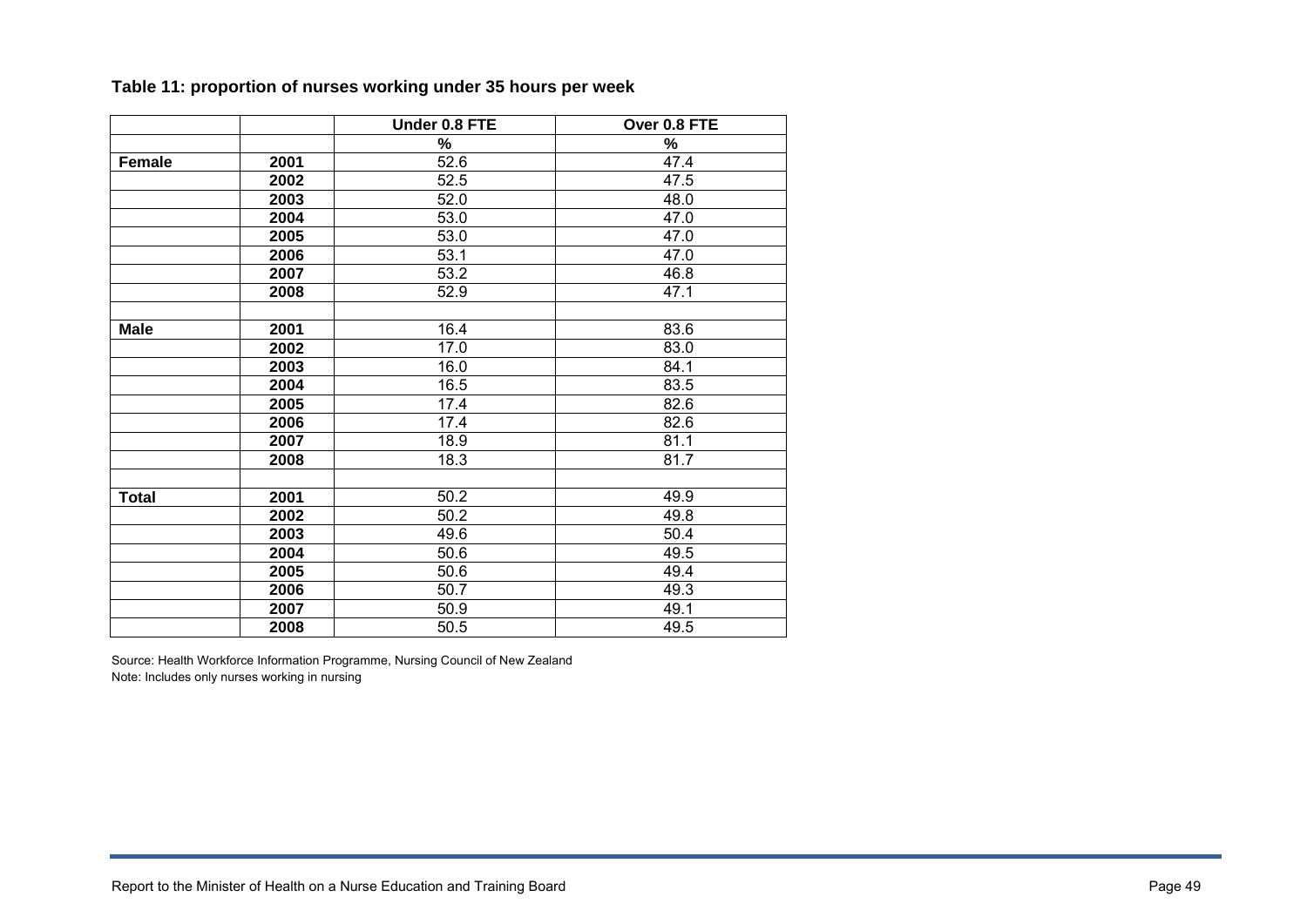|              |      | Under 0.8 FTE | Over 0.8 FTE      |
|--------------|------|---------------|-------------------|
|              |      | $\%$          | $\%$              |
| Female       | 2001 | 52.6          | 47.4              |
|              | 2002 | 52.5          | 47.5              |
|              | 2003 | 52.0          | 48.0              |
|              | 2004 | 53.0          | 47.0              |
|              | 2005 | 53.0          | $\overline{47.0}$ |
|              | 2006 | 53.1          | 47.0              |
|              | 2007 | 53.2          | 46.8              |
|              | 2008 | 52.9          | 47.1              |
|              |      |               |                   |
| <b>Male</b>  | 2001 | 16.4          | 83.6              |
|              | 2002 | 17.0          | 83.0              |
|              | 2003 | 16.0          | 84.1              |
|              | 2004 | 16.5          | 83.5              |
|              | 2005 | 17.4          | 82.6              |
|              | 2006 | 17.4          | 82.6              |
|              | 2007 | 18.9          | 81.1              |
|              | 2008 | 18.3          | 81.7              |
|              |      |               |                   |
| <b>Total</b> | 2001 | 50.2          | 49.9              |
|              | 2002 | 50.2          | 49.8              |
|              | 2003 | 49.6          | 50.4              |
|              | 2004 | 50.6          | 49.5              |
|              | 2005 | 50.6          | 49.4              |
|              | 2006 | 50.7          | 49.3              |
|              | 2007 | 50.9          | 49.1              |
|              | 2008 | 50.5          | 49.5              |

**Table 11: proportion of nurses working under 35 hours per week** 

Source: Health Workforce Information Programme, Nursing Council of New Zealand Note: Includes only nurses working in nursing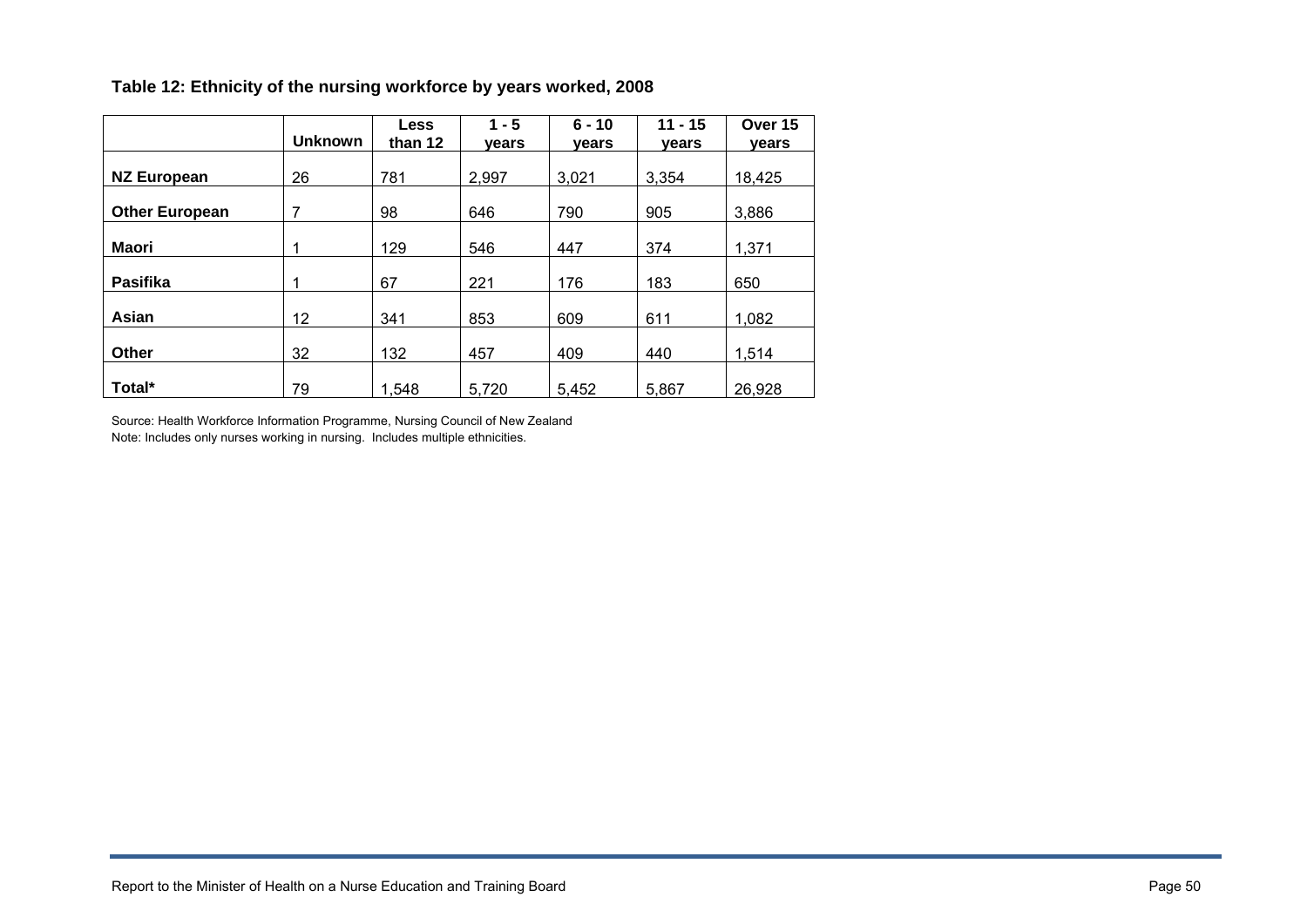|                       |                | <b>Less</b> | $1 - 5$ | $6 - 10$ | $11 - 15$ | Over 15 |
|-----------------------|----------------|-------------|---------|----------|-----------|---------|
|                       | <b>Unknown</b> | than 12     | vears   | vears    | vears     | vears   |
|                       |                |             |         |          |           |         |
| <b>NZ European</b>    | 26             | 781         | 2,997   | 3,021    | 3,354     | 18,425  |
|                       |                |             |         |          |           |         |
| <b>Other European</b> | 7              | 98          | 646     | 790      | 905       | 3,886   |
|                       |                |             |         |          |           |         |
| Maori                 | 1              | 129         | 546     | 447      | 374       | 1,371   |
|                       |                |             |         |          |           |         |
| <b>Pasifika</b>       | 1              | 67          | 221     | 176      | 183       | 650     |
|                       |                |             |         |          |           |         |
| Asian                 | 12             | 341         | 853     | 609      | 611       | 1,082   |
|                       |                |             |         |          |           |         |
| Other                 | 32             | 132         | 457     | 409      | 440       | 1,514   |
|                       |                |             |         |          |           |         |
| Total*                | 79             | 1,548       | 5,720   | 5.452    | 5,867     | 26,928  |

#### **Table 12: Ethnicity of the nursing workforce by years worked, 2008**

Source: Health Workforce Information Programme, Nursing Council of New Zealand Note: Includes only nurses working in nursing. Includes multiple ethnicities.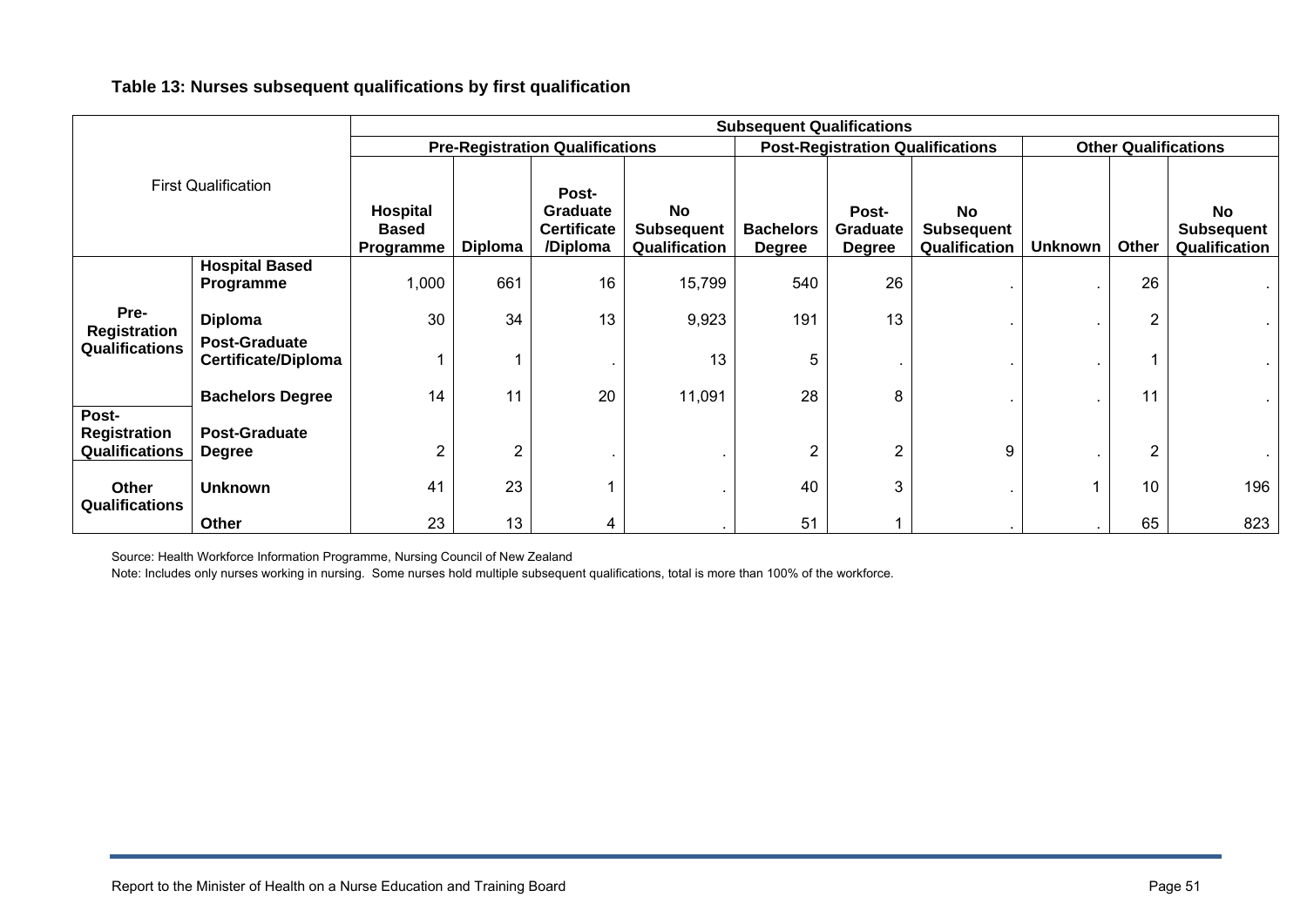#### **Table 13: Nurses subsequent qualifications by first qualification**

|                            |                                                    | <b>Subsequent Qualifications</b>       |                |                                                            |                                                 |                                   |                                         |                                                 |                |                |                                                 |
|----------------------------|----------------------------------------------------|----------------------------------------|----------------|------------------------------------------------------------|-------------------------------------------------|-----------------------------------|-----------------------------------------|-------------------------------------------------|----------------|----------------|-------------------------------------------------|
|                            |                                                    | <b>Pre-Registration Qualifications</b> |                |                                                            |                                                 |                                   | <b>Post-Registration Qualifications</b> | <b>Other Qualifications</b>                     |                |                |                                                 |
| <b>First Qualification</b> |                                                    | Hospital<br><b>Based</b><br>Programme  | <b>Diploma</b> | Post-<br><b>Graduate</b><br><b>Certificate</b><br>/Diploma | <b>No</b><br><b>Subsequent</b><br>Qualification | <b>Bachelors</b><br><b>Degree</b> | Post-<br>Graduate<br><b>Degree</b>      | <b>No</b><br><b>Subsequent</b><br>Qualification | <b>Unknown</b> | Other          | <b>No</b><br><b>Subsequent</b><br>Qualification |
|                            | <b>Hospital Based</b>                              |                                        |                |                                                            |                                                 |                                   |                                         |                                                 |                |                |                                                 |
|                            | Programme                                          | 1,000                                  | 661            | 16                                                         | 15,799                                          | 540                               | 26                                      |                                                 |                | 26             |                                                 |
| Pre-<br>Registration       | <b>Diploma</b>                                     | 30                                     | 34             | 13                                                         | 9,923                                           | 191                               | 13                                      |                                                 |                | $\overline{2}$ |                                                 |
| Qualifications             | <b>Post-Graduate</b><br><b>Certificate/Diploma</b> |                                        |                |                                                            | 13                                              | 5                                 |                                         |                                                 |                |                |                                                 |
|                            | <b>Bachelors Degree</b>                            | 14                                     | 11             | 20                                                         | 11,091                                          | 28                                | 8                                       |                                                 |                | 11             |                                                 |
| Post-<br>Registration      | <b>Post-Graduate</b>                               |                                        |                |                                                            |                                                 |                                   |                                         |                                                 |                |                |                                                 |
| Qualifications             | <b>Degree</b>                                      | 2                                      | $\overline{2}$ |                                                            |                                                 | $\overline{2}$                    | 2                                       | 9                                               |                | $\overline{2}$ |                                                 |
| Other<br>Qualifications    | <b>Unknown</b>                                     | 41                                     | 23             |                                                            |                                                 | 40                                | 3                                       |                                                 |                | 10             | 196                                             |
|                            | Other                                              | 23                                     | 13             | 4                                                          |                                                 | 51                                |                                         |                                                 |                | 65             | 823                                             |

Source: Health Workforce Information Programme, Nursing Council of New Zealand

Note: Includes only nurses working in nursing. Some nurses hold multiple subsequent qualifications, total is more than 100% of the workforce.